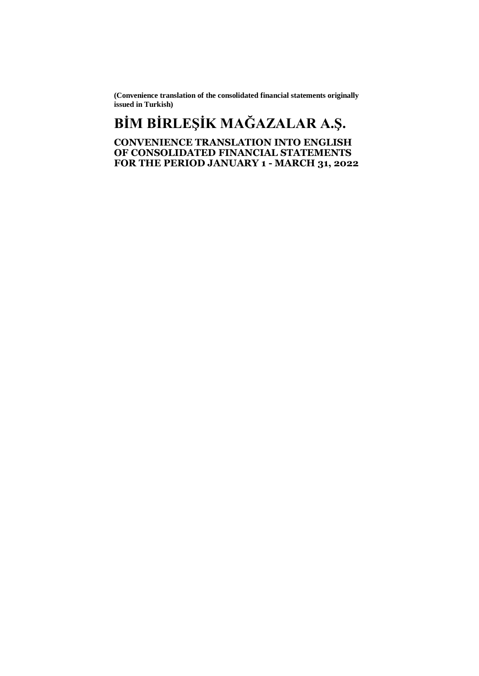**(Convenience translation of the consolidated financial statements originally issued in Turkish)**

# **BİM BİRLEŞİK MAĞAZALAR A.Ş.**

**CONVENIENCE TRANSLATION INTO ENGLISH OF CONSOLIDATED FINANCIAL STATEMENTS FOR THE PERIOD JANUARY 1 - MARCH 31, 2022**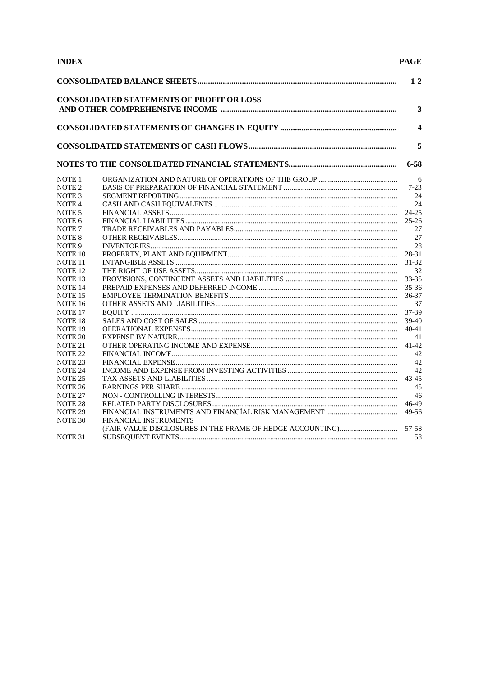| <b>INDEX</b>       |                                                           | <b>PAGE</b>             |
|--------------------|-----------------------------------------------------------|-------------------------|
|                    |                                                           | $1 - 2$                 |
|                    | <b>CONSOLIDATED STATEMENTS OF PROFIT OR LOSS</b>          |                         |
|                    |                                                           | 3                       |
|                    |                                                           | $\overline{\mathbf{4}}$ |
|                    |                                                           | 5                       |
|                    |                                                           | $6 - 58$                |
| NOTE <sub>1</sub>  |                                                           | 6                       |
| NOTE <sub>2</sub>  |                                                           | $7-23$                  |
| NOTE <sub>3</sub>  |                                                           | 24                      |
| NOTE <sub>4</sub>  |                                                           | 24                      |
| NOTE <sub>5</sub>  |                                                           | $24 - 25$               |
| NOTE <sub>6</sub>  |                                                           | $25 - 26$               |
| NOTE <sub>7</sub>  |                                                           | 27                      |
| NOTE <sub>8</sub>  |                                                           | 27                      |
| NOTE <sub>9</sub>  |                                                           | 28                      |
| NOTE 10            |                                                           | 28-31                   |
| NOTE <sub>11</sub> |                                                           | $31 - 32$               |
| NOTE <sub>12</sub> |                                                           | 32                      |
| NOTE <sub>13</sub> |                                                           | 33-35                   |
| <b>NOTE 14</b>     |                                                           | $35 - 36$               |
| NOTE <sub>15</sub> |                                                           | 36-37                   |
| NOTE <sub>16</sub> |                                                           | 37                      |
| NOTE 17            |                                                           | 37-39                   |
| NOTE <sub>18</sub> |                                                           | $39-40$                 |
| NOTE <sub>19</sub> |                                                           | $40 - 41$               |
| NOTE <sub>20</sub> |                                                           | 41                      |
| NOTE <sub>21</sub> |                                                           | $41 - 42$               |
| NOTE <sub>22</sub> |                                                           | 42                      |
| NOTE <sub>23</sub> |                                                           | 42                      |
| NOTE <sub>24</sub> |                                                           | 42                      |
| NOTE <sub>25</sub> |                                                           | 43-45                   |
| NOTE <sub>26</sub> |                                                           | 45                      |
| NOTE <sub>27</sub> |                                                           | 46                      |
| NOTE <sub>28</sub> |                                                           | 46-49                   |
| NOTE <sub>29</sub> |                                                           | 49-56                   |
| NOTE 30            | <b>FINANCIAL INSTRUMENTS</b>                              |                         |
|                    | (FAIR VALUE DISCLOSURES IN THE FRAME OF HEDGE ACCOUNTING) | 57-58                   |
| NOTE 31            |                                                           | 58                      |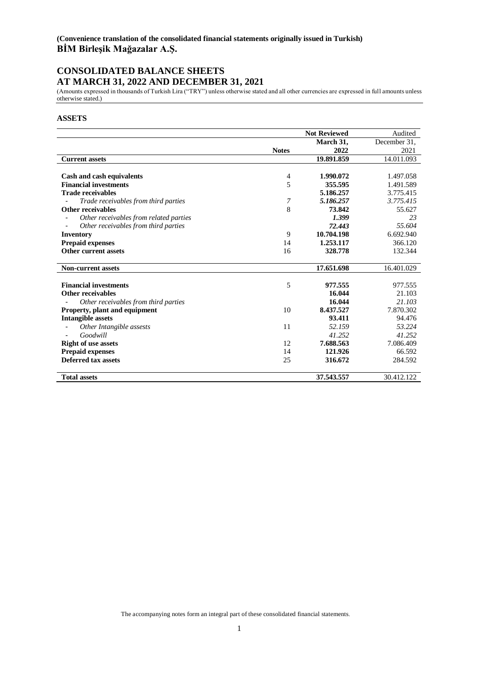# **CONSOLIDATED BALANCE SHEETS**

**AT MARCH 31, 2022 AND DECEMBER 31, 2021**

(Amounts expressed in thousands of Turkish Lira ("TRY") unless otherwise stated and all other currencies are expressed in full amounts unless otherwise stated.)

## **ASSETS**

|                                        |              | <b>Not Reviewed</b> | Audited      |
|----------------------------------------|--------------|---------------------|--------------|
|                                        |              | March 31,           | December 31, |
|                                        | <b>Notes</b> | 2022                | 2021         |
| <b>Current assets</b>                  |              | 19.891.859          | 14.011.093   |
|                                        |              |                     |              |
| <b>Cash and cash equivalents</b>       | 4            | 1.990.072           | 1.497.058    |
| <b>Financial investments</b>           | 5            | 355.595             | 1.491.589    |
| <b>Trade receivables</b>               |              | 5.186.257           | 3.775.415    |
| Trade receivables from third parties   | 7            | 5.186.257           | 3.775.415    |
| Other receivables                      | 8            | 73.842              | 55.627       |
| Other receivables from related parties |              | 1.399               | 23           |
| Other receivables from third parties   |              | 72.443              | 55.604       |
| <b>Inventory</b>                       | 9            | 10.704.198          | 6.692.940    |
| <b>Prepaid expenses</b>                | 14           | 1.253.117           | 366.120      |
| <b>Other current assets</b>            | 16           | 328.778             | 132.344      |
| <b>Non-current assets</b>              |              | 17.651.698          | 16.401.029   |
|                                        |              |                     |              |
| <b>Financial investments</b>           | 5            | 977.555             | 977.555      |
| Other receivables                      |              | 16.044              | 21.103       |
| Other receivables from third parties   |              | 16.044              | 21.103       |
| Property, plant and equipment          | 10           | 8.437.527           | 7.870.302    |
| Intangible assets                      |              | 93.411              | 94.476       |
| Other Intangible assests               | 11           | 52.159              | 53.224       |
| Goodwill                               |              | 41.252              | 41.252       |
| <b>Right of use assets</b>             | 12           | 7.688.563           | 7.086.409    |
| <b>Prepaid expenses</b>                | 14           | 121.926             | 66.592       |
| <b>Deferred tax assets</b>             | 25           | 316.672             | 284.592      |
| <b>Total assets</b>                    |              | 37.543.557          | 30.412.122   |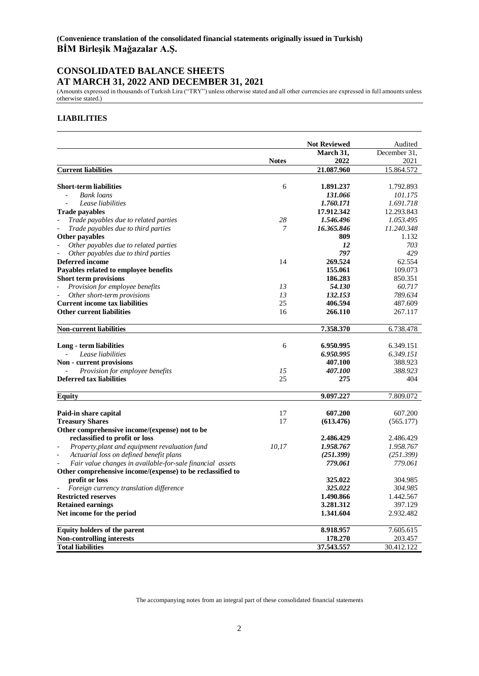## **CONSOLIDATED BALANCE SHEETS**

## **AT MARCH 31, 2022 AND DECEMBER 31, 2021**

(Amounts expressed in thousands of Turkish Lira ("TRY") unless otherwise stated and all other currencies are expressed in full amounts unless otherwise stated.)

## **LIABILITIES**

|                                                            |              | <b>Not Reviewed</b> | Audited      |
|------------------------------------------------------------|--------------|---------------------|--------------|
|                                                            |              | March 31,           | December 31, |
|                                                            | <b>Notes</b> | 2022                | 2021         |
| <b>Current liabilities</b>                                 |              | 21.087.960          | 15.864.572   |
| <b>Short-term liabilities</b>                              | 6            | 1.891.237           | 1.792.893    |
| ÷,<br><b>Bank</b> loans                                    |              | 131.066             | 101.175      |
| Lease liabilities                                          |              | 1.760.171           | 1.691.718    |
| <b>Trade payables</b>                                      |              | 17.912.342          | 12.293.843   |
| Trade payables due to related parties<br>÷,                | 28           | 1.546.496           | 1.053.495    |
| Trade payables due to third parties                        | 7            | 16.365.846          | 11.240.348   |
| Other payables                                             |              | 809                 | 1.132        |
| Other payables due to related parties                      |              | 12                  | 703          |
| Other payables due to third parties                        |              | 797                 | 429          |
| <b>Deferred</b> income                                     | 14           | 269.524             | 62.554       |
| Payables related to employee benefits                      |              | 155.061             | 109.073      |
| <b>Short term provisions</b>                               |              | 186.283             | 850.351      |
| Provision for employee benefits                            | 13           | 54.130              | 60.717       |
| Other short-term provisions                                | 13           | 132.153             | 789.634      |
| <b>Current income tax liabilities</b>                      | 25           | 406.594             | 487.609      |
| <b>Other current liabilities</b>                           | 16           | 266.110             | 267.117      |
|                                                            |              |                     |              |
| <b>Non-current liabilities</b>                             |              | 7.358.370           | 6.738.478    |
| Long - term liabilities                                    | 6            | 6.950.995           | 6.349.151    |
| Lease liabilities                                          |              | 6.950.995           | 6.349.151    |
| Non - current provisions                                   |              | 407.100             | 388.923      |
| Provision for employee benefits                            | 15           | 407.100             | 388.923      |
| <b>Deferred tax liabilities</b>                            | 25           | 275                 | 404          |
| <b>Equity</b>                                              |              | 9.097.227           | 7.809.072    |
|                                                            |              |                     |              |
| Paid-in share capital                                      | 17           | 607.200             | 607.200      |
| <b>Treasury Shares</b>                                     | 17           | (613.476)           | (565.177)    |
| Other comprehensive income/(expense) not to be             |              |                     |              |
| reclassified to profit or loss                             |              | 2.486.429           | 2.486.429    |
| Property, plant and equipment revaluation fund             | 10,17        | 1.958.767           | 1.958.767    |
| Actuarial loss on defined benefit plans                    |              | (251.399)           | (251.399)    |
| Fair value changes in available-for-sale financial assets  |              | 779.061             | 779.061      |
| Other comprehensive income/(expense) to be reclassified to |              |                     |              |
| profit or loss                                             |              | 325.022             | 304.985      |
| Foreign currency translation difference                    |              | 325.022             | 304.985      |
| <b>Restricted reserves</b>                                 |              | 1.490.866           | 1.442.567    |
| <b>Retained earnings</b>                                   |              | 3.281.312           | 397.129      |
| Net income for the period                                  |              | 1.341.604           | 2.932.482    |
| <b>Equity holders of the parent</b>                        |              | 8.918.957           | 7.605.615    |
| <b>Non-controlling interests</b>                           |              | 178.270             | 203.457      |
| <b>Total liabilities</b>                                   |              | 37.543.557          | 30.412.122   |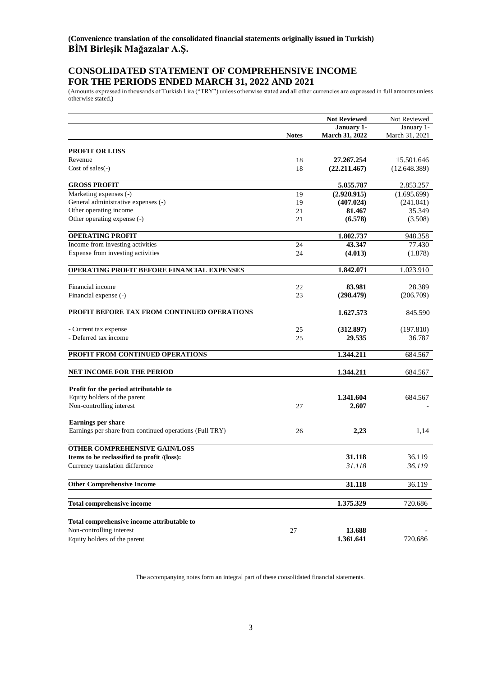## **CONSOLIDATED STATEMENT OF COMPREHENSIVE INCOME FOR THE PERIODS ENDED MARCH 31, 2022 AND 2021**

(Amounts expressed in thousands of Turkish Lira ("TRY") unless otherwise stated and all other currencies are expressed in full amounts unless otherwise stated.)

|                                                         |              | <b>Not Reviewed</b>          | Not Reviewed                 |
|---------------------------------------------------------|--------------|------------------------------|------------------------------|
|                                                         | <b>Notes</b> | January 1-<br>March 31, 2022 | January 1-<br>March 31, 2021 |
| <b>PROFIT OR LOSS</b>                                   |              |                              |                              |
| Revenue                                                 | 18           | 27.267.254                   | 15.501.646                   |
| $Cost of sales(-)$                                      | 18           | (22.211.467)                 | (12.648.389)                 |
| <b>GROSS PROFIT</b>                                     |              | 5.055.787                    | 2.853.257                    |
| Marketing expenses (-)                                  | 19           | (2.920.915)                  | (1.695.699)                  |
| General administrative expenses (-)                     | 19           | (407.024)                    | (241.041)                    |
| Other operating income                                  | 21           | 81.467                       | 35.349                       |
| Other operating expense (-)                             | 21           | (6.578)                      | (3.508)                      |
| <b>OPERATING PROFIT</b>                                 |              | 1.802.737                    | 948.358                      |
| Income from investing activities                        | 24           | 43.347                       | 77.430                       |
| Expense from investing activities                       | 24           | (4.013)                      | (1.878)                      |
| OPERATING PROFIT BEFORE FINANCIAL EXPENSES              |              | 1.842.071                    | 1.023.910                    |
|                                                         |              |                              |                              |
| Financial income                                        | 22           | 83.981                       | 28.389                       |
| Financial expense (-)                                   | 23           | (298.479)                    | (206.709)                    |
| PROFIT BEFORE TAX FROM CONTINUED OPERATIONS             |              | 1.627.573                    | 845.590                      |
| - Current tax expense                                   | 25           | (312.897)                    | (197.810)                    |
| - Deferred tax income                                   | 25           | 29.535                       | 36.787                       |
| PROFIT FROM CONTINUED OPERATIONS                        |              | 1.344.211                    | 684.567                      |
|                                                         |              |                              |                              |
| <b>NET INCOME FOR THE PERIOD</b>                        |              | 1.344.211                    | 684.567                      |
| Profit for the period attributable to                   |              |                              |                              |
| Equity holders of the parent                            |              | 1.341.604                    | 684.567                      |
| Non-controlling interest                                | 27           | 2.607                        |                              |
| <b>Earnings per share</b>                               |              |                              |                              |
| Earnings per share from continued operations (Full TRY) | 26           | 2,23                         | 1,14                         |
| <b>OTHER COMPREHENSIVE GAIN/LOSS</b>                    |              |                              |                              |
| Items to be reclassified to profit /(loss):             |              | 31.118                       | 36.119                       |
| Currency translation difference                         |              | 31.118                       | 36.119                       |
| <b>Other Comprehensive Income</b>                       |              | 31.118                       | 36.119                       |
| <b>Total comprehensive income</b>                       |              | 1.375.329                    | 720.686                      |
| Total comprehensive income attributable to              |              |                              |                              |
| Non-controlling interest                                | 27           | 13.688                       |                              |
| Equity holders of the parent                            |              | 1.361.641                    | 720.686                      |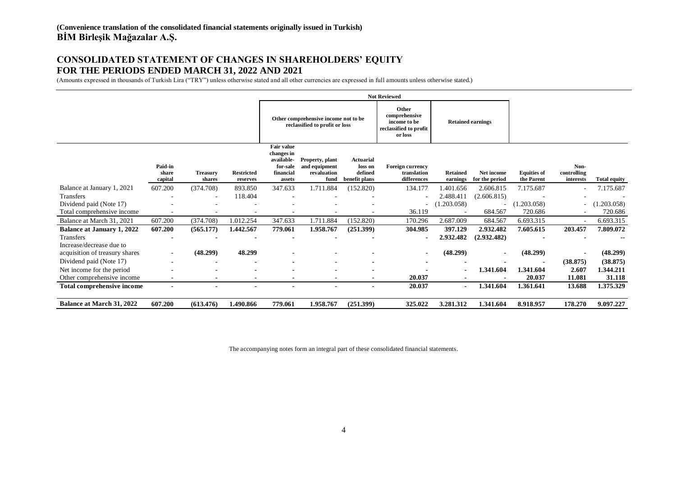## **CONSOLIDATED STATEMENT OF CHANGES IN SHAREHOLDERS' EQUITY FOR THE PERIODS ENDED MARCH 31, 2022 AND 2021**

(Amounts expressed in thousands of Turkish Lira ("TRY") unless otherwise stated and all other currencies are expressed in full amounts unless otherwise stated.)

|                                       |                                                                                                                                                                                   |                           |                               | <b>Not Reviewed</b>                                                              |                                                         |                                                         |                                                       |                             |                              |                                  |                                  |                     |
|---------------------------------------|-----------------------------------------------------------------------------------------------------------------------------------------------------------------------------------|---------------------------|-------------------------------|----------------------------------------------------------------------------------|---------------------------------------------------------|---------------------------------------------------------|-------------------------------------------------------|-----------------------------|------------------------------|----------------------------------|----------------------------------|---------------------|
|                                       | Other<br>comprehensive<br>Other comprehensive income not to be<br>income to be<br><b>Retained earnings</b><br>reclassified to profit or loss<br>reclassified to profit<br>or loss |                           |                               |                                                                                  |                                                         |                                                         |                                                       |                             |                              |                                  |                                  |                     |
|                                       | Paid-in<br>share<br>capital                                                                                                                                                       | <b>Treasury</b><br>shares | <b>Restricted</b><br>reserves | <b>Fair value</b><br>changes in<br>available-<br>for-sale<br>financial<br>assets | Property, plant<br>and equipment<br>revaluation<br>fund | <b>Actuarial</b><br>loss on<br>defined<br>benefit plans | <b>Foreign currency</b><br>translation<br>differences | <b>Retained</b><br>earnings | Net income<br>for the period | <b>Equities of</b><br>the Parent | Non-<br>controlling<br>interests | <b>Total equity</b> |
| Balance at January 1, 2021            | 607.200                                                                                                                                                                           | (374.708)                 | 893.850                       | 347.633                                                                          | 1.711.884                                               | (152.820)                                               | 134.177                                               | .401.656                    | 2.606.815                    | 7.175.687                        |                                  | 7.175.687           |
| Transfers                             |                                                                                                                                                                                   |                           | 118.404                       |                                                                                  |                                                         |                                                         |                                                       | 2.488.411                   | (2.606.815)                  |                                  |                                  |                     |
| Dividend paid (Note 17)               |                                                                                                                                                                                   |                           |                               |                                                                                  |                                                         |                                                         |                                                       | (1.203.058)                 |                              | (1.203.058)                      |                                  | (1.203.058)         |
| Total comprehensive income            |                                                                                                                                                                                   |                           |                               |                                                                                  |                                                         |                                                         | 36.119                                                |                             | 684.567                      | 720.686                          |                                  | 720.686             |
| Balance at March 31, 2021             | 607.200                                                                                                                                                                           | (374.708)                 | 1.012.254                     | 347.633                                                                          | 1.711.884                                               | (152.820)                                               | 170.296                                               | 2.687.009                   | 684.567                      | 6.693.315                        | $\sim$                           | 6.693.315           |
| Balance at January 1, 2022            | 607.200                                                                                                                                                                           | (565.177)                 | 1.442.567                     | 779.061                                                                          | 1.958.767                                               | (251.399)                                               | 304.985                                               | 397.129                     | 2.932.482                    | 7.605.615                        | 203.457                          | 7.809.072           |
| Transfers<br>Increase/decrease due to |                                                                                                                                                                                   |                           |                               |                                                                                  |                                                         |                                                         |                                                       | 2.932.482                   | (2.932.482)                  |                                  |                                  |                     |
| acquisition of treasury shares        | $\blacksquare$                                                                                                                                                                    | (48.299)                  | 48.299                        |                                                                                  |                                                         |                                                         | $\blacksquare$                                        | (48.299)                    |                              | (48.299)                         |                                  | (48.299)            |
| Dividend paid (Note 17)               | ٠                                                                                                                                                                                 |                           |                               |                                                                                  |                                                         |                                                         |                                                       |                             |                              |                                  | (38.875)                         | (38.875)            |
| Net income for the period             |                                                                                                                                                                                   |                           |                               |                                                                                  |                                                         |                                                         |                                                       | ٠                           | 1.341.604                    | 1.341.604                        | 2.607                            | 1.344.211           |
| Other comprehensive income            |                                                                                                                                                                                   |                           |                               |                                                                                  |                                                         |                                                         | 20.037                                                |                             |                              | 20.037                           | 11.081                           | 31.118              |
| Total comprehensive income            |                                                                                                                                                                                   |                           |                               |                                                                                  |                                                         |                                                         | 20.037                                                | ٠                           | 1.341.604                    | 1.361.641                        | 13.688                           | 1.375.329           |
| Balance at March 31, 2022             | 607.200                                                                                                                                                                           | (613.476)                 | 1.490.866                     | 779.061                                                                          | 1.958.767                                               | (251.399)                                               | 325.022                                               | 3.281.312                   | 1.341.604                    | 8.918.957                        | 178.270                          | 9.097.227           |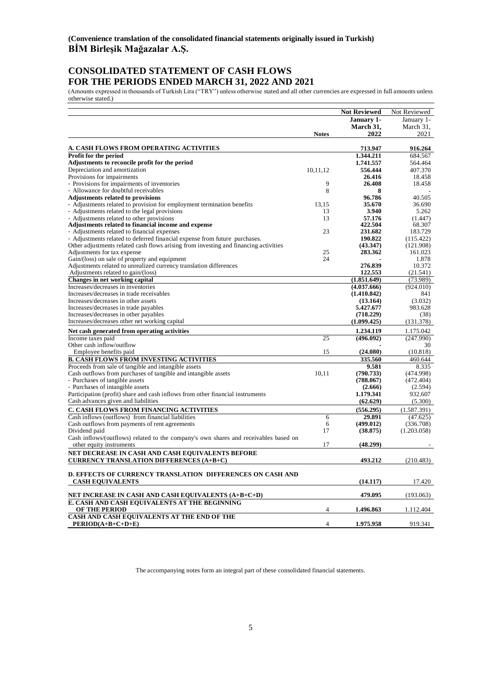## **CONSOLIDATED STATEMENT OF CASH FLOWS FOR THE PERIODS ENDED MARCH 31, 2022 AND 2021**

(Amounts expressed in thousands of Turkish Lira ("TRY") unless otherwise stated and all other currencies are expressed in full amounts unless otherwise stated.)

|                                                                                      |                | <b>Not Reviewed</b> | Not Reviewed |
|--------------------------------------------------------------------------------------|----------------|---------------------|--------------|
|                                                                                      |                | January 1-          | January 1-   |
|                                                                                      |                | March 31,           | March 31,    |
|                                                                                      | <b>Notes</b>   | 2022                | 2021         |
|                                                                                      |                |                     |              |
| A. CASH FLOWS FROM OPERATING ACTIVITIES                                              |                | 713.947             | 916.264      |
| Profit for the period                                                                |                | 1.344.211           | 684.567      |
| Adjustments to reconcile profit for the period                                       |                | 1.741.557           | 564.464      |
| Depreciation and amortization                                                        | 10,11,12       | 556.444             | 407.370      |
| Provisions for impairments                                                           |                | 26.416              | 18.458       |
| - Provisions for impairments of inventories                                          | 9              | 26.408              | 18.458       |
| - Allowance for doubtful receivables                                                 | 8              | 8                   |              |
| <b>Adjustments related to provisions</b>                                             |                | 96.786              | 40.505       |
| - Adjustments related to provision for employment termination benefits               | 13.15          | 35.670              | 36.690       |
| - Adjustments related to the legal provisions                                        | 13             | 3.940               | 5.262        |
| - Adjustments related to other provisions                                            | 13             | 57.176              | (1.447)      |
| Adjustments related to financial income and expense                                  |                | 422.504             | 68.307       |
| - Adjustments related to financial expenses                                          | 23             | 231.682             | 183.729      |
| - Adjustments related to deferred financial expense from future purchases.           |                | 190.822             | (115.422)    |
| Other adjustments related cash flows arising from investing and financing activities |                | (43.347)            | (121.908)    |
| Adjustments for tax expense                                                          | 25             | 283.362             | 161.023      |
| Gain/(loss) on sale of property and equipment                                        | 24             |                     | 1.878        |
| Adjustments related to unrealized currency translation differences                   |                | 276.839             | 10.372       |
| Adjustments related to gain/(loss)                                                   |                | 122.553             | (21.541)     |
| Changes in net working capital                                                       |                | (1.851.649)         | (73.989)     |
| Increases/decreases in inventories                                                   |                | (4.037.666)         | (924.010)    |
| Increases/decreases in trade receivables                                             |                | (1.410.842)         | 841          |
| Increases/decreases in other assets                                                  |                | (13.164)            | (3.032)      |
| Increases/decreases in trade payables                                                |                | 5.427.677           | 983.628      |
| Increases/decreases in other payables                                                |                | (718.229)           | (38)         |
| Increases/decreases other net working capital                                        |                | (1.099.425)         | (131.378)    |
| Net cash generated from operating activities                                         |                | 1.234.119           | 1.175.042    |
| Income taxes paid                                                                    | 25             | (496.092)           | (247.990)    |
| Other cash inflow/outflow                                                            |                |                     | 30           |
| Employee benefits paid                                                               | 15             | (24.080)            | (10.818)     |
| <b>B. CASH FLOWS FROM INVESTING ACTIVITIES</b>                                       |                | 335.560             | 460.644      |
| Proceeds from sale of tangible and intangible assets                                 |                | 9.581               | 8.335        |
| Cash outflows from purchases of tangible and intangible assets                       | 10,11          | (790.733)           | (474.998)    |
| - Purchases of tangible assets                                                       |                | (788.067)           | (472.404)    |
| - Purchases of intangible assets                                                     |                | (2.666)             | (2.594)      |
| Participation (profit) share and cash inflows from other financial instruments       |                | 1.179.341           | 932.607      |
| Cash advances given and liabilities                                                  |                | (62.629)            | (5.300)      |
| <b>C. CASH FLOWS FROM FINANCING ACTIVITIES</b>                                       |                | (556.295)           | (1.587.391)  |
| Cash inflows (outflows) from financial liabilities                                   | 6              | 29.891              | (47.625)     |
| Cash outflows from payments of rent agreements                                       | 6              | (499.012)           | (336.708)    |
| Dividend paid                                                                        | 17             | (38.875)            | (1.203.058)  |
| Cash inflows/(outflows) related to the company's own shares and receivables based on |                |                     |              |
| other equity instruments                                                             | 17             | (48.299)            |              |
| NET DECREASE IN CASH AND CASH EOUIVALENTS BEFORE                                     |                |                     |              |
| <b>CURRENCY TRANSLATION DIFFERENCES (A+B+C)</b>                                      |                | 493.212             | (210.483)    |
|                                                                                      |                |                     |              |
| D. EFFECTS OF CURRENCY TRANSLATION DIFFERENCES ON CASH AND                           |                |                     |              |
| <b>CASH EQUIVALENTS</b>                                                              |                | (14.117)            | 17.420       |
| NET INCREASE IN CASH AND CASH EQUIVALENTS (A+B+C+D)                                  |                | 479.095             | (193.063)    |
| E. CASH AND CASH EQUIVALENTS AT THE BEGINNING                                        |                |                     |              |
| OF THE PERIOD                                                                        | 4              | 1.496.863           | 1.112.404    |
| CASH AND CASH EQUIVALENTS AT THE END OF THE                                          |                |                     |              |
| $PERIOD(A+B+C+D+E)$                                                                  | $\overline{4}$ | 1.975.958           | 919.341      |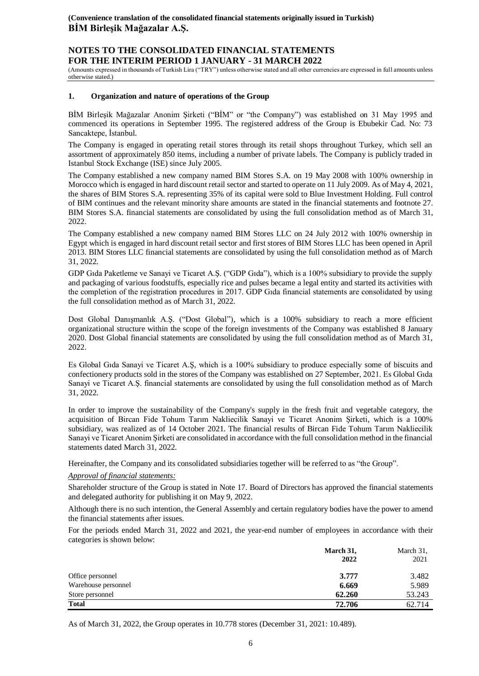## **NOTES TO THE CONSOLIDATED FINANCIAL STATEMENTS FOR THE INTERIM PERIOD 1 JANUARY - 31 MARCH 2022**

(Amounts expressed in thousands of Turkish Lira ("TRY") unless otherwise stated and all other currencies are expressed in full amounts unless otherwise stated.)

#### **1. Organization and nature of operations of the Group**

BİM Birleşik Mağazalar Anonim Şirketi ("BİM" or "the Company") was established on 31 May 1995 and commenced its operations in September 1995. The registered address of the Group is Ebubekir Cad. No: 73 Sancaktepe, İstanbul.

The Company is engaged in operating retail stores through its retail shops throughout Turkey, which sell an assortment of approximately 850 items, including a number of private labels. The Company is publicly traded in Istanbul Stock Exchange (ISE) since July 2005.

The Company established a new company named BIM Stores S.A. on 19 May 2008 with 100% ownership in Morocco which is engaged in hard discount retail sector and started to operate on 11 July 2009. As of May 4, 2021, the shares of BIM Stores S.A. representing 35% of its capital were sold to Blue Investment Holding. Full control of BIM continues and the relevant minority share amounts are stated in the financial statements and footnote 27. BIM Stores S.A. financial statements are consolidated by using the full consolidation method as of March 31, 2022.

The Company established a new company named BIM Stores LLC on 24 July 2012 with 100% ownership in Egypt which is engaged in hard discount retail sector and first stores of BIM Stores LLC has been opened in April 2013. BIM Stores LLC financial statements are consolidated by using the full consolidation method as of March 31, 2022.

GDP Gıda Paketleme ve Sanayi ve Ticaret A.Ş. ("GDP Gıda"), which is a 100% subsidiary to provide the supply and packaging of various foodstuffs, especially rice and pulses became a legal entity and started its activities with the completion of the registration procedures in 2017. GDP Gıda financial statements are consolidated by using the full consolidation method as of March 31, 2022.

Dost Global Danışmanlık A.Ş. ("Dost Global"), which is a 100% subsidiary to reach a more efficient organizational structure within the scope of the foreign investments of the Company was established 8 January 2020. Dost Global financial statements are consolidated by using the full consolidation method as of March 31, 2022.

Es Global Gıda Sanayi ve Ticaret A.Ş, which is a 100% subsidiary to produce especially some of biscuits and confectionery products sold in the stores of the Company was established on 27 September, 2021. Es Global Gıda Sanayi ve Ticaret A.Ş. financial statements are consolidated by using the full consolidation method as of March 31, 2022.

In order to improve the sustainability of the Company's supply in the fresh fruit and vegetable category, the acquisition of Bircan Fide Tohum Tarım Nakliecilik Sanayi ve Ticaret Anonim Şirketi, which is a 100% subsidiary, was realized as of 14 October 2021. The financial results of Bircan Fide Tohum Tarım Nakliecilik Sanayi ve Ticaret Anonim Şirketi are consolidated in accordance with the full consolidation method in the financial statements dated March 31, 2022.

Hereinafter, the Company and its consolidated subsidiaries together will be referred to as "the Group".

#### *Approval of financial statements:*

Shareholder structure of the Group is stated in Note 17. Board of Directors has approved the financial statements and delegated authority for publishing it on May 9, 2022.

Although there is no such intention, the General Assembly and certain regulatory bodies have the power to amend the financial statements after issues.

For the periods ended March 31, 2022 and 2021, the year-end number of employees in accordance with their categories is shown below:

|                     | March 31, | March 31, |
|---------------------|-----------|-----------|
|                     | 2022      | 2021      |
| Office personnel    | 3.777     | 3.482     |
| Warehouse personnel | 6.669     | 5.989     |
| Store personnel     | 62.260    | 53.243    |
| <b>Total</b>        | 72.706    | 62.714    |

As of March 31, 2022, the Group operates in 10.778 stores (December 31, 2021: 10.489).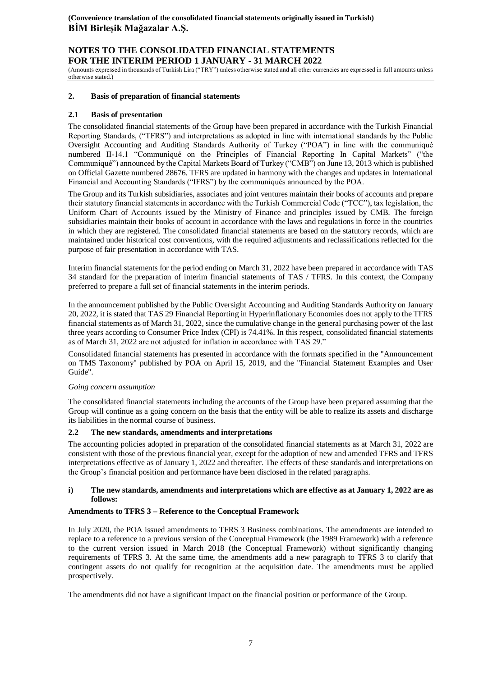## **NOTES TO THE CONSOLIDATED FINANCIAL STATEMENTS FOR THE INTERIM PERIOD 1 JANUARY - 31 MARCH 2022**

(Amounts expressed in thousands of Turkish Lira ("TRY") unless otherwise stated and all other currencies are expressed in full amounts unless otherwise stated.)

## **2. Basis of preparation of financial statements**

## **2.1 Basis of presentation**

The consolidated financial statements of the Group have been prepared in accordance with the Turkish Financial Reporting Standards, ("TFRS") and interpretations as adopted in line with international standards by the Public Oversight Accounting and Auditing Standards Authority of Turkey ("POA") in line with the communiqué numbered II-14.1 "Communiqué on the Principles of Financial Reporting In Capital Markets" ("the Communiqué") announced by the Capital Markets Board of Turkey ("CMB") on June 13, 2013 which is published on Official Gazette numbered 28676. TFRS are updated in harmony with the changes and updates in International Financial and Accounting Standards ("IFRS") by the communiqués announced by the POA.

The Group and its Turkish subsidiaries, associates and joint ventures maintain their books of accounts and prepare their statutory financial statements in accordance with the Turkish Commercial Code ("TCC"), tax legislation, the Uniform Chart of Accounts issued by the Ministry of Finance and principles issued by CMB. The foreign subsidiaries maintain their books of account in accordance with the laws and regulations in force in the countries in which they are registered. The consolidated financial statements are based on the statutory records, which are maintained under historical cost conventions, with the required adjustments and reclassifications reflected for the purpose of fair presentation in accordance with TAS.

Interim financial statements for the period ending on March 31, 2022 have been prepared in accordance with TAS 34 standard for the preparation of interim financial statements of TAS / TFRS. In this context, the Company preferred to prepare a full set of financial statements in the interim periods.

In the announcement published by the Public Oversight Accounting and Auditing Standards Authority on January 20, 2022, it is stated that TAS 29 Financial Reporting in Hyperinflationary Economies does not apply to the TFRS financial statements as of March 31, 2022, since the cumulative change in the general purchasing power of the last three years according to Consumer Price Index (CPI) is 74.41%. In this respect, consolidated financial statements as of March 31, 2022 are not adjusted for inflation in accordance with TAS 29."

Consolidated financial statements has presented in accordance with the formats specified in the "Announcement on TMS Taxonomy" published by POA on April 15, 2019, and the "Financial Statement Examples and User Guide".

## *Going concern assumption*

The consolidated financial statements including the accounts of the Group have been prepared assuming that the Group will continue as a going concern on the basis that the entity will be able to realize its assets and discharge its liabilities in the normal course of business.

## **2.2 The new standards, amendments and interpretations**

The accounting policies adopted in preparation of the consolidated financial statements as at March 31, 2022 are consistent with those of the previous financial year, except for the adoption of new and amended TFRS and TFRS interpretations effective as of January 1, 2022 and thereafter. The effects of these standards and interpretations on the Group's financial position and performance have been disclosed in the related paragraphs.

## **i) The new standards, amendments and interpretations which are effective as at January 1, 2022 are as follows:**

## **Amendments to TFRS 3 – Reference to the Conceptual Framework**

In July 2020, the POA issued amendments to TFRS 3 Business combinations. The amendments are intended to replace to a reference to a previous version of the Conceptual Framework (the 1989 Framework) with a reference to the current version issued in March 2018 (the Conceptual Framework) without significantly changing requirements of TFRS 3. At the same time, the amendments add a new paragraph to TFRS 3 to clarify that contingent assets do not qualify for recognition at the acquisition date. The amendments must be applied prospectively.

The amendments did not have a significant impact on the financial position or performance of the Group.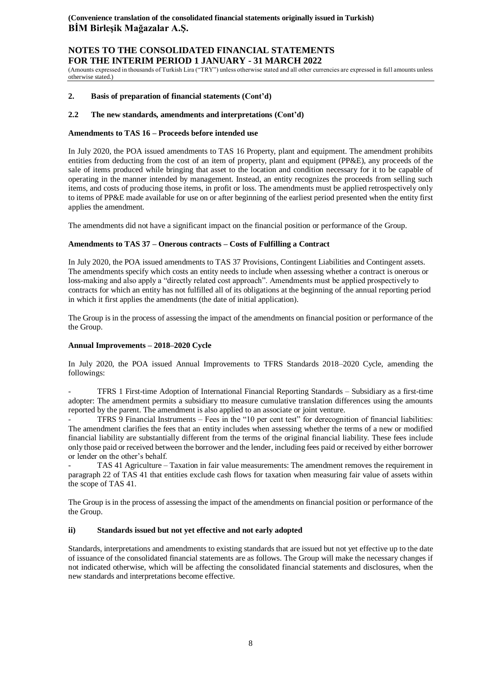## **NOTES TO THE CONSOLIDATED FINANCIAL STATEMENTS FOR THE INTERIM PERIOD 1 JANUARY - 31 MARCH 2022**

(Amounts expressed in thousands of Turkish Lira ("TRY") unless otherwise stated and all other currencies are expressed in full amounts unless otherwise stated.)

## **2. Basis of preparation of financial statements (Cont'd)**

#### **2.2 The new standards, amendments and interpretations (Cont'd)**

#### **Amendments to TAS 16 – Proceeds before intended use**

In July 2020, the POA issued amendments to TAS 16 Property, plant and equipment. The amendment prohibits entities from deducting from the cost of an item of property, plant and equipment (PP&E), any proceeds of the sale of items produced while bringing that asset to the location and condition necessary for it to be capable of operating in the manner intended by management. Instead, an entity recognizes the proceeds from selling such items, and costs of producing those items, in profit or loss. The amendments must be applied retrospectively only to items of PP&E made available for use on or after beginning of the earliest period presented when the entity first applies the amendment.

The amendments did not have a significant impact on the financial position or performance of the Group.

#### **Amendments to TAS 37 – Onerous contracts – Costs of Fulfilling a Contract**

In July 2020, the POA issued amendments to TAS 37 Provisions, Contingent Liabilities and Contingent assets. The amendments specify which costs an entity needs to include when assessing whether a contract is onerous or loss-making and also apply a "directly related cost approach". Amendments must be applied prospectively to contracts for which an entity has not fulfilled all of its obligations at the beginning of the annual reporting period in which it first applies the amendments (the date of initial application).

The Group is in the process of assessing the impact of the amendments on financial position or performance of the the Group.

#### **Annual Improvements – 2018–2020 Cycle**

In July 2020, the POA issued Annual Improvements to TFRS Standards 2018–2020 Cycle, amending the followings:

- TFRS 1 First-time Adoption of International Financial Reporting Standards – Subsidiary as a first-time adopter: The amendment permits a subsidiary tto measure cumulative translation differences using the amounts reported by the parent. The amendment is also applied to an associate or joint venture.

- TFRS 9 Financial Instruments – Fees in the "10 per cent test" for derecognition of financial liabilities: The amendment clarifies the fees that an entity includes when assessing whether the terms of a new or modified financial liability are substantially different from the terms of the original financial liability. These fees include only those paid or received between the borrower and the lender, including fees paid or received by either borrower or lender on the other's behalf.

TAS 41 Agriculture – Taxation in fair value measurements: The amendment removes the requirement in paragraph 22 of TAS 41 that entities exclude cash flows for taxation when measuring fair value of assets within the scope of TAS 41.

The Group is in the process of assessing the impact of the amendments on financial position or performance of the the Group.

#### **ii) Standards issued but not yet effective and not early adopted**

Standards, interpretations and amendments to existing standards that are issued but not yet effective up to the date of issuance of the consolidated financial statements are as follows. The Group will make the necessary changes if not indicated otherwise, which will be affecting the consolidated financial statements and disclosures, when the new standards and interpretations become effective.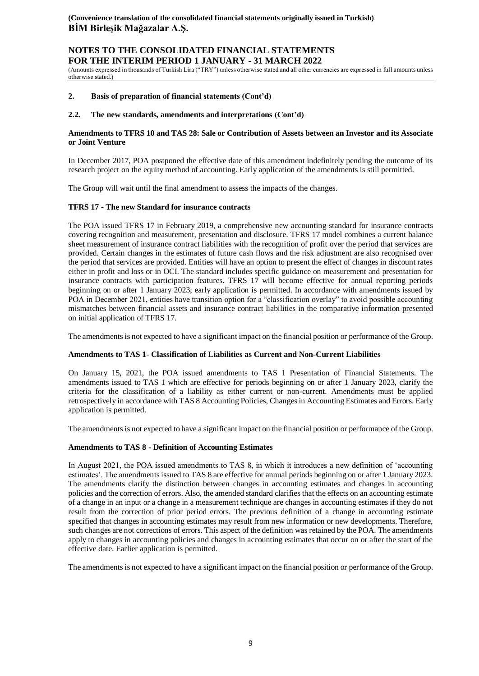## **NOTES TO THE CONSOLIDATED FINANCIAL STATEMENTS FOR THE INTERIM PERIOD 1 JANUARY - 31 MARCH 2022**

(Amounts expressed in thousands of Turkish Lira ("TRY") unless otherwise stated and all other currencies are expressed in full amounts unless otherwise stated.)

#### **2. Basis of preparation of financial statements (Cont'd)**

#### **2.2. The new standards, amendments and interpretations (Cont'd)**

## **Amendments to TFRS 10 and TAS 28: Sale or Contribution of Assets between an Investor and its Associate or Joint Venture**

In December 2017, POA postponed the effective date of this amendment indefinitely pending the outcome of its research project on the equity method of accounting. Early application of the amendments is still permitted.

The Group will wait until the final amendment to assess the impacts of the changes.

#### **TFRS 17 - The new Standard for insurance contracts**

The POA issued TFRS 17 in February 2019, a comprehensive new accounting standard for insurance contracts covering recognition and measurement, presentation and disclosure. TFRS 17 model combines a current balance sheet measurement of insurance contract liabilities with the recognition of profit over the period that services are provided. Certain changes in the estimates of future cash flows and the risk adjustment are also recognised over the period that services are provided. Entities will have an option to present the effect of changes in discount rates either in profit and loss or in OCI. The standard includes specific guidance on measurement and presentation for insurance contracts with participation features. TFRS 17 will become effective for annual reporting periods beginning on or after 1 January 2023; early application is permitted. In accordance with amendments issued by POA in December 2021, entities have transition option for a "classification overlay" to avoid possible accounting mismatches between financial assets and insurance contract liabilities in the comparative information presented on initial application of TFRS 17.

The amendments is not expected to have a significant impact on the financial position or performance of the Group.

#### **Amendments to TAS 1- Classification of Liabilities as Current and Non-Current Liabilities**

On January 15, 2021, the POA issued amendments to TAS 1 Presentation of Financial Statements. The amendments issued to TAS 1 which are effective for periods beginning on or after 1 January 2023, clarify the criteria for the classification of a liability as either current or non-current. Amendments must be applied retrospectively in accordance with TAS 8 Accounting Policies, Changes in Accounting Estimates and Errors. Early application is permitted.

The amendments is not expected to have a significant impact on the financial position or performance of the Group.

#### **Amendments to TAS 8 - Definition of Accounting Estimates**

In August 2021, the POA issued amendments to TAS 8, in which it introduces a new definition of 'accounting estimates'. The amendments issued to TAS 8 are effective for annual periods beginning on or after 1 January 2023. The amendments clarify the distinction between changes in accounting estimates and changes in accounting policies and the correction of errors. Also, the amended standard clarifies that the effects on an accounting estimate of a change in an input or a change in a measurement technique are changes in accounting estimates if they do not result from the correction of prior period errors. The previous definition of a change in accounting estimate specified that changes in accounting estimates may result from new information or new developments. Therefore, such changes are not corrections of errors. This aspect of the definition was retained by the POA. The amendments apply to changes in accounting policies and changes in accounting estimates that occur on or after the start of the effective date. Earlier application is permitted.

The amendments is not expected to have a significant impact on the financial position or performance of the Group.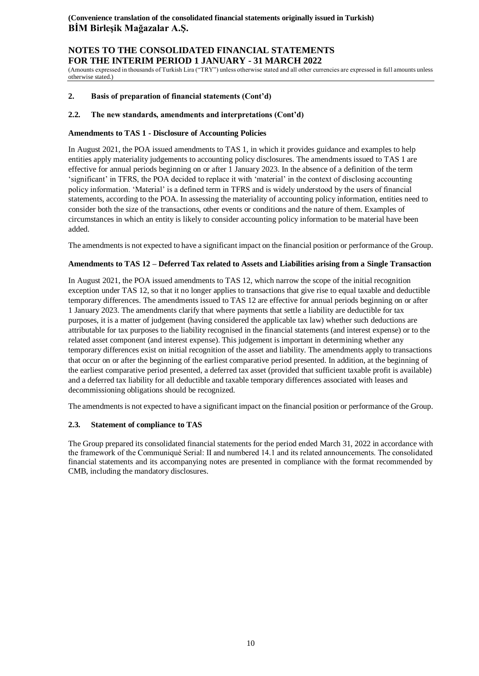## **NOTES TO THE CONSOLIDATED FINANCIAL STATEMENTS FOR THE INTERIM PERIOD 1 JANUARY - 31 MARCH 2022**

(Amounts expressed in thousands of Turkish Lira ("TRY") unless otherwise stated and all other currencies are expressed in full amounts unless otherwise stated.)

## **2. Basis of preparation of financial statements (Cont'd)**

#### **2.2. The new standards, amendments and interpretations (Cont'd)**

#### **Amendments to TAS 1 - Disclosure of Accounting Policies**

In August 2021, the POA issued amendments to TAS 1, in which it provides guidance and examples to help entities apply materiality judgements to accounting policy disclosures. The amendments issued to TAS 1 are effective for annual periods beginning on or after 1 January 2023. In the absence of a definition of the term 'significant' in TFRS, the POA decided to replace it with 'material' in the context of disclosing accounting policy information. 'Material' is a defined term in TFRS and is widely understood by the users of financial statements, according to the POA. In assessing the materiality of accounting policy information, entities need to consider both the size of the transactions, other events or conditions and the nature of them. Examples of circumstances in which an entity is likely to consider accounting policy information to be material have been added.

The amendments is not expected to have a significant impact on the financial position or performance of the Group.

#### **Amendments to TAS 12 – Deferred Tax related to Assets and Liabilities arising from a Single Transaction**

In August 2021, the POA issued amendments to TAS 12, which narrow the scope of the initial recognition exception under TAS 12, so that it no longer applies to transactions that give rise to equal taxable and deductible temporary differences. The amendments issued to TAS 12 are effective for annual periods beginning on or after 1 January 2023. The amendments clarify that where payments that settle a liability are deductible for tax purposes, it is a matter of judgement (having considered the applicable tax law) whether such deductions are attributable for tax purposes to the liability recognised in the financial statements (and interest expense) or to the related asset component (and interest expense). This judgement is important in determining whether any temporary differences exist on initial recognition of the asset and liability. The amendments apply to transactions that occur on or after the beginning of the earliest comparative period presented. In addition, at the beginning of the earliest comparative period presented, a deferred tax asset (provided that sufficient taxable profit is available) and a deferred tax liability for all deductible and taxable temporary differences associated with leases and decommissioning obligations should be recognized.

The amendments is not expected to have a significant impact on the financial position or performance of the Group.

## **2.3. Statement of compliance to TAS**

The Group prepared its consolidated financial statements for the period ended March 31, 2022 in accordance with the framework of the Communiqué Serial: II and numbered 14.1 and its related announcements. The consolidated financial statements and its accompanying notes are presented in compliance with the format recommended by CMB, including the mandatory disclosures.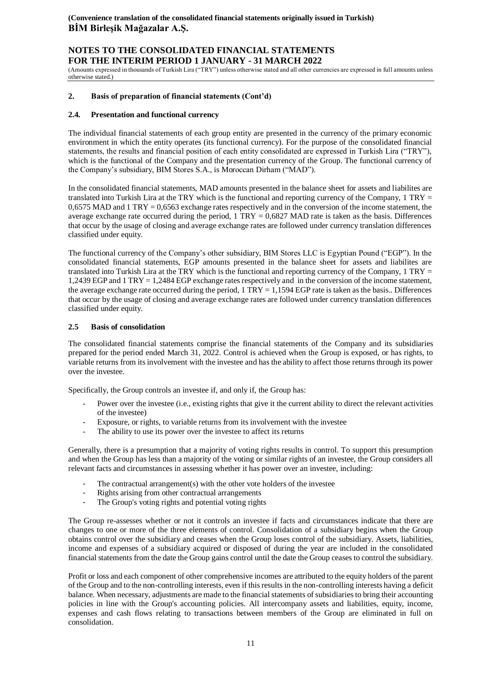(Amounts expressed in thousands of Turkish Lira ("TRY") unless otherwise stated and all other currencies are expressed in full amounts unless otherwise stated.)

## **2. Basis of preparation of financial statements (Cont'd)**

## **2.4. Presentation and functional currency**

The individual financial statements of each group entity are presented in the currency of the primary economic environment in which the entity operates (its functional currency). For the purpose of the consolidated financial statements, the results and financial position of each entity consolidated are expressed in Turkish Lira ("TRY"), which is the functional of the Company and the presentation currency of the Group. The functional currency of the Company's subsidiary, BIM Stores S.A., is Moroccan Dirham ("MAD").

In the consolidated financial statements, MAD amounts presented in the balance sheet for assets and liabilites are translated into Turkish Lira at the TRY which is the functional and reporting currency of the Company, 1 TRY =  $0.6575$  MAD and 1 TRY =  $0.6563$  exchange rates respectively and in the conversion of the income statement, the average exchange rate occurred during the period,  $1 \text{ TRY} = 0.6827 \text{ MAD}$  rate is taken as the basis. Differences that occur by the usage of closing and average exchange rates are followed under currency translation differences classified under equity.

The functional currency of the Company's other subsidiary, BIM Stores LLC is Egyptian Pound ("EGP"). In the consolidated financial statements, EGP amounts presented in the balance sheet for assets and liabilites are translated into Turkish Lira at the TRY which is the functional and reporting currency of the Company, 1 TRY = 1,2439 EGP and 1 TRY = 1,2484 EGP exchange rates respectively and in the conversion of the income statement, the average exchange rate occurred during the period,  $1 \text{ TRY} = 1,1594 \text{ EGP}$  rate is taken as the basis.. Differences that occur by the usage of closing and average exchange rates are followed under currency translation differences classified under equity.

## **2.5 Basis of consolidation**

The consolidated financial statements comprise the financial statements of the Company and its subsidiaries prepared for the period ended March 31, 2022. Control is achieved when the Group is exposed, or has rights, to variable returns from its involvement with the investee and has the ability to affect those returns through its power over the investee.

Specifically, the Group controls an investee if, and only if, the Group has:

- Power over the investee (i.e., existing rights that give it the current ability to direct the relevant activities of the investee)
- Exposure, or rights, to variable returns from its involvement with the investee
- The ability to use its power over the investee to affect its returns

Generally, there is a presumption that a majority of voting rights results in control. To support this presumption and when the Group has less than a majority of the voting or similar rights of an investee, the Group considers all relevant facts and circumstances in assessing whether it has power over an investee, including:

- The contractual arrangement(s) with the other vote holders of the investee
- Rights arising from other contractual arrangements
- The Group's voting rights and potential voting rights

The Group re-assesses whether or not it controls an investee if facts and circumstances indicate that there are changes to one or more of the three elements of control. Consolidation of a subsidiary begins when the Group obtains control over the subsidiary and ceases when the Group loses control of the subsidiary. Assets, liabilities, income and expenses of a subsidiary acquired or disposed of during the year are included in the consolidated financial statements from the date the Group gains control until the date the Group ceases to control the subsidiary.

Profit or loss and each component of other comprehensive incomes are attributed to the equity holders of the parent of the Group and to the non-controlling interests, even if this results in the non-controlling interests having a deficit balance. When necessary, adjustments are made to the financial statements of subsidiaries to bring their accounting policies in line with the Group's accounting policies. All intercompany assets and liabilities, equity, income, expenses and cash flows relating to transactions between members of the Group are eliminated in full on consolidation.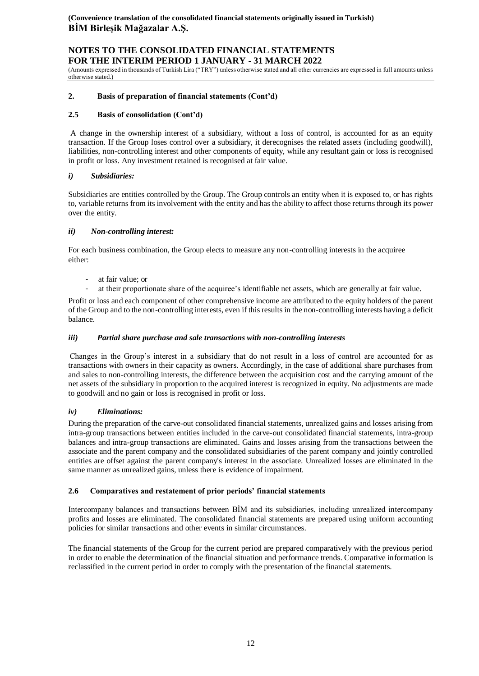## **NOTES TO THE CONSOLIDATED FINANCIAL STATEMENTS FOR THE INTERIM PERIOD 1 JANUARY - 31 MARCH 2022**

(Amounts expressed in thousands of Turkish Lira ("TRY") unless otherwise stated and all other currencies are expressed in full amounts unless otherwise stated.)

## **2. Basis of preparation of financial statements (Cont'd)**

## **2.5 Basis of consolidation (Cont'd)**

A change in the ownership interest of a subsidiary, without a loss of control, is accounted for as an equity transaction. If the Group loses control over a subsidiary, it derecognises the related assets (including goodwill), liabilities, non-controlling interest and other components of equity, while any resultant gain or loss is recognised in profit or loss. Any investment retained is recognised at fair value.

## *i) Subsidiaries:*

Subsidiaries are entities controlled by the Group. The Group controls an entity when it is exposed to, or has rights to, variable returns from its involvement with the entity and has the ability to affect those returns through its power over the entity.

## *ii) Non-controlling interest:*

For each business combination, the Group elects to measure any non-controlling interests in the acquiree either:

- at fair value; or
- at their proportionate share of the acquiree's identifiable net assets, which are generally at fair value.

Profit or loss and each component of other comprehensive income are attributed to the equity holders of the parent of the Group and to the non-controlling interests, even if this results in the non-controlling interests having a deficit balance.

## *iii) Partial share purchase and sale transactions with non-controlling interests*

 Changes in the Group's interest in a subsidiary that do not result in a loss of control are accounted for as transactions with owners in their capacity as owners. Accordingly, in the case of additional share purchases from and sales to non-controlling interests, the difference between the acquisition cost and the carrying amount of the net assets of the subsidiary in proportion to the acquired interest is recognized in equity. No adjustments are made to goodwill and no gain or loss is recognised in profit or loss.

## *iv) Eliminations:*

During the preparation of the carve-out consolidated financial statements, unrealized gains and losses arising from intra-group transactions between entities included in the carve-out consolidated financial statements, intra-group balances and intra-group transactions are eliminated. Gains and losses arising from the transactions between the associate and the parent company and the consolidated subsidiaries of the parent company and jointly controlled entities are offset against the parent company's interest in the associate. Unrealized losses are eliminated in the same manner as unrealized gains, unless there is evidence of impairment.

## **2.6 Comparatives and restatement of prior periods' financial statements**

Intercompany balances and transactions between BİM and its subsidiaries, including unrealized intercompany profits and losses are eliminated. The consolidated financial statements are prepared using uniform accounting policies for similar transactions and other events in similar circumstances.

The financial statements of the Group for the current period are prepared comparatively with the previous period in order to enable the determination of the financial situation and performance trends. Comparative information is reclassified in the current period in order to comply with the presentation of the financial statements.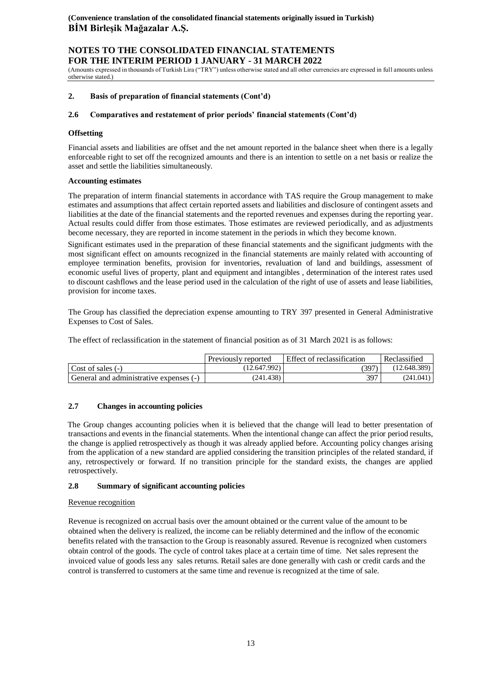## **NOTES TO THE CONSOLIDATED FINANCIAL STATEMENTS FOR THE INTERIM PERIOD 1 JANUARY - 31 MARCH 2022**

(Amounts expressed in thousands of Turkish Lira ("TRY") unless otherwise stated and all other currencies are expressed in full amounts unless otherwise stated.)

## **2. Basis of preparation of financial statements (Cont'd)**

#### **2.6 Comparatives and restatement of prior periods' financial statements (Cont'd)**

#### **Offsetting**

Financial assets and liabilities are offset and the net amount reported in the balance sheet when there is a legally enforceable right to set off the recognized amounts and there is an intention to settle on a net basis or realize the asset and settle the liabilities simultaneously.

#### **Accounting estimates**

The preparation of interm financial statements in accordance with TAS require the Group management to make estimates and assumptions that affect certain reported assets and liabilities and disclosure of contingent assets and liabilities at the date of the financial statements and the reported revenues and expenses during the reporting year. Actual results could differ from those estimates. Those estimates are reviewed periodically, and as adjustments become necessary, they are reported in income statement in the periods in which they become known.

 Significant estimates used in the preparation of these financial statements and the significant judgments with the most significant effect on amounts recognized in the financial statements are mainly related with accounting of employee termination benefits, provision for inventories, revaluation of land and buildings, assessment of economic useful lives of property, plant and equipment and intangibles , determination of the interest rates used to discount cashflows and the lease period used in the calculation of the right of use of assets and lease liabilities, provision for income taxes.

The Group has classified the depreciation expense amounting to TRY 397 presented in General Administrative Expenses to Cost of Sales.

The effect of reclassification in the statement of financial position as of 31 March 2021 is as follows:

|                                         | Previously reported | Effect of reclassification | Reclassified |
|-----------------------------------------|---------------------|----------------------------|--------------|
| Cost of sales (-)                       | (12.647.992)        | (397)                      | (12.648.389) |
| General and administrative expenses (-) | (241.438)           | 397                        | (241.041)    |

## **2.7 Changes in accounting policies**

 The Group changes accounting policies when it is believed that the change will lead to better presentation of transactions and events in the financial statements. When the intentional change can affect the prior period results, the change is applied retrospectively as though it was already applied before. Accounting policy changes arising from the application of a new standard are applied considering the transition principles of the related standard, if any, retrospectively or forward. If no transition principle for the standard exists, the changes are applied retrospectively.

## **2.8 Summary of significant accounting policies**

#### Revenue recognition

Revenue is recognized on accrual basis over the amount obtained or the current value of the amount to be obtained when the delivery is realized, the income can be reliably determined and the inflow of the economic benefits related with the transaction to the Group is reasonably assured. Revenue is recognized when customers obtain control of the goods. The cycle of control takes place at a certain time of time. Net sales represent the invoiced value of goods less any sales returns. Retail sales are done generally with cash or credit cards and the control is transferred to customers at the same time and revenue is recognized at the time of sale.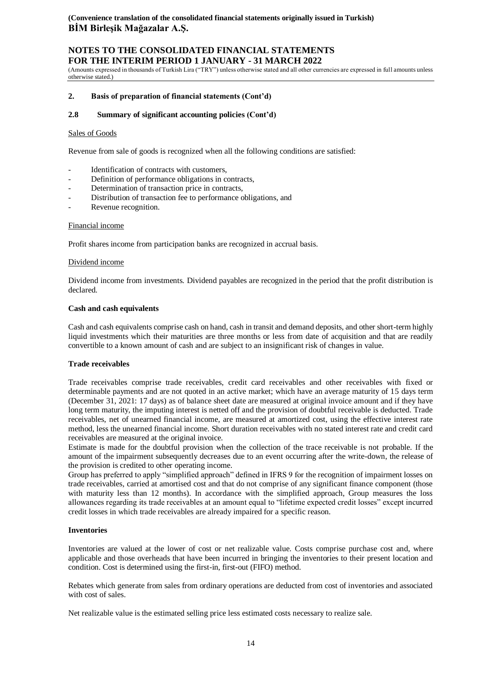## **NOTES TO THE CONSOLIDATED FINANCIAL STATEMENTS FOR THE INTERIM PERIOD 1 JANUARY - 31 MARCH 2022**

(Amounts expressed in thousands of Turkish Lira ("TRY") unless otherwise stated and all other currencies are expressed in full amounts unless otherwise stated.)

#### **2. Basis of preparation of financial statements (Cont'd)**

#### **2.8 Summary of significant accounting policies (Cont'd)**

#### Sales of Goods

Revenue from sale of goods is recognized when all the following conditions are satisfied:

- Identification of contracts with customers,
- Definition of performance obligations in contracts,
- Determination of transaction price in contracts,
- Distribution of transaction fee to performance obligations, and
- Revenue recognition.

#### Financial income

Profit shares income from participation banks are recognized in accrual basis.

#### Dividend income

Dividend income from investments. Dividend payables are recognized in the period that the profit distribution is declared.

#### **Cash and cash equivalents**

Cash and cash equivalents comprise cash on hand, cash in transit and demand deposits, and other short-term highly liquid investments which their maturities are three months or less from date of acquisition and that are readily convertible to a known amount of cash and are subject to an insignificant risk of changes in value.

#### **Trade receivables**

Trade receivables comprise trade receivables, credit card receivables and other receivables with fixed or determinable payments and are not quoted in an active market; which have an average maturity of 15 days term (December 31, 2021: 17 days) as of balance sheet date are measured at original invoice amount and if they have long term maturity, the imputing interest is netted off and the provision of doubtful receivable is deducted. Trade receivables, net of unearned financial income, are measured at amortized cost, using the effective interest rate method, less the unearned financial income. Short duration receivables with no stated interest rate and credit card receivables are measured at the original invoice.

Estimate is made for the doubtful provision when the collection of the trace receivable is not probable. If the amount of the impairment subsequently decreases due to an event occurring after the write-down, the release of the provision is credited to other operating income.

Group has preferred to apply "simplified approach" defined in IFRS 9 for the recognition of impairment losses on trade receivables, carried at amortised cost and that do not comprise of any significant finance component (those with maturity less than 12 months). In accordance with the simplified approach, Group measures the loss allowances regarding its trade receivables at an amount equal to "lifetime expected credit losses" except incurred credit losses in which trade receivables are already impaired for a specific reason.

#### **Inventories**

Inventories are valued at the lower of cost or net realizable value. Costs comprise purchase cost and, where applicable and those overheads that have been incurred in bringing the inventories to their present location and condition. Cost is determined using the first-in, first-out (FIFO) method.

Rebates which generate from sales from ordinary operations are deducted from cost of inventories and associated with cost of sales.

Net realizable value is the estimated selling price less estimated costs necessary to realize sale.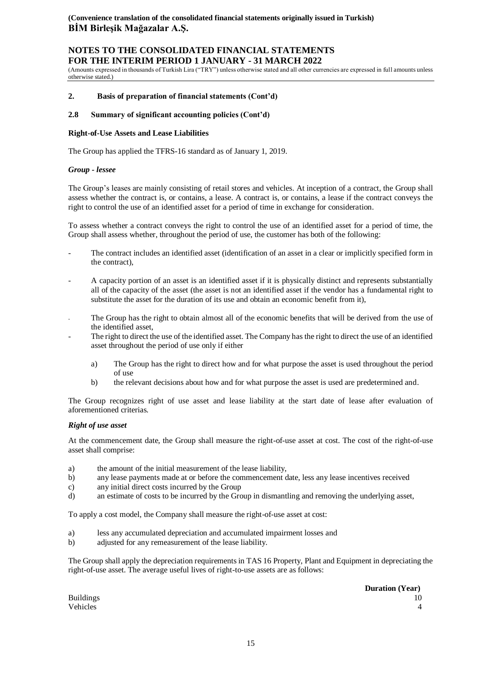## **NOTES TO THE CONSOLIDATED FINANCIAL STATEMENTS FOR THE INTERIM PERIOD 1 JANUARY - 31 MARCH 2022**

(Amounts expressed in thousands of Turkish Lira ("TRY") unless otherwise stated and all other currencies are expressed in full amounts unless otherwise stated.)

## **2. Basis of preparation of financial statements (Cont'd)**

#### **2.8 Summary of significant accounting policies (Cont'd)**

#### **Right-of-Use Assets and Lease Liabilities**

The Group has applied the TFRS-16 standard as of January 1, 2019.

#### *Group - lessee*

The Group's leases are mainly consisting of retail stores and vehicles. At inception of a contract, the Group shall assess whether the contract is, or contains, a lease. A contract is, or contains, a lease if the contract conveys the right to control the use of an identified asset for a period of time in exchange for consideration.

To assess whether a contract conveys the right to control the use of an identified asset for a period of time, the Group shall assess whether, throughout the period of use, the customer has both of the following:

- The contract includes an identified asset (identification of an asset in a clear or implicitly specified form in the contract),
- A capacity portion of an asset is an identified asset if it is physically distinct and represents substantially all of the capacity of the asset (the asset is not an identified asset if the vendor has a fundamental right to substitute the asset for the duration of its use and obtain an economic benefit from it),
- The Group has the right to obtain almost all of the economic benefits that will be derived from the use of the identified asset,
- The right to direct the use of the identified asset. The Company has the right to direct the use of an identified asset throughout the period of use only if either
	- a) The Group has the right to direct how and for what purpose the asset is used throughout the period of use
	- b) the relevant decisions about how and for what purpose the asset is used are predetermined and.

The Group recognizes right of use asset and lease liability at the start date of lease after evaluation of aforementioned criterias.

#### *Right of use asset*

At the commencement date, the Group shall measure the right-of-use asset at cost. The cost of the right-of-use asset shall comprise:

- a) the amount of the initial measurement of the lease liability,
- b) any lease payments made at or before the commencement date, less any lease incentives received
- c) any initial direct costs incurred by the Group
- d) an estimate of costs to be incurred by the Group in dismantling and removing the underlying asset,

To apply a cost model, the Company shall measure the right-of-use asset at cost:

- a) less any accumulated depreciation and accumulated impairment losses and
- b) adjusted for any remeasurement of the lease liability.

The Group shall apply the depreciation requirements in TAS 16 Property, Plant and Equipment in depreciating the right-of-use asset. The average useful lives of right-to-use assets are as follows:

 **Duration (Year)** Buildings 10 Vehicles **4**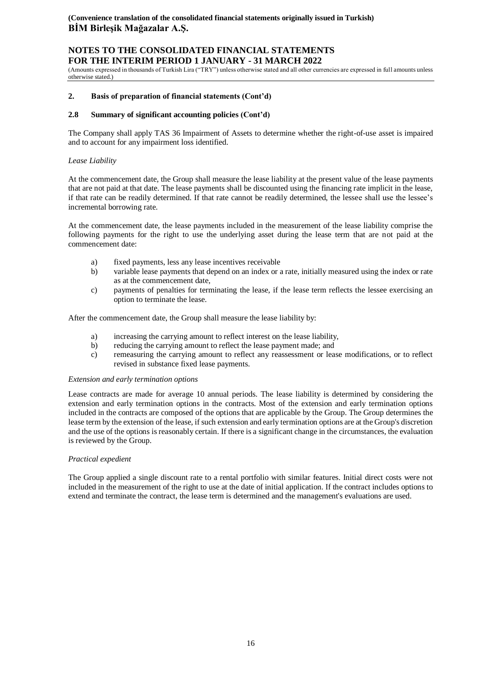## **NOTES TO THE CONSOLIDATED FINANCIAL STATEMENTS FOR THE INTERIM PERIOD 1 JANUARY - 31 MARCH 2022**

(Amounts expressed in thousands of Turkish Lira ("TRY") unless otherwise stated and all other currencies are expressed in full amounts unless otherwise stated.)

#### **2. Basis of preparation of financial statements (Cont'd)**

#### **2.8 Summary of significant accounting policies (Cont'd)**

The Company shall apply TAS 36 Impairment of Assets to determine whether the right-of-use asset is impaired and to account for any impairment loss identified.

#### *Lease Liability*

At the commencement date, the Group shall measure the lease liability at the present value of the lease payments that are not paid at that date. The lease payments shall be discounted using the financing rate implicit in the lease, if that rate can be readily determined. If that rate cannot be readily determined, the lessee shall use the lessee's incremental borrowing rate.

At the commencement date, the lease payments included in the measurement of the lease liability comprise the following payments for the right to use the underlying asset during the lease term that are not paid at the commencement date:

- a) fixed payments, less any lease incentives receivable
- b) variable lease payments that depend on an index or a rate, initially measured using the index or rate as at the commencement date,
- c) payments of penalties for terminating the lease, if the lease term reflects the lessee exercising an option to terminate the lease.

After the commencement date, the Group shall measure the lease liability by:

- a) increasing the carrying amount to reflect interest on the lease liability,
- b) reducing the carrying amount to reflect the lease payment made; and
- c) remeasuring the carrying amount to reflect any reassessment or lease modifications, or to reflect revised in substance fixed lease payments.

#### *Extension and early termination options*

Lease contracts are made for average 10 annual periods. The lease liability is determined by considering the extension and early termination options in the contracts. Most of the extension and early termination options included in the contracts are composed of the options that are applicable by the Group. The Group determines the lease term by the extension of the lease, if such extension and early termination options are at the Group's discretion and the use of the options is reasonably certain. If there is a significant change in the circumstances, the evaluation is reviewed by the Group.

#### *Practical expedient*

The Group applied a single discount rate to a rental portfolio with similar features. Initial direct costs were not included in the measurement of the right to use at the date of initial application. If the contract includes options to extend and terminate the contract, the lease term is determined and the management's evaluations are used.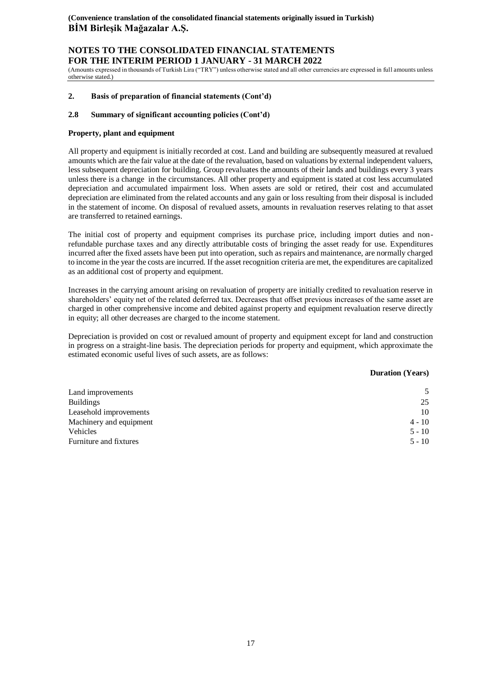## **NOTES TO THE CONSOLIDATED FINANCIAL STATEMENTS FOR THE INTERIM PERIOD 1 JANUARY - 31 MARCH 2022**

(Amounts expressed in thousands of Turkish Lira ("TRY") unless otherwise stated and all other currencies are expressed in full amounts unless otherwise stated.)

## **2. Basis of preparation of financial statements (Cont'd)**

#### **2.8 Summary of significant accounting policies (Cont'd)**

#### **Property, plant and equipment**

All property and equipment is initially recorded at cost. Land and building are subsequently measured at revalued amounts which are the fair value at the date of the revaluation, based on valuations by external independent valuers, less subsequent depreciation for building. Group revaluates the amounts of their lands and buildings every 3 years unless there is a change in the circumstances. All other property and equipment is stated at cost less accumulated depreciation and accumulated impairment loss. When assets are sold or retired, their cost and accumulated depreciation are eliminated from the related accounts and any gain or loss resulting from their disposal is included in the statement of income. On disposal of revalued assets, amounts in revaluation reserves relating to that asset are transferred to retained earnings.

The initial cost of property and equipment comprises its purchase price, including import duties and nonrefundable purchase taxes and any directly attributable costs of bringing the asset ready for use. Expenditures incurred after the fixed assets have been put into operation, such as repairs and maintenance, are normally charged to income in the year the costs are incurred. If the asset recognition criteria are met, the expenditures are capitalized as an additional cost of property and equipment.

Increases in the carrying amount arising on revaluation of property are initially credited to revaluation reserve in shareholders' equity net of the related deferred tax. Decreases that offset previous increases of the same asset are charged in other comprehensive income and debited against property and equipment revaluation reserve directly in equity; all other decreases are charged to the income statement.

Depreciation is provided on cost or revalued amount of property and equipment except for land and construction in progress on a straight-line basis. The depreciation periods for property and equipment, which approximate the estimated economic useful lives of such assets, are as follows:

#### **Duration (Years)**

| Land improvements       | 5        |
|-------------------------|----------|
| <b>Buildings</b>        | 25       |
| Leasehold improvements  | 10       |
| Machinery and equipment | $4 - 10$ |
| Vehicles                | $5 - 10$ |
| Furniture and fixtures  | $5 - 10$ |
|                         |          |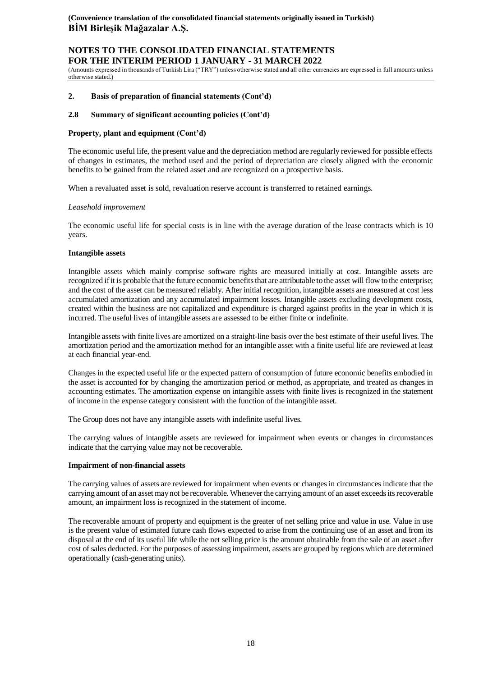## **NOTES TO THE CONSOLIDATED FINANCIAL STATEMENTS FOR THE INTERIM PERIOD 1 JANUARY - 31 MARCH 2022**

(Amounts expressed in thousands of Turkish Lira ("TRY") unless otherwise stated and all other currencies are expressed in full amounts unless otherwise stated.)

#### **2. Basis of preparation of financial statements (Cont'd)**

#### **2.8 Summary of significant accounting policies (Cont'd)**

#### **Property, plant and equipment (Cont'd)**

The economic useful life, the present value and the depreciation method are regularly reviewed for possible effects of changes in estimates, the method used and the period of depreciation are closely aligned with the economic benefits to be gained from the related asset and are recognized on a prospective basis.

When a revaluated asset is sold, revaluation reserve account is transferred to retained earnings.

#### *Leasehold improvement*

The economic useful life for special costs is in line with the average duration of the lease contracts which is 10 years.

#### **Intangible assets**

Intangible assets which mainly comprise software rights are measured initially at cost. Intangible assets are recognized if it is probable that the future economic benefits that are attributable to the asset will flow to the enterprise; and the cost of the asset can be measured reliably. After initial recognition, intangible assets are measured at cost less accumulated amortization and any accumulated impairment losses. Intangible assets excluding development costs, created within the business are not capitalized and expenditure is charged against profits in the year in which it is incurred. The useful lives of intangible assets are assessed to be either finite or indefinite.

Intangible assets with finite lives are amortized on a straight-line basis over the best estimate of their useful lives. The amortization period and the amortization method for an intangible asset with a finite useful life are reviewed at least at each financial year-end.

Changes in the expected useful life or the expected pattern of consumption of future economic benefits embodied in the asset is accounted for by changing the amortization period or method, as appropriate, and treated as changes in accounting estimates. The amortization expense on intangible assets with finite lives is recognized in the statement of income in the expense category consistent with the function of the intangible asset.

The Group does not have any intangible assets with indefinite useful lives.

The carrying values of intangible assets are reviewed for impairment when events or changes in circumstances indicate that the carrying value may not be recoverable.

#### **Impairment of non-financial assets**

The carrying values of assets are reviewed for impairment when events or changes in circumstances indicate that the carrying amount of an asset may not be recoverable. Whenever the carrying amount of an asset exceeds its recoverable amount, an impairment loss is recognized in the statement of income.

The recoverable amount of property and equipment is the greater of net selling price and value in use. Value in use is the present value of estimated future cash flows expected to arise from the continuing use of an asset and from its disposal at the end of its useful life while the net selling price is the amount obtainable from the sale of an asset after cost of sales deducted. For the purposes of assessing impairment, assets are grouped by regions which are determined operationally (cash-generating units).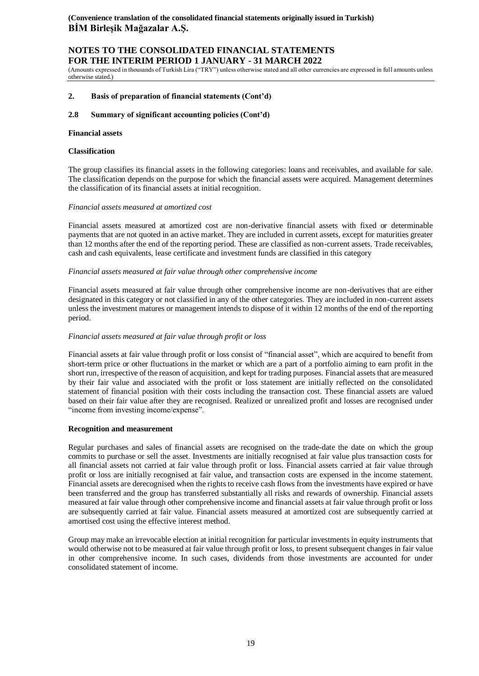## **NOTES TO THE CONSOLIDATED FINANCIAL STATEMENTS FOR THE INTERIM PERIOD 1 JANUARY - 31 MARCH 2022**

(Amounts expressed in thousands of Turkish Lira ("TRY") unless otherwise stated and all other currencies are expressed in full amounts unless otherwise stated.)

#### **2. Basis of preparation of financial statements (Cont'd)**

#### **2.8 Summary of significant accounting policies (Cont'd)**

#### **Financial assets**

#### **Classification**

The group classifies its financial assets in the following categories: loans and receivables, and available for sale. The classification depends on the purpose for which the financial assets were acquired. Management determines the classification of its financial assets at initial recognition.

#### *Financial assets measured at amortized cost*

Financial assets measured at amortized cost are non-derivative financial assets with fixed or determinable payments that are not quoted in an active market. They are included in current assets, except for maturities greater than 12 months after the end of the reporting period. These are classified as non-current assets. Trade receivables, cash and cash equivalents, lease certificate and investment funds are classified in this category

#### *Financial assets measured at fair value through other comprehensive income*

Financial assets measured at fair value through other comprehensive income are non-derivatives that are either designated in this category or not classified in any of the other categories. They are included in non-current assets unless the investment matures or management intends to dispose of it within 12 months of the end of the reporting period.

#### *Financial assets measured at fair value through profit or loss*

Financial assets at fair value through profit or loss consist of "financial asset", which are acquired to benefit from short-term price or other fluctuations in the market or which are a part of a portfolio aiming to earn profit in the short run, irrespective of the reason of acquisition, and kept for trading purposes. Financial assets that are measured by their fair value and associated with the profit or loss statement are initially reflected on the consolidated statement of financial position with their costs including the transaction cost. These financial assets are valued based on their fair value after they are recognised. Realized or unrealized profit and losses are recognised under "income from investing income/expense".

#### **Recognition and measurement**

Regular purchases and sales of financial assets are recognised on the trade-date the date on which the group commits to purchase or sell the asset. Investments are initially recognised at fair value plus transaction costs for all financial assets not carried at fair value through profit or loss. Financial assets carried at fair value through profit or loss are initially recognised at fair value, and transaction costs are expensed in the income statement. Financial assets are derecognised when the rights to receive cash flows from the investments have expired or have been transferred and the group has transferred substantially all risks and rewards of ownership. Financial assets measured at fair value through other comprehensive income and financial assets at fair value through profit or loss are subsequently carried at fair value. Financial assets measured at amortized cost are subsequently carried at amortised cost using the effective interest method.

Group may make an irrevocable election at initial recognition for particular investments in equity instruments that would otherwise not to be measured at fair value through profit or loss, to present subsequent changes in fair value in other comprehensive income. In such cases, dividends from those investments are accounted for under consolidated statement of income.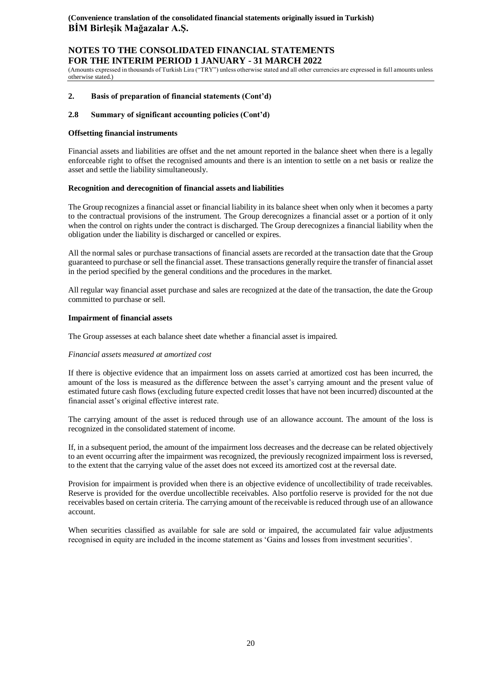## **NOTES TO THE CONSOLIDATED FINANCIAL STATEMENTS FOR THE INTERIM PERIOD 1 JANUARY - 31 MARCH 2022**

(Amounts expressed in thousands of Turkish Lira ("TRY") unless otherwise stated and all other currencies are expressed in full amounts unless otherwise stated.)

#### **2. Basis of preparation of financial statements (Cont'd)**

#### **2.8 Summary of significant accounting policies (Cont'd)**

#### **Offsetting financial instruments**

Financial assets and liabilities are offset and the net amount reported in the balance sheet when there is a legally enforceable right to offset the recognised amounts and there is an intention to settle on a net basis or realize the asset and settle the liability simultaneously.

## **Recognition and derecognition of financial assets and liabilities**

The Group recognizes a financial asset or financial liability in its balance sheet when only when it becomes a party to the contractual provisions of the instrument. The Group derecognizes a financial asset or a portion of it only when the control on rights under the contract is discharged. The Group derecognizes a financial liability when the obligation under the liability is discharged or cancelled or expires.

All the normal sales or purchase transactions of financial assets are recorded at the transaction date that the Group guaranteed to purchase or sell the financial asset. These transactions generally require the transfer of financial asset in the period specified by the general conditions and the procedures in the market.

All regular way financial asset purchase and sales are recognized at the date of the transaction, the date the Group committed to purchase or sell.

#### **Impairment of financial assets**

The Group assesses at each balance sheet date whether a financial asset is impaired.

#### *Financial assets measured at amortized cost*

If there is objective evidence that an impairment loss on assets carried at amortized cost has been incurred, the amount of the loss is measured as the difference between the asset's carrying amount and the present value of estimated future cash flows (excluding future expected credit losses that have not been incurred) discounted at the financial asset's original effective interest rate.

The carrying amount of the asset is reduced through use of an allowance account. The amount of the loss is recognized in the consolidated statement of income.

If, in a subsequent period, the amount of the impairment loss decreases and the decrease can be related objectively to an event occurring after the impairment was recognized, the previously recognized impairment loss is reversed, to the extent that the carrying value of the asset does not exceed its amortized cost at the reversal date.

Provision for impairment is provided when there is an objective evidence of uncollectibility of trade receivables. Reserve is provided for the overdue uncollectible receivables. Also portfolio reserve is provided for the not due receivables based on certain criteria. The carrying amount of the receivable is reduced through use of an allowance account.

When securities classified as available for sale are sold or impaired, the accumulated fair value adjustments recognised in equity are included in the income statement as 'Gains and losses from investment securities'.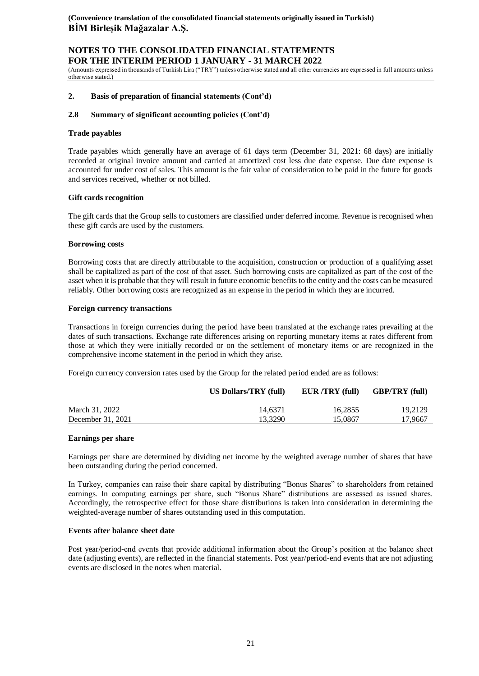## **NOTES TO THE CONSOLIDATED FINANCIAL STATEMENTS FOR THE INTERIM PERIOD 1 JANUARY - 31 MARCH 2022**

(Amounts expressed in thousands of Turkish Lira ("TRY") unless otherwise stated and all other currencies are expressed in full amounts unless otherwise stated.)

#### **2. Basis of preparation of financial statements (Cont'd)**

#### **2.8 Summary of significant accounting policies (Cont'd)**

#### **Trade payables**

Trade payables which generally have an average of 61 days term (December 31, 2021: 68 days) are initially recorded at original invoice amount and carried at amortized cost less due date expense. Due date expense is accounted for under cost of sales. This amount is the fair value of consideration to be paid in the future for goods and services received, whether or not billed.

#### **Gift cards recognition**

The gift cards that the Group sells to customers are classified under deferred income. Revenue is recognised when these gift cards are used by the customers.

#### **Borrowing costs**

Borrowing costs that are directly attributable to the acquisition, construction or production of a qualifying asset shall be capitalized as part of the cost of that asset. Such borrowing costs are capitalized as part of the cost of the asset when it is probable that they will result in future economic benefits to the entity and the costs can be measured reliably. Other borrowing costs are recognized as an expense in the period in which they are incurred.

#### **Foreign currency transactions**

Transactions in foreign currencies during the period have been translated at the exchange rates prevailing at the dates of such transactions. Exchange rate differences arising on reporting monetary items at rates different from those at which they were initially recorded or on the settlement of monetary items or are recognized in the comprehensive income statement in the period in which they arise.

Foreign currency conversion rates used by the Group for the related period ended are as follows:

|                   | US Dollars/TRY (full) | EUR /TRY (full) | <b>GBP/TRY</b> (full) |
|-------------------|-----------------------|-----------------|-----------------------|
| March 31, 2022    | 14.6371               | 16.2855         | 19.2129               |
| December 31, 2021 | 13.3290               | 15.0867         | 17.9667               |

#### **Earnings per share**

Earnings per share are determined by dividing net income by the weighted average number of shares that have been outstanding during the period concerned.

In Turkey, companies can raise their share capital by distributing "Bonus Shares" to shareholders from retained earnings. In computing earnings per share, such "Bonus Share" distributions are assessed as issued shares. Accordingly, the retrospective effect for those share distributions is taken into consideration in determining the weighted-average number of shares outstanding used in this computation.

## **Events after balance sheet date**

Post year/period-end events that provide additional information about the Group's position at the balance sheet date (adjusting events), are reflected in the financial statements. Post year/period-end events that are not adjusting events are disclosed in the notes when material.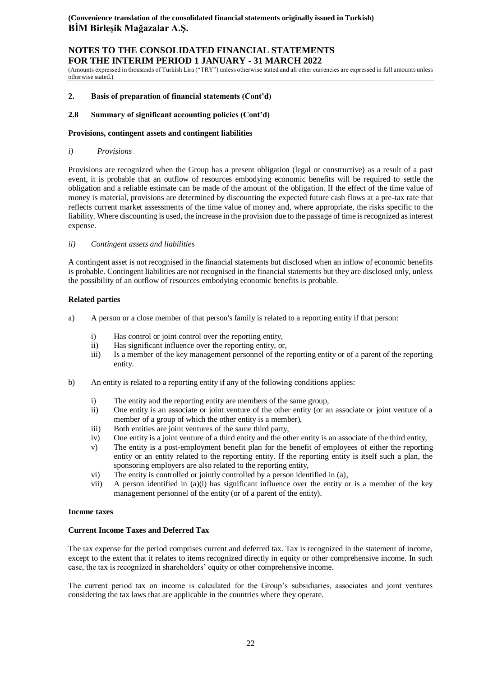## **NOTES TO THE CONSOLIDATED FINANCIAL STATEMENTS FOR THE INTERIM PERIOD 1 JANUARY - 31 MARCH 2022**

(Amounts expressed in thousands of Turkish Lira ("TRY") unless otherwise stated and all other currencies are expressed in full amounts unless otherwise stated.)

#### **2. Basis of preparation of financial statements (Cont'd)**

#### **2.8 Summary of significant accounting policies (Cont'd)**

#### **Provisions, contingent assets and contingent liabilities**

#### *i) Provisions*

Provisions are recognized when the Group has a present obligation (legal or constructive) as a result of a past event, it is probable that an outflow of resources embodying economic benefits will be required to settle the obligation and a reliable estimate can be made of the amount of the obligation. If the effect of the time value of money is material, provisions are determined by discounting the expected future cash flows at a pre-tax rate that reflects current market assessments of the time value of money and, where appropriate, the risks specific to the liability. Where discounting is used, the increase in the provision due to the passage of time is recognized as interest expense.

#### *ii) Contingent assets and liabilities*

A contingent asset is not recognised in the financial statements but disclosed when an inflow of economic benefits is probable. Contingent liabilities are not recognised in the financial statements but they are disclosed only, unless the possibility of an outflow of resources embodying economic benefits is probable.

#### **Related parties**

- a) A person or a close member of that person's family is related to a reporting entity if that person:
	- i) Has control or joint control over the reporting entity,
	- ii) Has significant influence over the reporting entity, or,
	- iii) Is a member of the key management personnel of the reporting entity or of a parent of the reporting entity.
- b) An entity is related to a reporting entity if any of the following conditions applies:
	- i) The entity and the reporting entity are members of the same group,
	- ii) One entity is an associate or joint venture of the other entity (or an associate or joint venture of a member of a group of which the other entity is a member),
	- iii) Both entities are joint ventures of the same third party,
	- iv) One entity is a joint venture of a third entity and the other entity is an associate of the third entity,
	- v) The entity is a post-employment benefit plan for the benefit of employees of either the reporting entity or an entity related to the reporting entity. If the reporting entity is itself such a plan, the sponsoring employers are also related to the reporting entity,
	- vi) The entity is controlled or jointly controlled by a person identified in (a),
	- vii) A person identified in (a)(i) has significant influence over the entity or is a member of the key management personnel of the entity (or of a parent of the entity).

#### **Income taxes**

#### **Current Income Taxes and Deferred Tax**

The tax expense for the period comprises current and deferred tax. Tax is recognized in the statement of income, except to the extent that it relates to items recognized directly in equity or other comprehensive income. In such case, the tax is recognized in shareholders' equity or other comprehensive income.

The current period tax on income is calculated for the Group's subsidiaries, associates and joint ventures considering the tax laws that are applicable in the countries where they operate.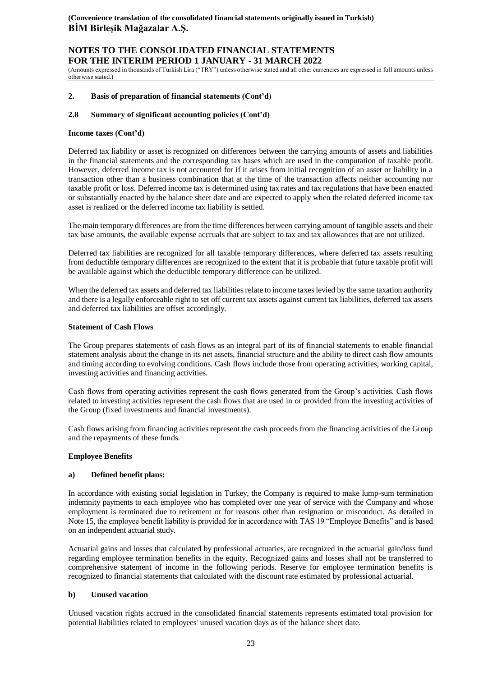## **NOTES TO THE CONSOLIDATED FINANCIAL STATEMENTS FOR THE INTERIM PERIOD 1 JANUARY - 31 MARCH 2022**

(Amounts expressed in thousands of Turkish Lira ("TRY") unless otherwise stated and all other currencies are expressed in full amounts unless otherwise stated.)

#### **2. Basis of preparation of financial statements (Cont'd)**

#### **2.8 Summary of significant accounting policies (Cont'd)**

#### **Income taxes (Cont'd)**

Deferred tax liability or asset is recognized on differences between the carrying amounts of assets and liabilities in the financial statements and the corresponding tax bases which are used in the computation of taxable profit. However, deferred income tax is not accounted for if it arises from initial recognition of an asset or liability in a transaction other than a business combination that at the time of the transaction affects neither accounting nor taxable profit or loss. Deferred income tax is determined using tax rates and tax regulations that have been enacted or substantially enacted by the balance sheet date and are expected to apply when the related deferred income tax asset is realized or the deferred income tax liability is settled.

The main temporary differences are from the time differences between carrying amount of tangible assets and their tax base amounts, the available expense accruals that are subject to tax and tax allowances that are not utilized.

Deferred tax liabilities are recognized for all taxable temporary differences, where deferred tax assets resulting from deductible temporary differences are recognized to the extent that it is probable that future taxable profit will be available against which the deductible temporary difference can be utilized.

When the deferred tax assets and deferred tax liabilities relate to income taxes levied by the same taxation authority and there is a legally enforceable right to set off current tax assets against current tax liabilities, deferred tax assets and deferred tax liabilities are offset accordingly.

#### **Statement of Cash Flows**

The Group prepares statements of cash flows as an integral part of its of financial statements to enable financial statement analysis about the change in its net assets, financial structure and the ability to direct cash flow amounts and timing according to evolving conditions. Cash flows include those from operating activities, working capital, investing activities and financing activities.

Cash flows from operating activities represent the cash flows generated from the Group's activities. Cash flows related to investing activities represent the cash flows that are used in or provided from the investing activities of the Group (fixed investments and financial investments).

Cash flows arising from financing activities represent the cash proceeds from the financing activities of the Group and the repayments of these funds.

#### **Employee Benefits**

#### **a) Defined benefit plans:**

In accordance with existing social legislation in Turkey, the Company is required to make lump-sum termination indemnity payments to each employee who has completed over one year of service with the Company and whose employment is terminated due to retirement or for reasons other than resignation or misconduct. As detailed in Note 15, the employee benefit liability is provided for in accordance with TAS 19 "Employee Benefits" and is based on an independent actuarial study.

Actuarial gains and losses that calculated by professional actuaries, are recognized in the actuarial gain/loss fund regarding employee termination benefits in the equity. Recognized gains and losses shall not be transferred to comprehensive statement of income in the following periods. Reserve for employee termination benefits is recognized to financial statements that calculated with the discount rate estimated by professional actuarial.

#### **b) Unused vacation**

Unused vacation rights accrued in the consolidated financial statements represents estimated total provision for potential liabilities related to employees' unused vacation days as of the balance sheet date.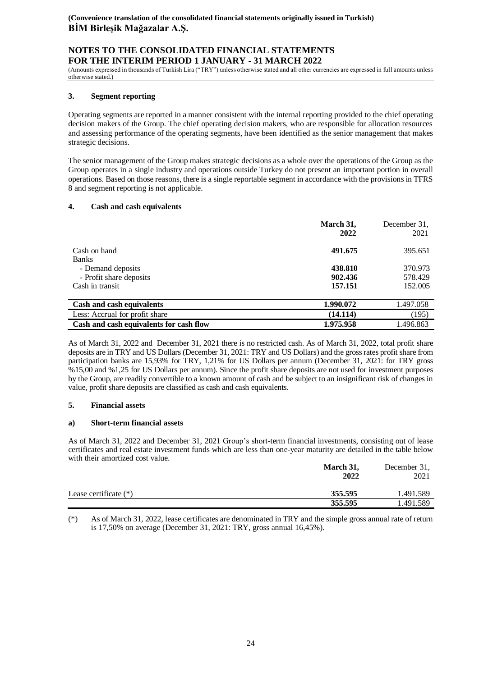(Amounts expressed in thousands of Turkish Lira ("TRY") unless otherwise stated and all other currencies are expressed in full amounts unless otherwise stated.)

## **3. Segment reporting**

Operating segments are reported in a manner consistent with the internal reporting provided to the chief operating decision makers of the Group. The chief operating decision makers, who are responsible for allocation resources and assessing performance of the operating segments, have been identified as the senior management that makes strategic decisions.

The senior management of the Group makes strategic decisions as a whole over the operations of the Group as the Group operates in a single industry and operations outside Turkey do not present an important portion in overall operations. Based on those reasons, there is a single reportable segment in accordance with the provisions in TFRS 8 and segment reporting is not applicable.

## **4. Cash and cash equivalents**

|                                         | March 31,<br>2022 | December 31,<br>2021 |
|-----------------------------------------|-------------------|----------------------|
| Cash on hand                            | 491.675           | 395.651              |
| <b>Banks</b>                            |                   |                      |
| - Demand deposits                       | 438.810           | 370.973              |
| - Profit share deposits                 | 902.436           | 578.429              |
| Cash in transit                         | 157.151           | 152.005              |
| Cash and cash equivalents               | 1.990.072         | 1.497.058            |
| Less: Accrual for profit share          | (14.114)          | (195)                |
| Cash and cash equivalents for cash flow | 1.975.958         | 1.496.863            |

As of March 31, 2022 and December 31, 2021 there is no restricted cash. As of March 31, 2022, total profit share deposits are in TRY and US Dollars (December 31, 2021: TRY and US Dollars) and the gross rates profit share from participation banks are 15,93% for TRY, 1,21% for US Dollars per annum (December 31, 2021: for TRY gross %15,00 and %1,25 for US Dollars per annum). Since the profit share deposits are not used for investment purposes by the Group, are readily convertible to a known amount of cash and be subject to an insignificant risk of changes in value, profit share deposits are classified as cash and cash equivalents.

## **5. Financial assets**

## **a) Short-term financial assets**

As of March 31, 2022 and December 31, 2021 Group's short-term financial investments, consisting out of lease certificates and real estate investment funds which are less than one-year maturity are detailed in the table below with their amortized cost value.

|                         | March 31, | December 31. |
|-------------------------|-----------|--------------|
|                         | 2022      | 2021         |
| Lease certificate $(*)$ | 355.595   | 1.491.589    |
|                         | 355.595   | 1.491.589    |
|                         |           |              |

(\*) As of March 31, 2022, lease certificates are denominated in TRY and the simple gross annual rate of return is 17,50% on average (December 31, 2021: TRY, gross annual 16,45%).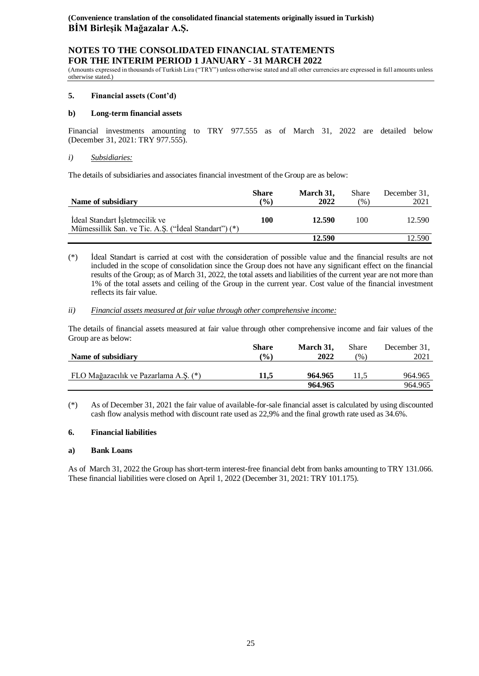## **NOTES TO THE CONSOLIDATED FINANCIAL STATEMENTS FOR THE INTERIM PERIOD 1 JANUARY - 31 MARCH 2022**

(Amounts expressed in thousands of Turkish Lira ("TRY") unless otherwise stated and all other currencies are expressed in full amounts unless otherwise stated.)

#### **5. Financial assets (Cont'd)**

#### **b) Long-term financial assets**

Financial investments amounting to TRY 977.555 as of March 31, 2022 are detailed below (December 31, 2021: TRY 977.555).

#### *i) Subsidiaries:*

The details of subsidiaries and associates financial investment of the Group are as below:

| Name of subsidiary                                                                     | <b>Share</b><br>$($ %) | March 31,<br>2022 | Share<br>(96) | December 31,<br>2021 |
|----------------------------------------------------------------------------------------|------------------------|-------------------|---------------|----------------------|
| Ideal Standart Isletmecilik ve<br>Mümessillik San. ve Tic. A.Ş. ("İdeal Standart") (*) | 100                    | 12.590            | 100           | 12.590               |
|                                                                                        |                        | 12.590            |               | 12.590               |

(\*) İdeal Standart is carried at cost with the consideration of possible value and the financial results are not included in the scope of consolidation since the Group does not have any significant effect on the financial results of the Group; as of March 31, 2022, the total assets and liabilities of the current year are not more than 1% of the total assets and ceiling of the Group in the current year. Cost value of the financial investment reflects its fair value.

#### *ii) Financial assets measured at fair value through other comprehensive income:*

The details of financial assets measured at fair value through other comprehensive income and fair values of the Group are as below:

| <b>Share</b>  | March 31, | Share   | December 31, |
|---------------|-----------|---------|--------------|
| $\frac{9}{6}$ | 2022      | $(\% )$ | 2021         |
|               |           |         |              |
| 11.5          | 964.965   | 11.5    | 964.965      |
|               | 964.965   |         | 964.965      |
|               |           |         |              |

(\*) As of December 31, 2021 the fair value of available-for-sale financial asset is calculated by using discounted cash flow analysis method with discount rate used as 22,9% and the final growth rate used as 34.6%.

#### **6. Financial liabilities**

#### **a) Bank Loans**

As of March 31, 2022 the Group has short-term interest-free financial debt from banks amounting to TRY 131.066. These financial liabilities were closed on April 1, 2022 (December 31, 2021: TRY 101.175).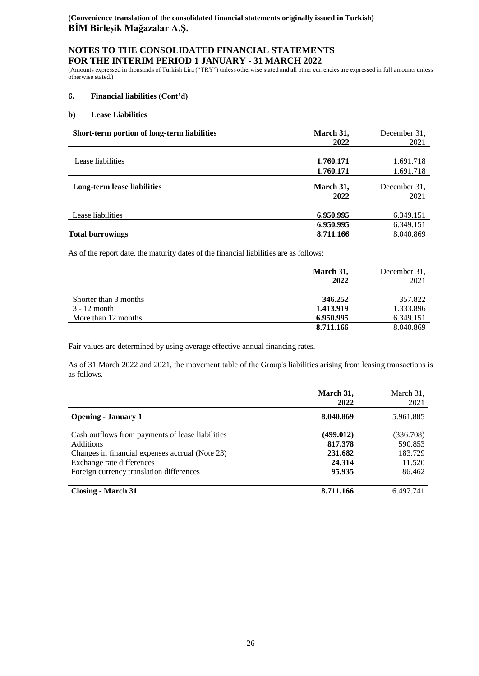## **NOTES TO THE CONSOLIDATED FINANCIAL STATEMENTS FOR THE INTERIM PERIOD 1 JANUARY - 31 MARCH 2022**

(Amounts expressed in thousands of Turkish Lira ("TRY") unless otherwise stated and all other currencies are expressed in full amounts unless otherwise stated.)

## **6. Financial liabilities (Cont'd)**

#### **b) Lease Liabilities**

| Short-term portion of long-term liabilities | March 31,<br>2022      | December 31,<br>2021   |
|---------------------------------------------|------------------------|------------------------|
|                                             |                        |                        |
| Lease liabilities                           | 1.760.171              | 1.691.718              |
|                                             | 1.760.171              | 1.691.718              |
| Long-term lease liabilities                 | March 31,<br>2022      | December 31,<br>2021   |
| Lease liabilities                           | 6.950.995              | 6.349.151              |
| <b>Total borrowings</b>                     | 6.950.995<br>8.711.166 | 6.349.151<br>8.040.869 |

As of the report date, the maturity dates of the financial liabilities are as follows:

|                       | March 31,<br>2022 | December 31,<br>2021 |
|-----------------------|-------------------|----------------------|
| Shorter than 3 months | 346.252           | 357.822              |
| $3 - 12$ month        | 1.413.919         | 1.333.896            |
| More than 12 months   | 6.950.995         | 6.349.151            |
|                       | 8.711.166         | 8.040.869            |

Fair values are determined by using average effective annual financing rates.

As of 31 March 2022 and 2021, the movement table of the Group's liabilities arising from leasing transactions is as follows.

|                                                  | March 31,<br>2022 | March 31,<br>2021 |
|--------------------------------------------------|-------------------|-------------------|
| <b>Opening - January 1</b>                       | 8.040.869         | 5.961.885         |
| Cash outflows from payments of lease liabilities | (499.012)         | (336.708)         |
| <b>Additions</b>                                 | 817.378           | 590.853           |
| Changes in financial expenses accrual (Note 23)  | 231.682           | 183.729           |
| Exchange rate differences                        | 24.314            | 11.520            |
| Foreign currency translation differences         | 95.935            | 86.462            |
| <b>Closing - March 31</b>                        | 8.711.166         | 6.497.741         |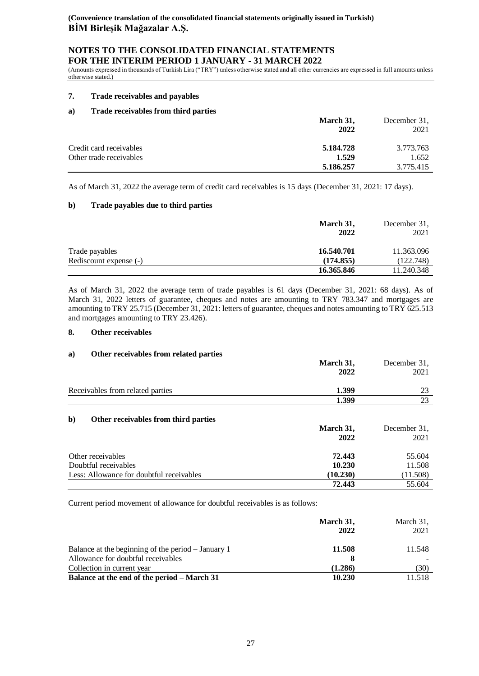## **NOTES TO THE CONSOLIDATED FINANCIAL STATEMENTS FOR THE INTERIM PERIOD 1 JANUARY - 31 MARCH 2022**

(Amounts expressed in thousands of Turkish Lira ("TRY") unless otherwise stated and all other currencies are expressed in full amounts unless otherwise stated.)

## **7. Trade receivables and payables**

## **a) Trade receivables from third parties**

|                         | March 31, | December 31. |
|-------------------------|-----------|--------------|
|                         | 2022      | 2021         |
| Credit card receivables | 5.184.728 | 3.773.763    |
| Other trade receivables | 1.529     | 1.652        |
|                         | 5.186.257 | 3.775.415    |

As of March 31, 2022 the average term of credit card receivables is 15 days (December 31, 2021: 17 days).

#### **b) Trade payables due to third parties**

|                        | March 31,<br>2022 | December 31,<br>2021 |
|------------------------|-------------------|----------------------|
| Trade payables         | 16.540.701        | 11.363.096           |
| Rediscount expense (-) | (174.855)         | (122.748)            |
|                        | 16.365.846        | 11.240.348           |

As of March 31, 2022 the average term of trade payables is 61 days (December 31, 2021: 68 days). As of March 31, 2022 letters of guarantee, cheques and notes are amounting to TRY 783.347 and mortgages are amounting to TRY 25.715 (December 31, 2021: letters of guarantee, cheques and notes amounting to TRY 625.513 and mortgages amounting to TRY 23.426).

## **8. Other receivables**

#### **a) Other receivables from related parties**

| $ \cdot$                         | March 31,<br>2022 | December 31,<br>2021 |
|----------------------------------|-------------------|----------------------|
| Receivables from related parties | 1.399             | 23                   |
|                                  | 1.399             | າາ                   |

#### **b) Other receivables from third parties**

|                                          | March 31, | December 31, |
|------------------------------------------|-----------|--------------|
|                                          | 2022      | 2021         |
| Other receivables                        | 72.443    | 55.604       |
| Doubtful receivables                     | 10.230    | 11.508       |
| Less: Allowance for doubtful receivables | (10.230)  | (11.508)     |
|                                          | 72.443    | 55.604       |

Current period movement of allowance for doubtful receivables is as follows:

|                                                    | March 31,<br>2022 | March 31,<br>2021 |
|----------------------------------------------------|-------------------|-------------------|
| Balance at the beginning of the period – January 1 | 11.508            | 11.548            |
| Allowance for doubtful receivables                 | 8                 |                   |
| Collection in current year                         | (1.286)           | (30)              |
| Balance at the end of the period – March 31        | 10.230            | 11.518            |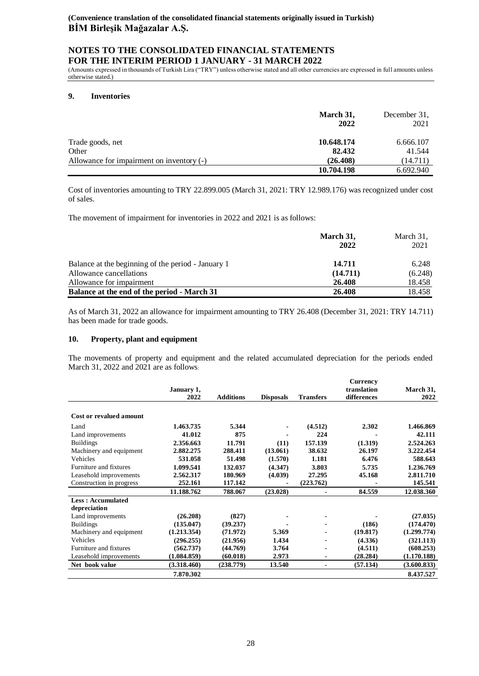(Amounts expressed in thousands of Turkish Lira ("TRY") unless otherwise stated and all other currencies are expressed in full amounts unless otherwise stated.)

## **9. Inventories**

|                                           | March 31,<br>2022 | December 31.<br>2021 |
|-------------------------------------------|-------------------|----------------------|
| Trade goods, net                          | 10.648.174        | 6.666.107            |
| Other                                     | 82.432            | 41.544               |
| Allowance for impairment on inventory (-) | (26.408)          | (14.711)             |
|                                           | 10.704.198        | 6.692.940            |

Cost of inventories amounting to TRY 22.899.005 (March 31, 2021: TRY 12.989.176) was recognized under cost of sales.

The movement of impairment for inventories in 2022 and 2021 is as follows:

|                                                    | March 31, | March 31, |
|----------------------------------------------------|-----------|-----------|
|                                                    | 2022      | 2021      |
| Balance at the beginning of the period - January 1 | 14.711    | 6.248     |
| Allowance cancellations                            | (14.711)  | (6.248)   |
| Allowance for impairment                           | 26.408    | 18.458    |
| Balance at the end of the period - March 31        | 26.408    | 18.458    |

As of March 31, 2022 an allowance for impairment amounting to TRY 26.408 (December 31, 2021: TRY 14.711) has been made for trade goods.

#### **10. Property, plant and equipment**

The movements of property and equipment and the related accumulated depreciation for the periods ended March 31, 2022 and 2021 are as follows:

|                                |             |                  |                  |                  | <b>Currency</b> |             |
|--------------------------------|-------------|------------------|------------------|------------------|-----------------|-------------|
|                                | January 1,  |                  |                  |                  | translation     | March 31,   |
|                                | 2022        | <b>Additions</b> | <b>Disposals</b> | <b>Transfers</b> | differences     | 2022        |
|                                |             |                  |                  |                  |                 |             |
| <b>Cost or revalued amount</b> |             |                  |                  |                  |                 |             |
| Land                           | 1.463.735   | 5.344            | ۰                | (4.512)          | 2.302           | 1.466.869   |
| Land improvements              | 41.012      | 875              |                  | 224              |                 | 42.111      |
| <b>Buildings</b>               | 2.356.663   | 11.791           | (11)             | 157.139          | (1.319)         | 2.524.263   |
| Machinery and equipment        | 2.882.275   | 288.411          | (13.061)         | 38.632           | 26.197          | 3.222.454   |
| Vehicles                       | 531.058     | 51.498           | (1.570)          | 1.181            | 6.476           | 588.643     |
| Furniture and fixtures         | 1.099.541   | 132.037          | (4.347)          | 3.803            | 5.735           | 1.236.769   |
| Leasehold improvements         | 2.562.317   | 180.969          | (4.039)          | 27.295           | 45.168          | 2.811.710   |
| Construction in progress       | 252.161     | 117.142          |                  | (223.762)        |                 | 145.541     |
|                                | 11.188.762  | 788.067          | (23.028)         | $\blacksquare$   | 84.559          | 12.038.360  |
| <b>Less: Accumulated</b>       |             |                  |                  |                  |                 |             |
| depreciation                   |             |                  |                  |                  |                 |             |
| Land improvements              | (26.208)    | (827)            |                  | ٠                |                 | (27.035)    |
| <b>Buildings</b>               | (135.047)   | (39.237)         |                  |                  | (186)           | (174.470)   |
| Machinery and equipment        | (1.213.354) | (71.972)         | 5.369            |                  | (19.817)        | (1.299.774) |
| Vehicles                       | (296.255)   | (21.956)         | 1.434            |                  | (4.336)         | (321.113)   |
| Furniture and fixtures         | (562.737)   | (44.769)         | 3.764            | $\blacksquare$   | (4.511)         | (608.253)   |
| Leasehold improvements         | (1.084.859) | (60.018)         | 2.973            |                  | (28.284)        | (1.170.188) |
| Net book value                 | (3.318.460) | (238.779)        | 13.540           |                  | (57.134)        | (3.600.833) |
|                                | 7.870.302   |                  |                  |                  |                 | 8.437.527   |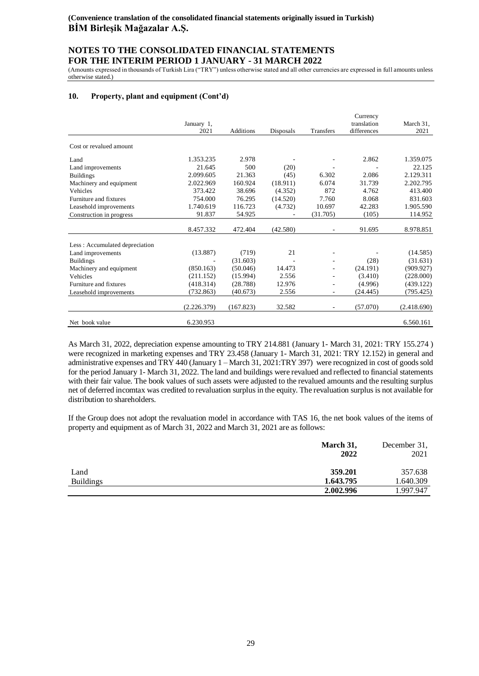(Amounts expressed in thousands of Turkish Lira ("TRY") unless otherwise stated and all other currencies are expressed in full amounts unless otherwise stated.)

## **10. Property, plant and equipment (Cont'd)**

|                                | January 1,<br>2021 | Additions | Disposals | Transfers                | Currency<br>translation<br>differences | March 31,<br>2021 |
|--------------------------------|--------------------|-----------|-----------|--------------------------|----------------------------------------|-------------------|
| Cost or revalued amount        |                    |           |           |                          |                                        |                   |
| Land                           | 1.353.235          | 2.978     |           |                          | 2.862                                  | 1.359.075         |
| Land improvements              | 21.645             | 500       | (20)      |                          |                                        | 22.125            |
| <b>Buildings</b>               | 2.099.605          | 21.363    | (45)      | 6.302                    | 2.086                                  | 2.129.311         |
| Machinery and equipment        | 2.022.969          | 160.924   | (18.911)  | 6.074                    | 31.739                                 | 2.202.795         |
| Vehicles                       | 373.422            | 38.696    | (4.352)   | 872                      | 4.762                                  | 413.400           |
| Furniture and fixtures         | 754.000            | 76.295    | (14.520)  | 7.760                    | 8.068                                  | 831.603           |
| Leasehold improvements         | 1.740.619          | 116.723   | (4.732)   | 10.697                   | 42.283                                 | 1.905.590         |
| Construction in progress       | 91.837             | 54.925    |           | (31.705)                 | (105)                                  | 114.952           |
|                                | 8.457.332          | 472.404   | (42.580)  |                          | 91.695                                 | 8.978.851         |
| Less: Accumulated depreciation |                    |           |           |                          |                                        |                   |
| Land improvements              | (13.887)           | (719)     | 21        |                          |                                        | (14.585)          |
| <b>Buildings</b>               |                    | (31.603)  |           |                          | (28)                                   | (31.631)          |
| Machinery and equipment        | (850.163)          | (50.046)  | 14.473    | $\overline{\phantom{a}}$ | (24.191)                               | (909.927)         |
| Vehicles                       | (211.152)          | (15.994)  | 2.556     |                          | (3.410)                                | (228.000)         |
| Furniture and fixtures         | (418.314)          | (28.788)  | 12.976    |                          | (4.996)                                | (439.122)         |
| Leasehold improvements         | (732.863)          | (40.673)  | 2.556     | $\overline{\phantom{a}}$ | (24.445)                               | (795.425)         |
|                                | (2.226.379)        | (167.823) | 32.582    | $\overline{\phantom{a}}$ | (57.070)                               | (2.418.690)       |
| Net book value                 | 6.230.953          |           |           |                          |                                        | 6.560.161         |

As March 31, 2022, depreciation expense amounting to TRY 214.881 (January 1- March 31, 2021: TRY 155.274 ) were recognized in marketing expenses and TRY 23.458 (January 1- March 31, 2021: TRY 12.152) in general and administrative expenses and TRY 440 (January 1 – March 31, 2021:TRY 397) were recognized in cost of goods sold for the period January 1- March 31, 2022. The land and buildings were revalued and reflected to financial statements with their fair value. The book values of such assets were adjusted to the revalued amounts and the resulting surplus net of deferred incomtax was credited to revaluation surplus in the equity. The revaluation surplus is not available for distribution to shareholders.

If the Group does not adopt the revaluation model in accordance with TAS 16, the net book values of the items of property and equipment as of March 31, 2022 and March 31, 2021 are as follows:

|                  | March 31,<br>2022 | December 31.<br>2021 |
|------------------|-------------------|----------------------|
| Land             | 359.201           | 357.638              |
| <b>Buildings</b> | 1.643.795         | 1.640.309            |
|                  | 2.002.996         | 1.997.947            |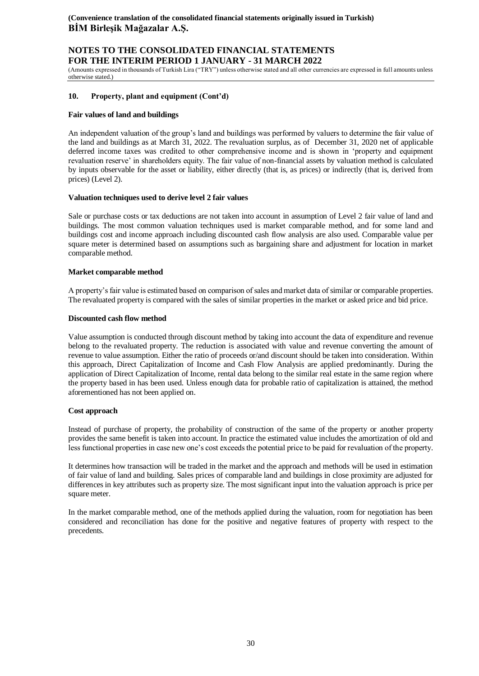## **NOTES TO THE CONSOLIDATED FINANCIAL STATEMENTS FOR THE INTERIM PERIOD 1 JANUARY - 31 MARCH 2022**

(Amounts expressed in thousands of Turkish Lira ("TRY") unless otherwise stated and all other currencies are expressed in full amounts unless otherwise stated.)

## **10. Property, plant and equipment (Cont'd)**

#### **Fair values of land and buildings**

An independent valuation of the group's land and buildings was performed by valuers to determine the fair value of the land and buildings as at March 31, 2022. The revaluation surplus, as of December 31, 2020 net of applicable deferred income taxes was credited to other comprehensive income and is shown in 'property and equipment revaluation reserve' in shareholders equity. The fair value of non-financial assets by valuation method is calculated by inputs observable for the asset or liability, either directly (that is, as prices) or indirectly (that is, derived from prices) (Level 2).

#### **Valuation techniques used to derive level 2 fair values**

Sale or purchase costs or tax deductions are not taken into account in assumption of Level 2 fair value of land and buildings. The most common valuation techniques used is market comparable method, and for some land and buildings cost and income approach including discounted cash flow analysis are also used. Comparable value per square meter is determined based on assumptions such as bargaining share and adjustment for location in market comparable method.

#### **Market comparable method**

A property's fair value is estimated based on comparison of sales and market data of similar or comparable properties. The revaluated property is compared with the sales of similar properties in the market or asked price and bid price.

#### **Discounted cash flow method**

Value assumption is conducted through discount method by taking into account the data of expenditure and revenue belong to the revaluated property. The reduction is associated with value and revenue converting the amount of revenue to value assumption. Either the ratio of proceeds or/and discount should be taken into consideration. Within this approach, Direct Capitalization of Income and Cash Flow Analysis are applied predominantly. During the application of Direct Capitalization of Income, rental data belong to the similar real estate in the same region where the property based in has been used. Unless enough data for probable ratio of capitalization is attained, the method aforementioned has not been applied on.

## **Cost approach**

Instead of purchase of property, the probability of construction of the same of the property or another property provides the same benefit is taken into account. In practice the estimated value includes the amortization of old and less functional properties in case new one's cost exceeds the potential price to be paid for revaluation of the property.

It determines how transaction will be traded in the market and the approach and methods will be used in estimation of fair value of land and building. Sales prices of comparable land and buildings in close proximity are adjusted for differences in key attributes such as property size. The most significant input into the valuation approach is price per square meter.

In the market comparable method, one of the methods applied during the valuation, room for negotiation has been considered and reconciliation has done for the positive and negative features of property with respect to the precedents.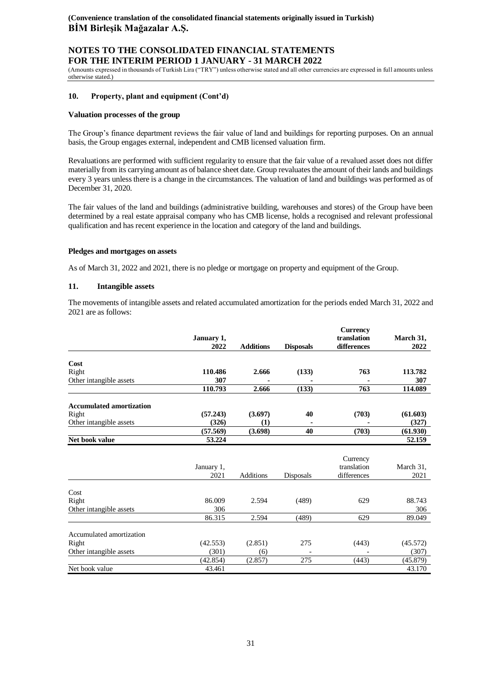## **NOTES TO THE CONSOLIDATED FINANCIAL STATEMENTS FOR THE INTERIM PERIOD 1 JANUARY - 31 MARCH 2022**

(Amounts expressed in thousands of Turkish Lira ("TRY") unless otherwise stated and all other currencies are expressed in full amounts unless otherwise stated.)

## **10. Property, plant and equipment (Cont'd)**

#### **Valuation processes of the group**

The Group's finance department reviews the fair value of land and buildings for reporting purposes. On an annual basis, the Group engages external, independent and CMB licensed valuation firm.

Revaluations are performed with sufficient regularity to ensure that the fair value of a revalued asset does not differ materially from its carrying amount as of balance sheet date. Group revaluates the amount of their lands and buildings every 3 years unless there is a change in the circumstances. The valuation of land and buildings was performed as of December 31, 2020.

The fair values of the land and buildings (administrative building, warehouses and stores) of the Group have been determined by a real estate appraisal company who has CMB license, holds a recognised and relevant professional qualification and has recent experience in the location and category of the land and buildings.

#### **Pledges and mortgages on assets**

As of March 31, 2022 and 2021, there is no pledge or mortgage on property and equipment of the Group.

#### **11. Intangible assets**

The movements of intangible assets and related accumulated amortization for the periods ended March 31, 2022 and 2021 are as follows:

|                                 |            |                  |                  | <b>Currency</b> |           |
|---------------------------------|------------|------------------|------------------|-----------------|-----------|
|                                 | January 1, |                  |                  | translation     | March 31, |
|                                 | 2022       | <b>Additions</b> | <b>Disposals</b> | differences     | 2022      |
| Cost                            |            |                  |                  |                 |           |
| Right                           | 110.486    | 2.666            | (133)            | 763             | 113.782   |
| Other intangible assets         | 307        |                  |                  |                 | 307       |
|                                 | 110.793    | 2.666            | (133)            | 763             | 114.089   |
| <b>Accumulated amortization</b> |            |                  |                  |                 |           |
| Right                           | (57.243)   | (3.697)          | 40               | (703)           | (61.603)  |
| Other intangible assets         | (326)      | (1)              |                  |                 | (327)     |
|                                 | (57.569)   | (3.698)          | 40               | (703)           | (61.930)  |
| Net book value                  | 53,224     |                  |                  |                 | 52.159    |
|                                 |            |                  |                  |                 |           |
|                                 |            |                  |                  | Currency        |           |
|                                 | January 1, |                  |                  | translation     | March 31, |
|                                 | 2021       | <b>Additions</b> | <b>Disposals</b> | differences     | 2021      |
| Cost                            |            |                  |                  |                 |           |
| Right                           | 86.009     | 2.594            | (489)            | 629             | 88.743    |
| Other intangible assets         | 306        |                  |                  |                 | 306       |
|                                 | 86.315     | 2.594            | (489)            | 629             | 89.049    |
| Accumulated amortization        |            |                  |                  |                 |           |
| Right                           | (42.553)   | (2.851)          | 275              | (443)           | (45.572)  |
| Other intangible assets         | (301)      | (6)              |                  |                 | (307)     |
|                                 | (42.854)   | (2.857)          | 275              | (443)           | (45.879)  |
| Net book value                  | 43.461     |                  |                  |                 | 43.170    |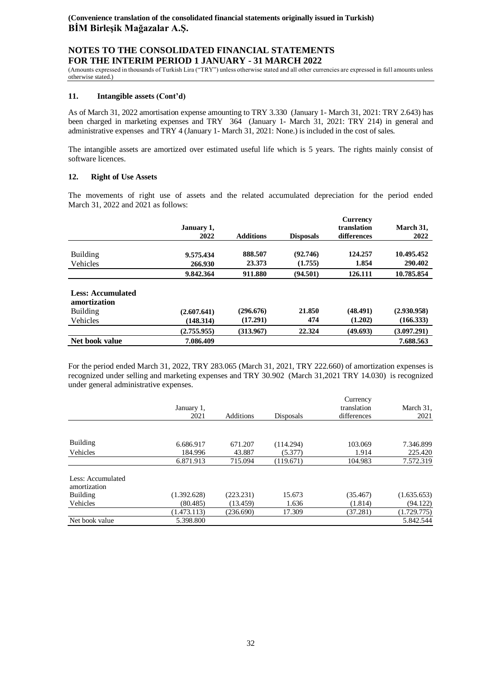(Amounts expressed in thousands of Turkish Lira ("TRY") unless otherwise stated and all other currencies are expressed in full amounts unless otherwise stated.)

## **11. Intangible assets (Cont'd)**

As of March 31, 2022 amortisation expense amounting to TRY 3.330 (January 1- March 31, 2021: TRY 2.643) has been charged in marketing expenses and TRY 364 (January 1- March 31, 2021: TRY 214) in general and administrative expenses and TRY 4 (January 1- March 31, 2021: None.) is included in the cost of sales.

The intangible assets are amortized over estimated useful life which is 5 years. The rights mainly consist of software licences.

## **12. Right of Use Assets**

The movements of right use of assets and the related accumulated depreciation for the period ended March 31, 2022 and 2021 as follows:

|                                          | January 1,<br>2022 | <b>Additions</b> | <b>Disposals</b> | <b>Currency</b><br>translation<br>differences | March 31,<br>2022 |
|------------------------------------------|--------------------|------------------|------------------|-----------------------------------------------|-------------------|
|                                          |                    |                  |                  |                                               |                   |
| <b>Building</b>                          | 9.575.434          | 888.507          | (92.746)         | 124.257                                       | 10.495.452        |
| Vehicles                                 | 266.930            | 23.373           | (1.755)          | 1.854                                         | 290.402           |
|                                          | 9.842.364          | 911.880          | (94.501)         | 126.111                                       | 10.785.854        |
| <b>Less: Accumulated</b><br>amortization |                    |                  |                  |                                               |                   |
| <b>Building</b>                          | (2.607.641)        | (296.676)        | 21.850           | (48.491)                                      | (2.930.958)       |
| Vehicles                                 | (148.314)          | (17.291)         | 474              | (1.202)                                       | (166.333)         |
|                                          | (2.755.955)        | (313.967)        | 22.324           | (49.693)                                      | (3.097.291)       |
| Net book value                           | 7.086.409          |                  |                  |                                               | 7.688.563         |

For the period ended March 31, 2022, TRY 283.065 (March 31, 2021, TRY 222.660) of amortization expenses is recognized under selling and marketing expenses and TRY 30.902 (March 31,2021 TRY 14.030) is recognized under general administrative expenses.

|                                   |             |                  |           | Currency    |             |
|-----------------------------------|-------------|------------------|-----------|-------------|-------------|
|                                   | January 1,  |                  |           | translation | March 31,   |
|                                   | 2021        | <b>Additions</b> | Disposals | differences | 2021        |
|                                   |             |                  |           |             |             |
| <b>Building</b>                   | 6.686.917   | 671.207          | (114.294) | 103.069     | 7.346.899   |
| Vehicles                          | 184.996     | 43.887           | (5.377)   | 1.914       | 225.420     |
|                                   | 6.871.913   | 715.094          | (119.671) | 104.983     | 7.572.319   |
| Less: Accumulated<br>amortization |             |                  |           |             |             |
| <b>Building</b>                   | (1.392.628) | (223.231)        | 15.673    | (35.467)    | (1.635.653) |
| Vehicles                          | (80.485)    | (13.459)         | 1.636     | (1.814)     | (94.122)    |
|                                   | (1.473.113) | (236.690)        | 17.309    | (37.281)    | (1.729.775) |
| Net book value                    | 5.398.800   |                  |           |             | 5.842.544   |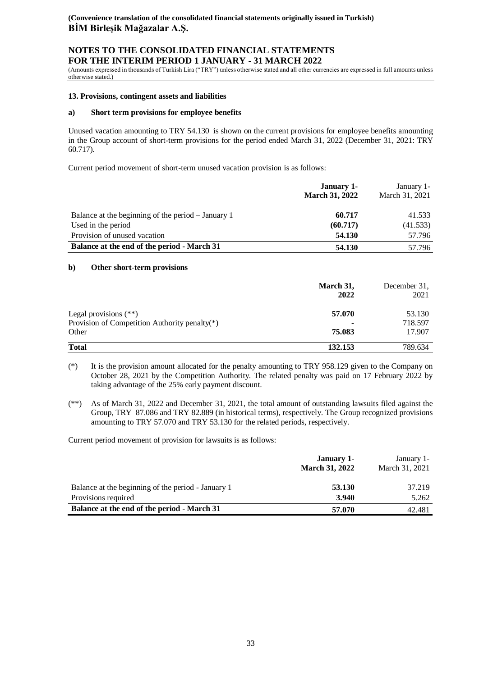## **NOTES TO THE CONSOLIDATED FINANCIAL STATEMENTS FOR THE INTERIM PERIOD 1 JANUARY - 31 MARCH 2022**

(Amounts expressed in thousands of Turkish Lira ("TRY") unless otherwise stated and all other currencies are expressed in full amounts unless otherwise stated.)

#### **13. Provisions, contingent assets and liabilities**

#### **a) Short term provisions for employee benefits**

Unused vacation amounting to TRY 54.130 is shown on the current provisions for employee benefits amounting in the Group account of short-term provisions for the period ended March 31, 2022 (December 31, 2021: TRY 60.717).

Current period movement of short-term unused vacation provision is as follows:

|                                                    | <b>January 1-</b><br><b>March 31, 2022</b> | January 1-<br>March 31, 2021 |
|----------------------------------------------------|--------------------------------------------|------------------------------|
|                                                    |                                            |                              |
| Balance at the beginning of the period – January 1 | 60.717                                     | 41.533                       |
| Used in the period                                 | (60.717)                                   | (41.533)                     |
| Provision of unused vacation                       | 54.130                                     | 57.796                       |
| Balance at the end of the period - March 31        | 54.130                                     | 57.796                       |

#### **b) Other short-term provisions**

j.

|                                                  | March 31,<br>2022 | December 31.<br>2021 |
|--------------------------------------------------|-------------------|----------------------|
| Legal provisions $(**)$                          | 57.070            | 53.130               |
| Provision of Competition Authority penalty( $*)$ | ٠                 | 718.597              |
| Other                                            | 75.083            | 17.907               |
| <b>Total</b>                                     | 132.153           | 789.634              |

(\*) It is the provision amount allocated for the penalty amounting to TRY 958.129 given to the Company on October 28, 2021 by the Competition Authority. The related penalty was paid on 17 February 2022 by taking advantage of the 25% early payment discount.

(\*\*) As of March 31, 2022 and December 31, 2021, the total amount of outstanding lawsuits filed against the Group, TRY 87.086 and TRY 82.889 (in historical terms), respectively. The Group recognized provisions amounting to TRY 57.070 and TRY 53.130 for the related periods, respectively.

Current period movement of provision for lawsuits is as follows:

|                                                    | January 1-<br><b>March 31, 2022</b> | January 1-<br>March 31, 2021 |
|----------------------------------------------------|-------------------------------------|------------------------------|
| Balance at the beginning of the period - January 1 | 53.130                              | 37.219                       |
| Provisions required                                | 3.940                               | 5.262                        |
| Balance at the end of the period - March 31        | 57.070                              | 42.481                       |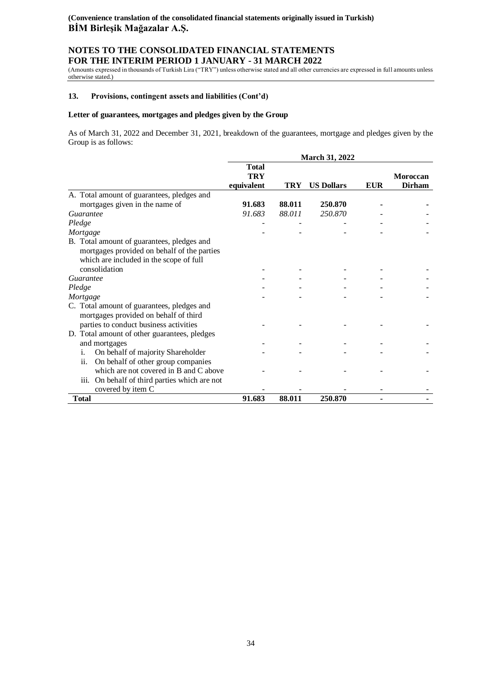## **NOTES TO THE CONSOLIDATED FINANCIAL STATEMENTS FOR THE INTERIM PERIOD 1 JANUARY - 31 MARCH 2022**

(Amounts expressed in thousands of Turkish Lira ("TRY") unless otherwise stated and all other currencies are expressed in full amounts unless otherwise stated.)

## **13. Provisions, contingent assets and liabilities (Cont'd)**

#### **Letter of guarantees, mortgages and pledges given by the Group**

As of March 31, 2022 and December 31, 2021, breakdown of the guarantees, mortgage and pledges given by the Group is as follows:

|                                                                                                                                                                               | <b>March 31, 2022</b>                    |            |                   |            |                                  |
|-------------------------------------------------------------------------------------------------------------------------------------------------------------------------------|------------------------------------------|------------|-------------------|------------|----------------------------------|
|                                                                                                                                                                               | <b>Total</b><br><b>TRY</b><br>equivalent | <b>TRY</b> | <b>US Dollars</b> | <b>EUR</b> | <b>Moroccan</b><br><b>Dirham</b> |
| A. Total amount of guarantees, pledges and                                                                                                                                    |                                          |            |                   |            |                                  |
| mortgages given in the name of                                                                                                                                                | 91.683                                   | 88.011     | 250.870           |            |                                  |
| Guarantee                                                                                                                                                                     | 91.683                                   | 88.011     | 250.870           |            |                                  |
| Pledge                                                                                                                                                                        |                                          |            |                   |            |                                  |
| Mortgage                                                                                                                                                                      |                                          |            |                   |            |                                  |
| B. Total amount of guarantees, pledges and<br>mortgages provided on behalf of the parties<br>which are included in the scope of full<br>consolidation                         |                                          |            |                   |            |                                  |
| Guarantee                                                                                                                                                                     |                                          |            |                   |            |                                  |
| Pledge                                                                                                                                                                        |                                          |            |                   |            |                                  |
| Mortgage                                                                                                                                                                      |                                          |            |                   |            |                                  |
| C. Total amount of guarantees, pledges and<br>mortgages provided on behalf of third<br>parties to conduct business activities<br>D. Total amount of other guarantees, pledges |                                          |            |                   |            |                                  |
| and mortgages                                                                                                                                                                 |                                          |            |                   |            |                                  |
| On behalf of majority Shareholder<br>i.                                                                                                                                       |                                          |            |                   |            |                                  |
| ii.<br>On behalf of other group companies<br>which are not covered in B and C above<br>On behalf of third parties which are not<br>iii.                                       |                                          |            |                   |            |                                  |
| covered by item C                                                                                                                                                             | 91.683                                   | 88.011     |                   |            |                                  |
| <b>Total</b>                                                                                                                                                                  |                                          |            | 250.870           |            |                                  |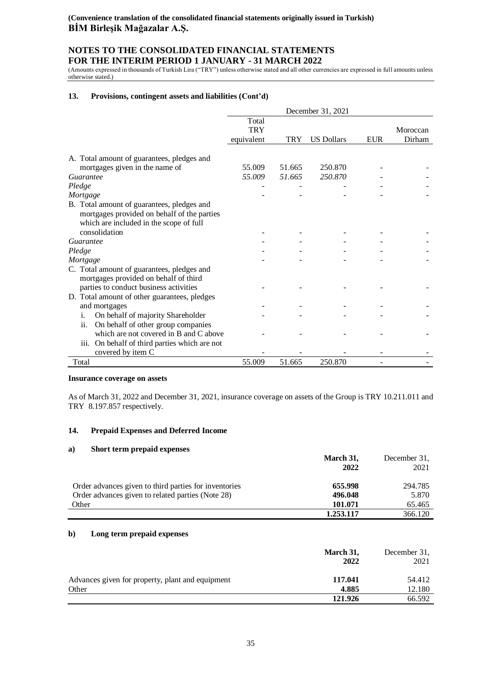## **NOTES TO THE CONSOLIDATED FINANCIAL STATEMENTS**

**FOR THE INTERIM PERIOD 1 JANUARY - 31 MARCH 2022**

(Amounts expressed in thousands of Turkish Lira ("TRY") unless otherwise stated and all other currencies are expressed in full amounts unless otherwise stated.)

## **13. Provisions, contingent assets and liabilities (Cont'd)**

|                                                                                                                                      |                     |            | December 31, 2021 |            |          |
|--------------------------------------------------------------------------------------------------------------------------------------|---------------------|------------|-------------------|------------|----------|
|                                                                                                                                      | Total<br><b>TRY</b> |            |                   |            | Moroccan |
|                                                                                                                                      | equivalent          | <b>TRY</b> | <b>US Dollars</b> | <b>EUR</b> | Dirham   |
| A. Total amount of guarantees, pledges and                                                                                           |                     |            |                   |            |          |
| mortgages given in the name of                                                                                                       | 55.009              | 51.665     | 250.870           |            |          |
| Guarantee                                                                                                                            | 55.009              | 51.665     | 250.870           |            |          |
| Pledge                                                                                                                               |                     |            |                   |            |          |
| Mortgage                                                                                                                             |                     |            |                   |            |          |
| B. Total amount of guarantees, pledges and<br>mortgages provided on behalf of the parties<br>which are included in the scope of full |                     |            |                   |            |          |
| consolidation                                                                                                                        |                     |            |                   |            |          |
| Guarantee                                                                                                                            |                     |            |                   |            |          |
| Pledge                                                                                                                               |                     |            |                   |            |          |
| Mortgage                                                                                                                             |                     |            |                   |            |          |
| C. Total amount of guarantees, pledges and<br>mortgages provided on behalf of third<br>parties to conduct business activities        |                     |            |                   |            |          |
| D. Total amount of other guarantees, pledges                                                                                         |                     |            |                   |            |          |
| and mortgages                                                                                                                        |                     |            |                   |            |          |
| On behalf of majority Shareholder<br>i.                                                                                              |                     |            |                   |            |          |
| On behalf of other group companies<br>ii.                                                                                            |                     |            |                   |            |          |
| which are not covered in B and C above                                                                                               |                     |            |                   |            |          |
| iii. On behalf of third parties which are not                                                                                        |                     |            |                   |            |          |
| covered by item C                                                                                                                    |                     |            |                   |            |          |
| Total                                                                                                                                | 55.009              | 51.665     | 250.870           |            |          |

#### **Insurance coverage on assets**

As of March 31, 2022 and December 31, 2021, insurance coverage on assets of the Group is TRY 10.211.011 and TRY 8.197.857 respectively.

## **14. Prepaid Expenses and Deferred Income**

## **a) Short term prepaid expenses**

|                                                       | March 31, | December 31. |
|-------------------------------------------------------|-----------|--------------|
|                                                       | 2022      | 2021         |
| Order advances given to third parties for inventories | 655.998   | 294.785      |
| Order advances given to related parties (Note 28)     | 496.048   | 5.870        |
| Other                                                 | 101.071   | 65.465       |
|                                                       | 1.253.117 | 366.120      |

## **b) Long term prepaid expenses**

|                                                  | March 31,<br>2022 | December 31.<br>2021 |
|--------------------------------------------------|-------------------|----------------------|
| Advances given for property, plant and equipment | 117.041           | 54.412               |
| Other                                            | 4.885             | 12.180               |
|                                                  | 121.926           | 66.592               |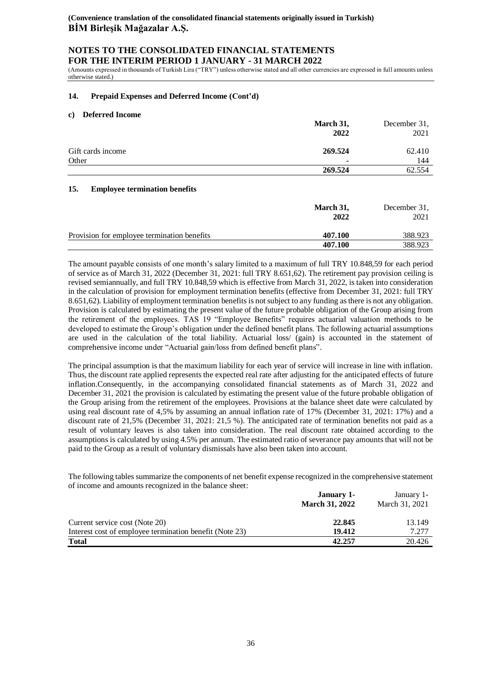(Amounts expressed in thousands of Turkish Lira ("TRY") unless otherwise stated and all other currencies are expressed in full amounts unless otherwise stated.)

## **14. Prepaid Expenses and Deferred Income (Cont'd)**

#### **c) Deferred Income**

| March 31,      | December 31. |
|----------------|--------------|
| 2022           | 2021         |
| 269.524        | 62.410       |
| $\blacksquare$ | 144          |
| 269.524        | 62.554       |
|                |              |

#### **15. Employee termination benefits**

|                                             | March 31,<br>2022 | December 31.<br>2021 |
|---------------------------------------------|-------------------|----------------------|
| Provision for employee termination benefits | 407.100           | 388.923              |
|                                             | 407.100           | 388.923              |

The amount payable consists of one month's salary limited to a maximum of full TRY 10.848,59 for each period of service as of March 31, 2022 (December 31, 2021: full TRY 8.651,62). The retirement pay provision ceiling is revised semiannually, and full TRY 10.848,59 which is effective from March 31, 2022, is taken into consideration in the calculation of provision for employment termination benefits (effective from December 31, 2021: full TRY 8.651,62). Liability of employment termination benefits is not subject to any funding as there is not any obligation. Provision is calculated by estimating the present value of the future probable obligation of the Group arising from the retirement of the employees. TAS 19 "Employee Benefits" requires actuarial valuation methods to be developed to estimate the Group's obligation under the defined benefit plans. The following actuarial assumptions are used in the calculation of the total liability. Actuarial loss/ (gain) is accounted in the statement of comprehensive income under "Actuarial gain/loss from defined benefit plans".

The principal assumption is that the maximum liability for each year of service will increase in line with inflation. Thus, the discount rate applied represents the expected real rate after adjusting for the anticipated effects of future inflation.Consequently, in the accompanying consolidated financial statements as of March 31, 2022 and December 31, 2021 the provision is calculated by estimating the present value of the future probable obligation of the Group arising from the retirement of the employees. Provisions at the balance sheet date were calculated by using real discount rate of 4,5% by assuming an annual inflation rate of 17% (December 31, 2021: 17%) and a discount rate of 21,5% (December 31, 2021: 21,5 %). The anticipated rate of termination benefits not paid as a result of voluntary leaves is also taken into consideration. The real discount rate obtained according to the assumptions is calculated by using 4.5% per annum. The estimated ratio of severance pay amounts that will not be paid to the Group as a result of voluntary dismissals have also been taken into account.

The following tables summarize the components of net benefit expense recognized in the comprehensive statement of income and amounts recognized in the balance sheet:

|                                                         | January 1-            | January 1-     |
|---------------------------------------------------------|-----------------------|----------------|
|                                                         | <b>March 31, 2022</b> | March 31, 2021 |
| Current service cost (Note 20)                          | 22,845                | 13.149         |
| Interest cost of employee termination benefit (Note 23) | 19.412                | 7.277          |
| Total                                                   | 42.257                | 20.426         |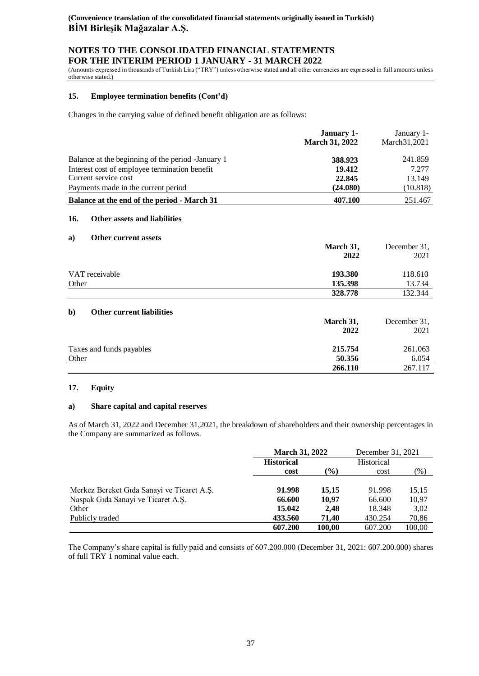(Amounts expressed in thousands of Turkish Lira ("TRY") unless otherwise stated and all other currencies are expressed in full amounts unless otherwise stated.)

## **15. Employee termination benefits (Cont'd)**

Changes in the carrying value of defined benefit obligation are as follows:

|                                                    | January 1-                                                   | January 1-                                |
|----------------------------------------------------|--------------------------------------------------------------|-------------------------------------------|
|                                                    | March 31, 2022                                               | March31,2021                              |
| Balance at the beginning of the period - January 1 | 388.923                                                      | 241.859                                   |
| Interest cost of employee termination benefit      | 19.412                                                       | 7.277                                     |
| Current service cost                               | 22.845                                                       | 13.149                                    |
| Payments made in the current period                | (24.080)                                                     | (10.818)                                  |
| Balance at the end of the period - March 31        | 407.100                                                      | 251.467                                   |
| <b>Other assets and liabilities</b>                |                                                              |                                           |
| <b>Other current assets</b>                        |                                                              |                                           |
|                                                    |                                                              | December 31,                              |
|                                                    |                                                              | 2021                                      |
| VAT receivable                                     | 193.380                                                      | 118.610                                   |
| Other                                              | 135.398                                                      | 13.734                                    |
|                                                    | 328.778                                                      | 132.344                                   |
|                                                    |                                                              |                                           |
|                                                    |                                                              | December 31,                              |
|                                                    | 2022                                                         | 2021                                      |
|                                                    |                                                              | 261.063                                   |
| Other                                              | 50.356                                                       | 6.054                                     |
|                                                    | 266.110                                                      | 267.117                                   |
|                                                    | <b>Other current liabilities</b><br>Taxes and funds payables | March 31,<br>2022<br>March 31,<br>215.754 |

## **17. Equity**

## **a) Share capital and capital reserves**

As of March 31, 2022 and December 31,2021, the breakdown of shareholders and their ownership percentages in the Company are summarized as follows.

|                                            | <b>March 31, 2022</b><br>December 31, 2021 |        |            |          |
|--------------------------------------------|--------------------------------------------|--------|------------|----------|
|                                            | <b>Historical</b>                          |        | Historical |          |
|                                            | cost                                       | $(\%)$ | cost       | $( \% )$ |
|                                            |                                            |        |            |          |
| Merkez Bereket Gida Sanayi ve Ticaret A.Ş. | 91.998                                     | 15,15  | 91.998     | 15,15    |
| Naspak Gida Sanayi ve Ticaret A.S.         | 66.600                                     | 10,97  | 66.600     | 10,97    |
| Other                                      | 15.042                                     | 2,48   | 18.348     | 3,02     |
| Publicly traded                            | 433.560                                    | 71.40  | 430.254    | 70,86    |
|                                            | 607.200                                    | 100,00 | 607.200    | 100.00   |

The Company's share capital is fully paid and consists of 607.200.000 (December 31, 2021: 607.200.000) shares of full TRY 1 nominal value each.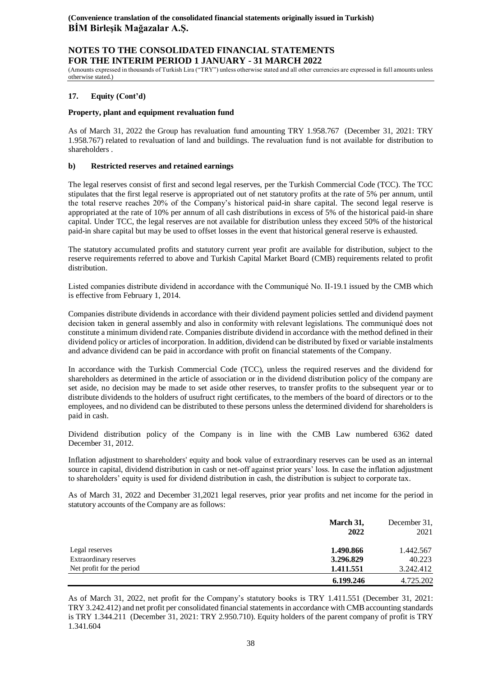(Amounts expressed in thousands of Turkish Lira ("TRY") unless otherwise stated and all other currencies are expressed in full amounts unless otherwise stated.)

## **17. Equity (Cont'd)**

## **Property, plant and equipment revaluation fund**

As of March 31, 2022 the Group has revaluation fund amounting TRY 1.958.767 (December 31, 2021: TRY 1.958.767) related to revaluation of land and buildings. The revaluation fund is not available for distribution to shareholders .

## **b) Restricted reserves and retained earnings**

The legal reserves consist of first and second legal reserves, per the Turkish Commercial Code (TCC). The TCC stipulates that the first legal reserve is appropriated out of net statutory profits at the rate of 5% per annum, until the total reserve reaches 20% of the Company's historical paid-in share capital. The second legal reserve is appropriated at the rate of 10% per annum of all cash distributions in excess of 5% of the historical paid-in share capital. Under TCC, the legal reserves are not available for distribution unless they exceed 50% of the historical paid-in share capital but may be used to offset losses in the event that historical general reserve is exhausted.

The statutory accumulated profits and statutory current year profit are available for distribution, subject to the reserve requirements referred to above and Turkish Capital Market Board (CMB) requirements related to profit distribution.

Listed companies distribute dividend in accordance with the Communiqué No. II-19.1 issued by the CMB which is effective from February 1, 2014.

Companies distribute dividends in accordance with their dividend payment policies settled and dividend payment decision taken in general assembly and also in conformity with relevant legislations. The communiqué does not constitute a minimum dividend rate. Companies distribute dividend in accordance with the method defined in their dividend policy or articles of incorporation. In addition, dividend can be distributed by fixed or variable instalments and advance dividend can be paid in accordance with profit on financial statements of the Company.

In accordance with the Turkish Commercial Code (TCC), unless the required reserves and the dividend for shareholders as determined in the article of association or in the dividend distribution policy of the company are set aside, no decision may be made to set aside other reserves, to transfer profits to the subsequent year or to distribute dividends to the holders of usufruct right certificates, to the members of the board of directors or to the employees, and no dividend can be distributed to these persons unless the determined dividend for shareholders is paid in cash.

Dividend distribution policy of the Company is in line with the CMB Law numbered 6362 dated December 31, 2012.

Inflation adjustment to shareholders' equity and book value of extraordinary reserves can be used as an internal source in capital, dividend distribution in cash or net-off against prior years' loss. In case the inflation adjustment to shareholders' equity is used for dividend distribution in cash, the distribution is subject to corporate tax.

As of March 31, 2022 and December 31,2021 legal reserves, prior year profits and net income for the period in statutory accounts of the Company are as follows:

|                               | March 31,<br>2022 | December 31,<br>2021 |
|-------------------------------|-------------------|----------------------|
| Legal reserves                | 1.490.866         | 1.442.567            |
| <b>Extraordinary reserves</b> | 3.296.829         | 40.223               |
| Net profit for the period     | 1.411.551         | 3.242.412            |
|                               | 6.199.246         | 4.725.202            |

As of March 31, 2022, net profit for the Company's statutory books is TRY 1.411.551 (December 31, 2021: TRY 3.242.412) and net profit per consolidated financial statements in accordance with CMB accounting standards is TRY 1.344.211 (December 31, 2021: TRY 2.950.710). Equity holders of the parent company of profit is TRY 1.341.604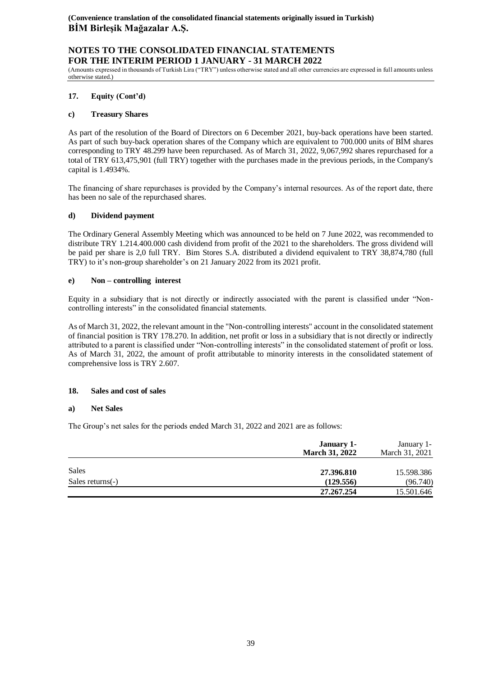(Amounts expressed in thousands of Turkish Lira ("TRY") unless otherwise stated and all other currencies are expressed in full amounts unless otherwise stated.)

## **17. Equity (Cont'd)**

## **c) Treasury Shares**

As part of the resolution of the Board of Directors on 6 December 2021, buy-back operations have been started. As part of such buy-back operation shares of the Company which are equivalent to 700.000 units of BİM shares corresponding to TRY 48.299 have been repurchased. As of March 31, 2022, 9,067,992 shares repurchased for a total of TRY 613,475,901 (full TRY) together with the purchases made in the previous periods, in the Company's capital is 1.4934%.

The financing of share repurchases is provided by the Company's internal resources. As of the report date, there has been no sale of the repurchased shares.

## **d) Dividend payment**

The Ordinary General Assembly Meeting which was announced to be held on 7 June 2022, was recommended to distribute TRY 1.214.400.000 cash dividend from profit of the 2021 to the shareholders. The gross dividend will be paid per share is 2,0 full TRY. Bim Stores S.A. distributed a dividend equivalent to TRY 38,874,780 (full TRY) to it's non-group shareholder's on 21 January 2022 from its 2021 profit.

## **e) Non – controlling interest**

Equity in a subsidiary that is not directly or indirectly associated with the parent is classified under "Noncontrolling interests" in the consolidated financial statements.

As of March 31, 2022, the relevant amount in the "Non-controlling interests" account in the consolidated statement of financial position is TRY 178.270. In addition, net profit or loss in a subsidiary that is not directly or indirectly attributed to a parent is classified under "Non-controlling interests" in the consolidated statement of profit or loss. As of March 31, 2022, the amount of profit attributable to minority interests in the consolidated statement of comprehensive loss is TRY 2.607.

## **18. Sales and cost of sales**

## **a) Net Sales**

The Group's net sales for the periods ended March 31, 2022 and 2021 are as follows:

|                     | January 1-<br><b>March 31, 2022</b> | January 1-<br>March 31, 2021 |
|---------------------|-------------------------------------|------------------------------|
| Sales               | 27.396.810                          | 15.598.386                   |
| Sales returns $(-)$ | (129.556)                           | (96.740)                     |
|                     | 27.267.254                          | 15.501.646                   |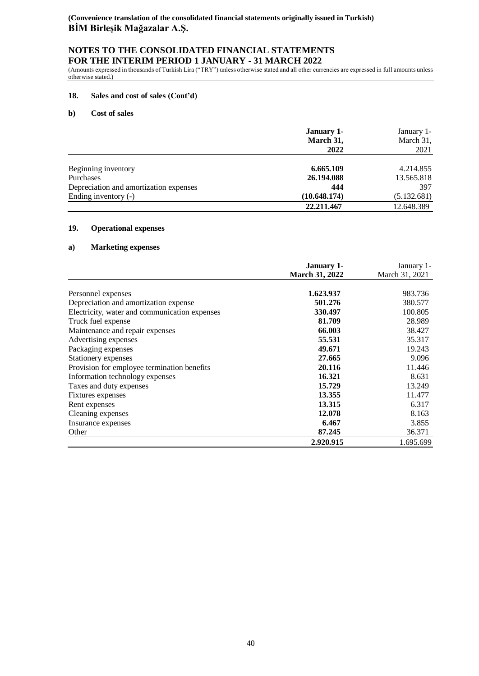## **NOTES TO THE CONSOLIDATED FINANCIAL STATEMENTS FOR THE INTERIM PERIOD 1 JANUARY - 31 MARCH 2022**

(Amounts expressed in thousands of Turkish Lira ("TRY") unless otherwise stated and all other currencies are expressed in full amounts unless otherwise stated.)

## **18. Sales and cost of sales (Cont'd)**

## **b) Cost of sales**

|                                        | <b>January 1-</b> | January 1-  |
|----------------------------------------|-------------------|-------------|
|                                        | March 31,         | March 31,   |
|                                        | 2022              | 2021        |
|                                        | 6.665.109         | 4.214.855   |
| Beginning inventory                    |                   |             |
| Purchases                              | 26.194.088        | 13.565.818  |
| Depreciation and amortization expenses | 444               | 397         |
| Ending inventory (-)                   | (10.648.174)      | (5.132.681) |
|                                        | 22.211.467        | 12.648.389  |

## **19. Operational expenses**

#### **a) Marketing expenses**

|                                               | <b>January 1-</b> | January 1-     |
|-----------------------------------------------|-------------------|----------------|
|                                               | March 31, 2022    | March 31, 2021 |
|                                               |                   |                |
| Personnel expenses                            | 1.623.937         | 983.736        |
| Depreciation and amortization expense         | 501.276           | 380.577        |
| Electricity, water and communication expenses | 330.497           | 100.805        |
| Truck fuel expense                            | 81.709            | 28.989         |
| Maintenance and repair expenses               | 66.003            | 38.427         |
| Advertising expenses                          | 55.531            | 35.317         |
| Packaging expenses                            | 49.671            | 19.243         |
| Stationery expenses                           | 27.665            | 9.096          |
| Provision for employee termination benefits   | 20.116            | 11.446         |
| Information technology expenses               | 16.321            | 8.631          |
| Taxes and duty expenses                       | 15.729            | 13.249         |
| Fixtures expenses                             | 13.355            | 11.477         |
| Rent expenses                                 | 13.315            | 6.317          |
| Cleaning expenses                             | 12.078            | 8.163          |
| Insurance expenses                            | 6.467             | 3.855          |
| Other                                         | 87.245            | 36.371         |
|                                               | 2.920.915         | 1.695.699      |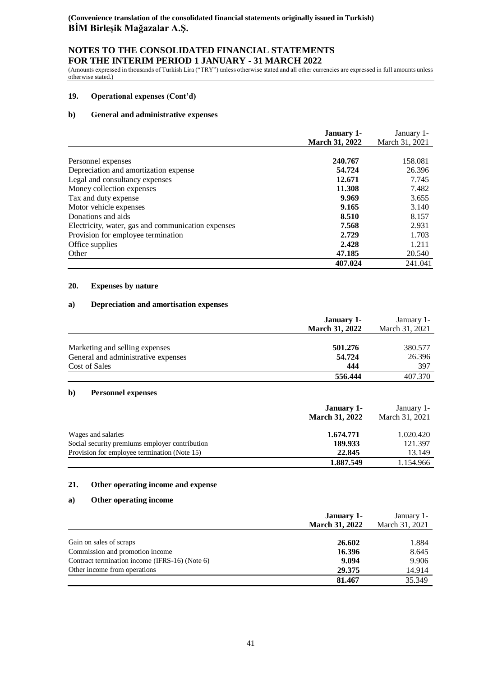(Amounts expressed in thousands of Turkish Lira ("TRY") unless otherwise stated and all other currencies are expressed in full amounts unless otherwise stated.)

## **19. Operational expenses (Cont'd)**

## **b) General and administrative expenses**

|                                                    | January 1-            | January 1-     |
|----------------------------------------------------|-----------------------|----------------|
|                                                    | <b>March 31, 2022</b> | March 31, 2021 |
|                                                    |                       |                |
| Personnel expenses                                 | 240.767               | 158.081        |
| Depreciation and amortization expense              | 54.724                | 26.396         |
| Legal and consultancy expenses                     | 12.671                | 7.745          |
| Money collection expenses                          | 11.308                | 7.482          |
| Tax and duty expense                               | 9.969                 | 3.655          |
| Motor vehicle expenses                             | 9.165                 | 3.140          |
| Donations and aids                                 | 8.510                 | 8.157          |
| Electricity, water, gas and communication expenses | 7.568                 | 2.931          |
| Provision for employee termination                 | 2.729                 | 1.703          |
| Office supplies                                    | 2.428                 | 1.211          |
| Other                                              | 47.185                | 20.540         |
|                                                    | 407.024               | 241.041        |

## **20. Expenses by nature**

## **a) Depreciation and amortisation expenses**

|                                     | January 1-            | January 1-     |
|-------------------------------------|-----------------------|----------------|
|                                     | <b>March 31, 2022</b> | March 31, 2021 |
|                                     |                       |                |
| Marketing and selling expenses      | 501.276               | 380.577        |
| General and administrative expenses | 54.724                | 26.396         |
| Cost of Sales                       | 444                   | 397            |
|                                     | 556.444               | 407.370        |

## **b) Personnel expenses**

|                                                | <b>January 1-</b>     | January 1-     |
|------------------------------------------------|-----------------------|----------------|
|                                                | <b>March 31, 2022</b> | March 31, 2021 |
|                                                |                       |                |
| Wages and salaries                             | 1.674.771             | 1.020.420      |
| Social security premiums employer contribution | 189.933               | 121.397        |
| Provision for employee termination (Note 15)   | 22.845                | 13.149         |
|                                                | 1.887.549             | 1.154.966      |

## **21. Other operating income and expense**

## **a) Other operating income**

| <b>January 1-</b><br><b>March 31, 2022</b> | January 1-<br>March 31, 2021 |
|--------------------------------------------|------------------------------|
|                                            |                              |
| 26.602                                     | 1.884                        |
| 16.396                                     | 8.645                        |
| 9.094                                      | 9.906                        |
| 29.375                                     | 14.914                       |
| 81.467                                     | 35.349                       |
|                                            |                              |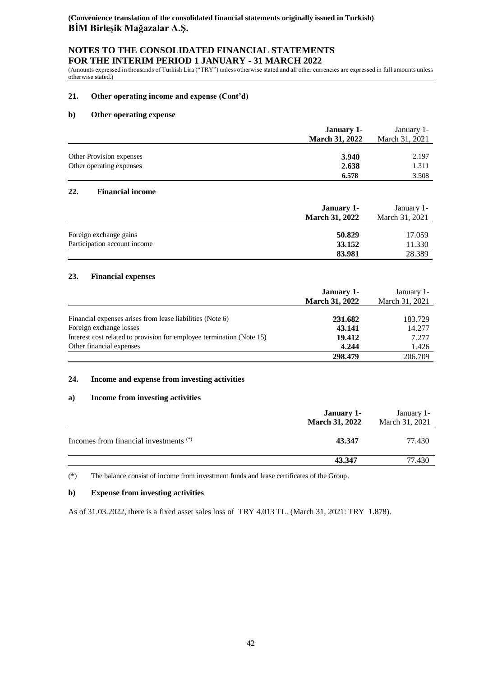## **NOTES TO THE CONSOLIDATED FINANCIAL STATEMENTS FOR THE INTERIM PERIOD 1 JANUARY - 31 MARCH 2022**

(Amounts expressed in thousands of Turkish Lira ("TRY") unless otherwise stated and all other currencies are expressed in full amounts unless otherwise stated.)

## **21. Other operating income and expense (Cont'd)**

#### **b) Other operating expense**

|                          | January 1-            | January 1-     |
|--------------------------|-----------------------|----------------|
|                          | <b>March 31, 2022</b> | March 31, 2021 |
|                          |                       |                |
| Other Provision expenses | 3.940                 | 2.197          |
| Other operating expenses | 2.638                 | 1.311          |
|                          | 6.578                 | 3.508          |

## **22. Financial income**

|                              | January 1-            | January 1-     |
|------------------------------|-----------------------|----------------|
|                              | <b>March 31, 2022</b> | March 31, 2021 |
|                              |                       |                |
| Foreign exchange gains       | 50.829                | 17.059         |
| Participation account income | 33.152                | 11.330         |
|                              | 83.981                | 28.389         |

## **23. Financial expenses**

|                                                                       | <b>January 1-</b>     | January 1-     |
|-----------------------------------------------------------------------|-----------------------|----------------|
|                                                                       | <b>March 31, 2022</b> | March 31, 2021 |
|                                                                       |                       |                |
| Financial expenses arises from lease liabilities (Note 6)             | 231.682               | 183.729        |
| Foreign exchange losses                                               | 43.141                | 14.277         |
| Interest cost related to provision for employee termination (Note 15) | 19.412                | 7.277          |
| Other financial expenses                                              | 4.244                 | 1.426          |
|                                                                       | 298.479               | 206.709        |

## **24. Income and expense from investing activities**

## **a) Income from investing activities**

|                                        | January 1-<br><b>March 31, 2022</b> | January 1-<br>March 31, 2021 |
|----------------------------------------|-------------------------------------|------------------------------|
| Incomes from financial investments (*) | 43.347                              | 77.430                       |
|                                        | 43.347                              | 77.430                       |

(\*) The balance consist of income from investment funds and lease certificates of the Group.

#### **b) Expense from investing activities**

As of 31.03.2022, there is a fixed asset sales loss of TRY 4.013 TL. (March 31, 2021: TRY 1.878).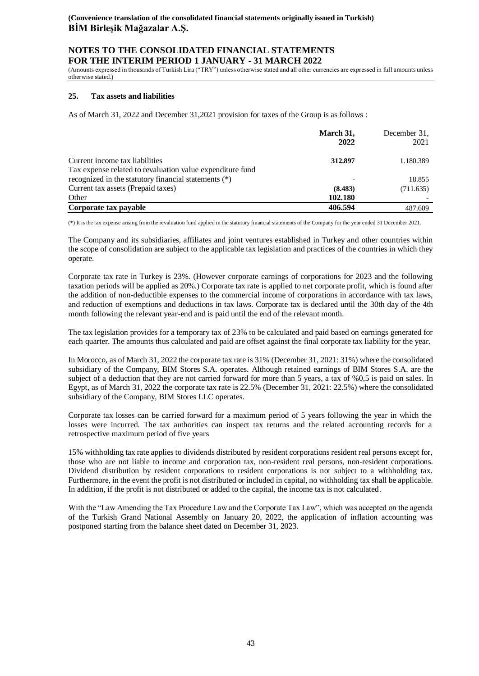(Amounts expressed in thousands of Turkish Lira ("TRY") unless otherwise stated and all other currencies are expressed in full amounts unless otherwise stated.)

## **25. Tax assets and liabilities**

As of March 31, 2022 and December 31,2021 provision for taxes of the Group is as follows :

|                                                                                             | March 31,<br>2022 | December 31.<br>2021 |
|---------------------------------------------------------------------------------------------|-------------------|----------------------|
| Current income tax liabilities<br>Tax expense related to revaluation value expenditure fund | 312.897           | 1.180.389            |
| recognized in the statutory financial statements (*)                                        |                   | 18.855               |
| Current tax assets (Prepaid taxes)                                                          | (8.483)           | (711.635)            |
| Other                                                                                       | 102.180           |                      |
| Corporate tax payable                                                                       | 406.594           | 487.609              |

(\*) It is the tax expense arising from the revaluation fund applied in the statutory financial statements of the Company for the year ended 31 December 2021.

The Company and its subsidiaries, affiliates and joint ventures established in Turkey and other countries within the scope of consolidation are subject to the applicable tax legislation and practices of the countries in which they operate.

Corporate tax rate in Turkey is 23%. (However corporate earnings of corporations for 2023 and the following taxation periods will be applied as 20%.) Corporate tax rate is applied to net corporate profit, which is found after the addition of non-deductible expenses to the commercial income of corporations in accordance with tax laws, and reduction of exemptions and deductions in tax laws. Corporate tax is declared until the 30th day of the 4th month following the relevant year-end and is paid until the end of the relevant month.

The tax legislation provides for a temporary tax of 23% to be calculated and paid based on earnings generated for each quarter. The amounts thus calculated and paid are offset against the final corporate tax liability for the year.

In Morocco, as of March 31, 2022 the corporate tax rate is 31% (December 31, 2021: 31%) where the consolidated subsidiary of the Company, BIM Stores S.A. operates. Although retained earnings of BIM Stores S.A. are the subject of a deduction that they are not carried forward for more than 5 years, a tax of %0,5 is paid on sales. In Egypt, as of March 31, 2022 the corporate tax rate is 22.5% (December 31, 2021: 22.5%) where the consolidated subsidiary of the Company, BIM Stores LLC operates.

Corporate tax losses can be carried forward for a maximum period of 5 years following the year in which the losses were incurred. The tax authorities can inspect tax returns and the related accounting records for a retrospective maximum period of five years

15% withholding tax rate applies to dividends distributed by resident corporations resident real persons except for, those who are not liable to income and corporation tax, non-resident real persons, non-resident corporations. Dividend distribution by resident corporations to resident corporations is not subject to a withholding tax. Furthermore, in the event the profit is not distributed or included in capital, no withholding tax shall be applicable. In addition, if the profit is not distributed or added to the capital, the income tax is not calculated.

With the "Law Amending the Tax Procedure Law and the Corporate Tax Law", which was accepted on the agenda of the Turkish Grand National Assembly on January 20, 2022, the application of inflation accounting was postponed starting from the balance sheet dated on December 31, 2023.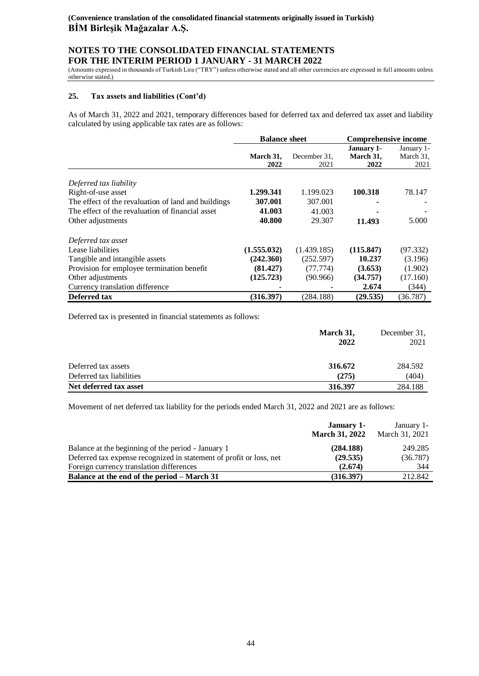(Amounts expressed in thousands of Turkish Lira ("TRY") unless otherwise stated and all other currencies are expressed in full amounts unless otherwise stated.)

## **25. Tax assets and liabilities (Cont'd)**

As of March 31, 2022 and 2021, temporary differences based for deferred tax and deferred tax asset and liability calculated by using applicable tax rates are as follows:

|                                                     | <b>Balance sheet</b> |              | <b>Comprehensive income</b> |                         |
|-----------------------------------------------------|----------------------|--------------|-----------------------------|-------------------------|
|                                                     | March 31,            | December 31. | January 1-<br>March 31,     | January 1-<br>March 31, |
|                                                     | 2022                 | 2021         | 2022                        | 2021                    |
| Deferred tax liability                              |                      |              |                             |                         |
| Right-of-use asset                                  | 1.299.341            | 1.199.023    | 100.318                     | 78.147                  |
| The effect of the revaluation of land and buildings | 307.001              | 307.001      |                             |                         |
| The effect of the revaluation of financial asset    | 41.003               | 41.003       |                             |                         |
| Other adjustments                                   | 40.800               | 29.307       | 11.493                      | 5.000                   |
| Deferred tax asset                                  |                      |              |                             |                         |
| Lease liabilities                                   | (1.555.032)          | (1.439.185)  | (115.847)                   | (97.332)                |
| Tangible and intangible assets                      | (242.360)            | (252.597)    | 10.237                      | (3.196)                 |
| Provision for employee termination benefit          | (81.427)             | (77.774)     | (3.653)                     | (1.902)                 |
| Other adjustments                                   | (125.723)            | (90.966)     | (34.757)                    | (17.160)                |
| Currency translation difference                     |                      |              | 2.674                       | (344)                   |
| Deferred tax                                        | (316.397)            | (284.188)    | (29.535)                    | (36.787)                |

Deferred tax is presented in financial statements as follows:

|                          | March 31, | December 31, |
|--------------------------|-----------|--------------|
|                          | 2022      | 2021         |
| Deferred tax assets      | 316.672   | 284.592      |
| Deferred tax liabilities | (275)     | (404)        |
| Net deferred tax asset   | 316.397   | 284.188      |

Movement of net deferred tax liability for the periods ended March 31, 2022 and 2021 are as follows:

|                                                                     | January 1-<br><b>March 31, 2022</b> | January 1-<br>March 31, 2021 |
|---------------------------------------------------------------------|-------------------------------------|------------------------------|
| Balance at the beginning of the period - January 1                  | (284.188)                           | 249.285                      |
| Deferred tax expense recognized in statement of profit or loss, net | (29.535)                            | (36.787)                     |
| Foreign currency translation differences                            | (2.674)                             | 344                          |
| Balance at the end of the period – March 31                         | (316.397)                           | 212.842                      |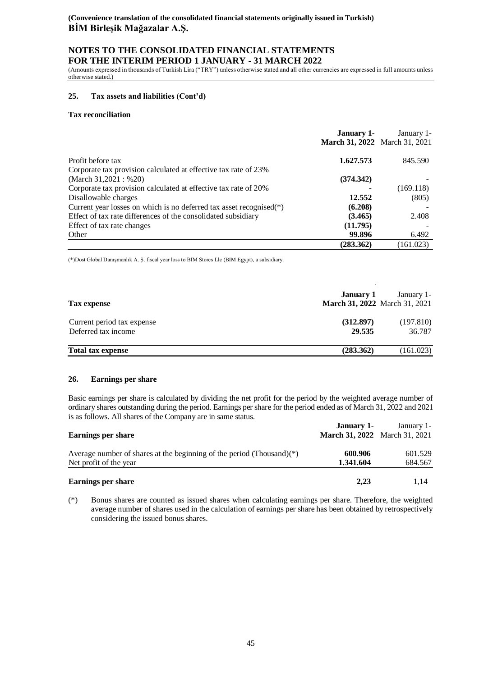(Amounts expressed in thousands of Turkish Lira ("TRY") unless otherwise stated and all other currencies are expressed in full amounts unless otherwise stated.)

## **25. Tax assets and liabilities (Cont'd)**

#### **Tax reconciliation**

|                                                                          | <b>January 1-</b><br><b>March 31, 2022</b> March 31, 2021 | January 1- |
|--------------------------------------------------------------------------|-----------------------------------------------------------|------------|
| Profit before tax                                                        | 1.627.573                                                 | 845.590    |
| Corporate tax provision calculated at effective tax rate of 23%          |                                                           |            |
| (March $31,2021 : %20$ )                                                 | (374.342)                                                 |            |
| Corporate tax provision calculated at effective tax rate of 20%          |                                                           | (169.118)  |
| Disallowable charges                                                     | 12.552                                                    | (805)      |
| Current year losses on which is no deferred tax asset recognised( $*)$ ) | (6.208)                                                   |            |
| Effect of tax rate differences of the consolidated subsidiary            | (3.465)                                                   | 2.408      |
| Effect of tax rate changes                                               | (11.795)                                                  |            |
| Other                                                                    | 99.896                                                    | 6.492      |
|                                                                          | (283.362)                                                 | (161.023)  |

(\*)Dost Global Danışmanlık A. Ş. fiscal year loss to BIM Stores Llc (BIM Egypt), a subsidiary.

| Tax expense                                       | January 1<br>March 31, 2022 March 31, 2021 | January 1-          |
|---------------------------------------------------|--------------------------------------------|---------------------|
| Current period tax expense<br>Deferred tax income | (312.897)<br>29.535                        | (197.810)<br>36.787 |
| <b>Total tax expense</b>                          | (283.362)                                  | (161.023)           |

#### **26. Earnings per share**

Basic earnings per share is calculated by dividing the net profit for the period by the weighted average number of ordinary shares outstanding during the period. Earnings per share for the period ended as of March 31, 2022 and 2021 is as follows. All shares of the Company are in same status.

| <b>Earnings per share</b>                                                                          | January 1-<br><b>March 31, 2022</b> March 31, 2021 | January 1-         |
|----------------------------------------------------------------------------------------------------|----------------------------------------------------|--------------------|
| Average number of shares at the beginning of the period (Thousand) $(*)$<br>Net profit of the year | 600.906<br>1.341.604                               | 601.529<br>684.567 |
| <b>Earnings per share</b>                                                                          | 2,23                                               | 1.14               |

(\*) Bonus shares are counted as issued shares when calculating earnings per share. Therefore, the weighted average number of shares used in the calculation of earnings per share has been obtained by retrospectively considering the issued bonus shares.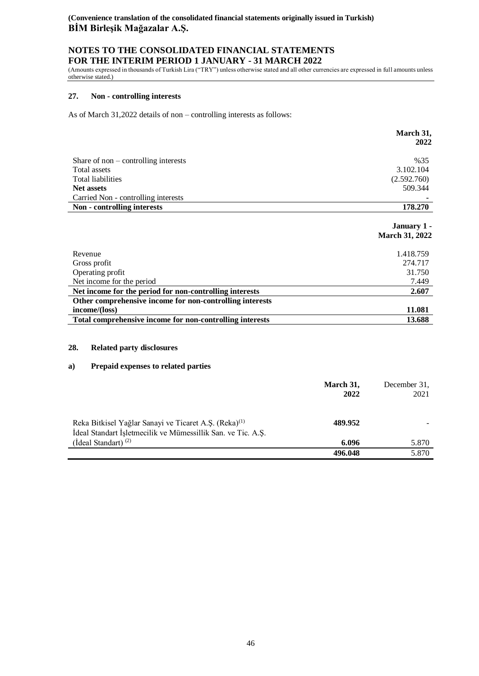(Amounts expressed in thousands of Turkish Lira ("TRY") unless otherwise stated and all other currencies are expressed in full amounts unless otherwise stated.)

## **27. Non - controlling interests**

As of March 31,2022 details of non – controlling interests as follows:

|                                                                   |           | March 31,<br>2022 |
|-------------------------------------------------------------------|-----------|-------------------|
| Share of non $-$ controlling interests                            |           | %35               |
| Total assets                                                      |           | 3.102.104         |
| <b>Total liabilities</b>                                          |           | (2.592.760)       |
| <b>Net assets</b>                                                 |           | 509.344           |
| Carried Non - controlling interests                               |           |                   |
| Non - controlling interests                                       |           | 178.270           |
|                                                                   |           |                   |
|                                                                   |           | January 1 -       |
|                                                                   |           | March 31, 2022    |
| Revenue                                                           |           | 1.418.759         |
| Gross profit                                                      |           | 274.717           |
| Operating profit                                                  |           | 31.750            |
| Net income for the period                                         |           | 7.449             |
| Net income for the period for non-controlling interests           |           | 2.607             |
| Other comprehensive income for non-controlling interests          |           |                   |
| income/(loss)                                                     |           | 11.081            |
| Total comprehensive income for non-controlling interests          |           | 13.688            |
|                                                                   |           |                   |
| 28.<br><b>Related party disclosures</b>                           |           |                   |
| Prepaid expenses to related parties<br>a)                         |           |                   |
|                                                                   | March 31, | December 31,      |
|                                                                   | 2022      | 2021              |
|                                                                   |           |                   |
| Reka Bitkisel Yağlar Sanayi ve Ticaret A.Ş. (Reka) <sup>(1)</sup> | 489.952   |                   |
| İdeal Standart İşletmecilik ve Mümessillik San. ve Tic. A.Ş.      |           |                   |
| (İdeal Standart) <sup>(2)</sup>                                   | 6.096     | 5.870             |
|                                                                   | 496.048   | 5.870             |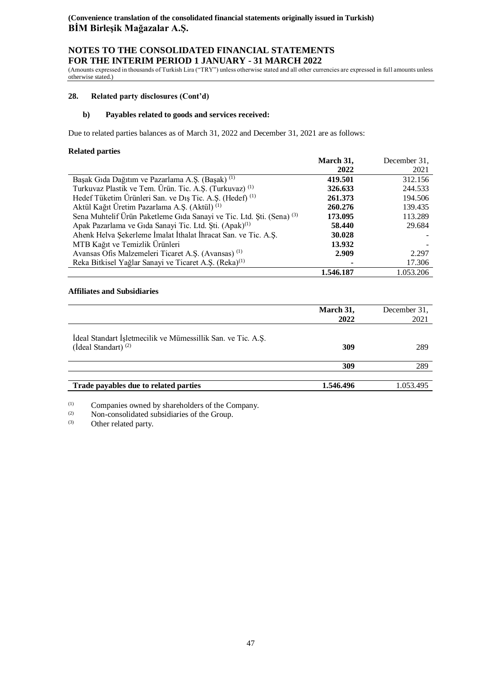## **NOTES TO THE CONSOLIDATED FINANCIAL STATEMENTS FOR THE INTERIM PERIOD 1 JANUARY - 31 MARCH 2022**

(Amounts expressed in thousands of Turkish Lira ("TRY") unless otherwise stated and all other currencies are expressed in full amounts unless otherwise stated.)

## **28. Related party disclosures (Cont'd)**

#### **b) Payables related to goods and services received:**

Due to related parties balances as of March 31, 2022 and December 31, 2021 are as follows:

## **Related parties**

|                                                                                  | March 31, | December 31, |
|----------------------------------------------------------------------------------|-----------|--------------|
|                                                                                  | 2022      | 2021         |
| Başak Gıda Dağıtım ve Pazarlama A.Ş. (Başak) <sup>(1)</sup>                      | 419.501   | 312.156      |
| Turkuvaz Plastik ve Tem. Ürün. Tic. A.Ş. (Turkuvaz) <sup>(1)</sup>               | 326.633   | 244.533      |
| Hedef Tüketim Ürünleri San. ve Dış Tic. A.Ş. (Hedef) <sup>(1)</sup>              | 261.373   | 194.506      |
| Aktül Kağıt Üretim Pazarlama A.Ş. (Aktül) <sup>(1)</sup>                         | 260.276   | 139.435      |
| Sena Muhtelif Ürün Paketleme Gıda Sanayi ve Tic. Ltd. Şti. (Sena) <sup>(3)</sup> | 173.095   | 113.289      |
| Apak Pazarlama ve Gida Sanayi Tic. Ltd. Ști. (Apak) <sup>(1)</sup>               | 58.440    | 29.684       |
| Ahenk Helva Şekerleme İmalat İthalat İhracat San. ve Tic. A.Ş.                   | 30.028    |              |
| MTB Kağıt ve Temizlik Ürünleri                                                   | 13.932    |              |
| Avansas Ofis Malzemeleri Ticaret A.Ş. (Avansas) <sup>(1)</sup>                   | 2.909     | 2.297        |
| Reka Bitkisel Yağlar Sanayi ve Ticaret A.Ş. (Reka) <sup>(1)</sup>                | ۰         | 17.306       |
|                                                                                  | 1.546.187 | 1.053.206    |

## **Affiliates and Subsidiaries**

|                                                                                                 | March 31,<br>2022 | December 31,<br>2021 |
|-------------------------------------------------------------------------------------------------|-------------------|----------------------|
| İdeal Standart İşletmecilik ve Mümessillik San. ve Tic. A.Ş.<br>(İdeal Standart) <sup>(2)</sup> | 309               | 289                  |
|                                                                                                 | 309               | 289                  |
| Trade payables due to related parties                                                           | 1.546.496         | 1.053.495            |

 $\sum_{(2)}$  Companies owned by shareholders of the Company.

(2) Non-consolidated subsidiaries of the Group.<br>
Other related party

Other related party.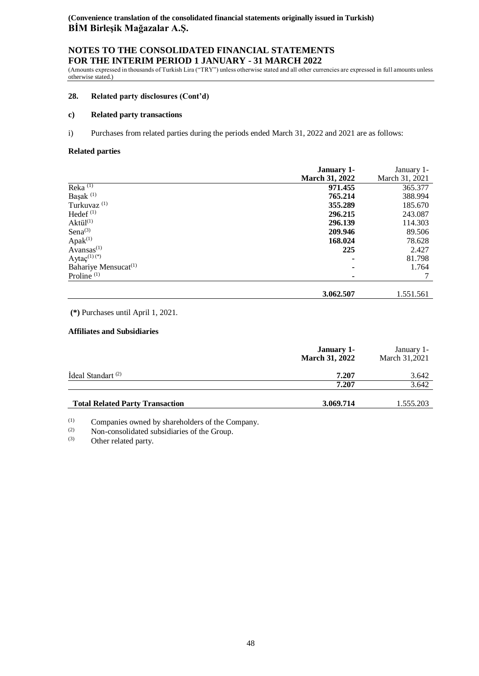## **NOTES TO THE CONSOLIDATED FINANCIAL STATEMENTS FOR THE INTERIM PERIOD 1 JANUARY - 31 MARCH 2022**

(Amounts expressed in thousands of Turkish Lira ("TRY") unless otherwise stated and all other currencies are expressed in full amounts unless otherwise stated.)

## **28. Related party disclosures (Cont'd)**

#### **c) Related party transactions**

i) Purchases from related parties during the periods ended March 31, 2022 and 2021 are as follows:

## **Related parties**

|                                  | January 1-            | January 1-     |
|----------------------------------|-----------------------|----------------|
|                                  | <b>March 31, 2022</b> | March 31, 2021 |
| $Reka$ <sup>(1)</sup>            | 971.455               | 365.377        |
| Başak <sup>(1)</sup>             | 765.214               | 388.994        |
| Turkuvaz <sup>(1)</sup>          | 355.289               | 185.670        |
| Hedef $(1)$                      | 296.215               | 243.087        |
| $Aktül^{(1)}$                    | 296.139               | 114.303        |
| Sena $^{(3)}$                    | 209.946               | 89.506         |
| Apa $k^{(1)}$                    | 168.024               | 78.628         |
| Avansas $(1)$                    | 225                   | 2.427          |
| Ayta $c^{(1)(*)}$                | -                     | 81.798         |
| Bahariye Mensucat <sup>(1)</sup> | ۰                     | 1.764          |
| Proline $(1)$                    |                       |                |
|                                  | 3.062.507             | 1.551.561      |

**(\*)** Purchases until April 1, 2021.

#### **Affiliates and Subsidiaries**

|                                        | <b>January 1-</b><br><b>March 31, 2022</b> | January 1-<br>March 31,2021 |
|----------------------------------------|--------------------------------------------|-----------------------------|
| Ideal Standart <sup>(2)</sup>          | 7.207                                      | 3.642                       |
|                                        | 7.207                                      | 3.642                       |
| <b>Total Related Party Transaction</b> | 3.069.714                                  | 1.555.203                   |

(1) Companies owned by shareholders of the Company.<br>(2) Non-consolidated subsidiaries of the Group

(2) Non-consolidated subsidiaries of the Group.<br>
(3) Other related party

Other related party.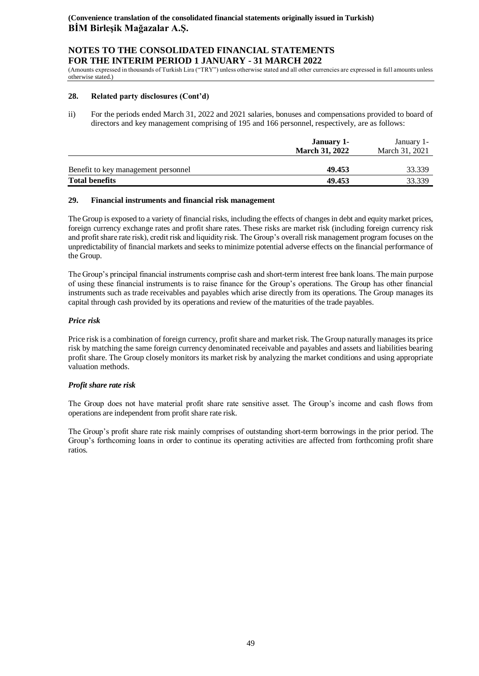(Amounts expressed in thousands of Turkish Lira ("TRY") unless otherwise stated and all other currencies are expressed in full amounts unless otherwise stated.)

## **28. Related party disclosures (Cont'd)**

ii) For the periods ended March 31, 2022 and 2021 salaries, bonuses and compensations provided to board of directors and key management comprising of 195 and 166 personnel, respectively, are as follows:

|                                     | January 1-<br><b>March 31, 2022</b> | January 1-<br>March 31, 2021 |
|-------------------------------------|-------------------------------------|------------------------------|
| Benefit to key management personnel | 49.453                              | 33.339                       |
| <b>Total benefits</b>               | 49.453                              | 33.339                       |

#### **29. Financial instruments and financial risk management**

The Group is exposed to a variety of financial risks, including the effects of changes in debt and equity market prices, foreign currency exchange rates and profit share rates. These risks are market risk (including foreign currency risk and profit share rate risk), credit risk and liquidity risk. The Group's overall risk management program focuses on the unpredictability of financial markets and seeks to minimize potential adverse effects on the financial performance of the Group.

The Group's principal financial instruments comprise cash and short-term interest free bank loans. The main purpose of using these financial instruments is to raise finance for the Group's operations. The Group has other financial instruments such as trade receivables and payables which arise directly from its operations. The Group manages its capital through cash provided by its operations and review of the maturities of the trade payables.

## *Price risk*

Price risk is a combination of foreign currency, profit share and market risk. The Group naturally manages its price risk by matching the same foreign currency denominated receivable and payables and assets and liabilities bearing profit share. The Group closely monitors its market risk by analyzing the market conditions and using appropriate valuation methods.

## *Profit share rate risk*

The Group does not have material profit share rate sensitive asset. The Group's income and cash flows from operations are independent from profit share rate risk.

The Group's profit share rate risk mainly comprises of outstanding short-term borrowings in the prior period. The Group's forthcoming loans in order to continue its operating activities are affected from forthcoming profit share ratios.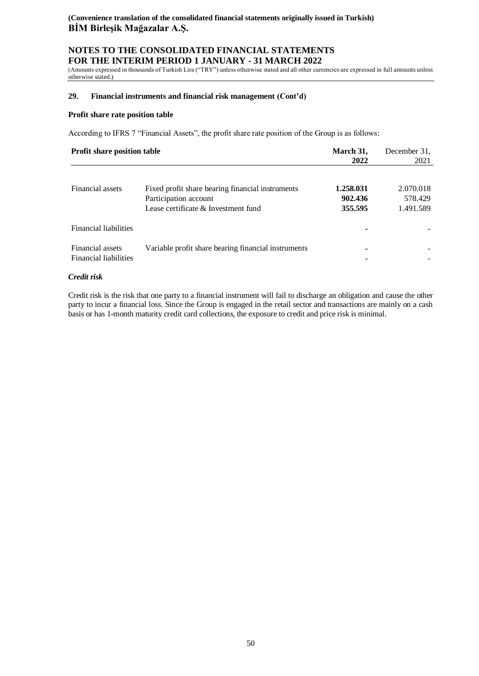## **NOTES TO THE CONSOLIDATED FINANCIAL STATEMENTS FOR THE INTERIM PERIOD 1 JANUARY - 31 MARCH 2022**

(Amounts expressed in thousands of Turkish Lira ("TRY") unless otherwise stated and all other currencies are expressed in full amounts unless otherwise stated.)

## **29. Financial instruments and financial risk management (Cont'd)**

#### **Profit share rate position table**

According to IFRS 7 "Financial Assets", the profit share rate position of the Group is as follows:

| <b>Profit share position table</b>               |                                                                                                                  | March 31,<br>2022               | December 31,<br>2021              |
|--------------------------------------------------|------------------------------------------------------------------------------------------------------------------|---------------------------------|-----------------------------------|
| Financial assets                                 | Fixed profit share bearing financial instruments<br>Participation account<br>Lease certificate & Investment fund | 1.258.031<br>902.436<br>355.595 | 2.070.018<br>578.429<br>1.491.589 |
| Financial liabilities                            |                                                                                                                  |                                 |                                   |
| Financial assets<br><b>Financial liabilities</b> | Variable profit share bearing financial instruments                                                              |                                 |                                   |

## *Credit risk*

Credit risk is the risk that one party to a financial instrument will fail to discharge an obligation and cause the other party to incur a financial loss. Since the Group is engaged in the retail sector and transactions are mainly on a cash basis or has 1-month maturity credit card collections, the exposure to credit and price risk is minimal.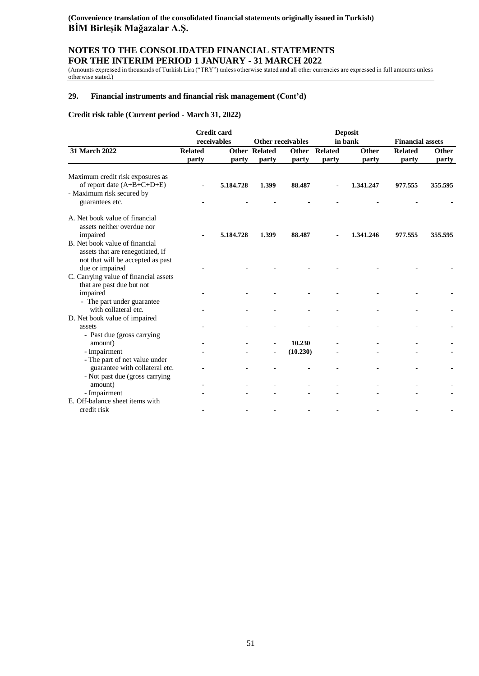## **NOTES TO THE CONSOLIDATED FINANCIAL STATEMENTS FOR THE INTERIM PERIOD 1 JANUARY - 31 MARCH 2022**

(Amounts expressed in thousands of Turkish Lira ("TRY") unless otherwise stated and all other currencies are expressed in full amounts unless otherwise stated.)

## **29. Financial instruments and financial risk management (Cont'd)**

## **Credit risk table (Current period - March 31, 2022)**

|                                       |                | <b>Credit card</b> |                          |          |                | <b>Deposit</b> |                         |         |
|---------------------------------------|----------------|--------------------|--------------------------|----------|----------------|----------------|-------------------------|---------|
|                                       |                | receivables        | <b>Other receivables</b> |          |                | in bank        | <b>Financial assets</b> |         |
| 31 March 2022                         | <b>Related</b> |                    | <b>Other Related</b>     | Other    | <b>Related</b> | Other          | <b>Related</b>          | Other   |
|                                       | party          | party              | party                    | party    | party          | party          | party                   | party   |
|                                       |                |                    |                          |          |                |                |                         |         |
| Maximum credit risk exposures as      |                |                    |                          |          |                |                |                         |         |
| of report date (A+B+C+D+E)            |                | 5.184.728          | 1.399                    | 88.487   |                | 1.341.247      | 977.555                 | 355.595 |
| - Maximum risk secured by             |                |                    |                          |          |                |                |                         |         |
| guarantees etc.                       |                |                    |                          |          |                |                |                         |         |
| A. Net book value of financial        |                |                    |                          |          |                |                |                         |         |
| assets neither overdue nor            |                |                    |                          |          |                |                |                         |         |
| impaired                              |                | 5.184.728          | 1.399                    | 88.487   |                | 1.341.246      | 977.555                 | 355.595 |
| B. Net book value of financial        |                |                    |                          |          |                |                |                         |         |
| assets that are renegotiated, if      |                |                    |                          |          |                |                |                         |         |
| not that will be accepted as past     |                |                    |                          |          |                |                |                         |         |
| due or impaired                       |                |                    |                          |          |                |                |                         |         |
| C. Carrying value of financial assets |                |                    |                          |          |                |                |                         |         |
| that are past due but not             |                |                    |                          |          |                |                |                         |         |
| impaired                              |                |                    |                          |          |                |                |                         |         |
| - The part under guarantee            |                |                    |                          |          |                |                |                         |         |
| with collateral etc.                  |                |                    |                          |          |                |                |                         |         |
| D. Net book value of impaired         |                |                    |                          |          |                |                |                         |         |
| assets                                |                |                    |                          |          |                |                |                         |         |
| - Past due (gross carrying            |                |                    |                          |          |                |                |                         |         |
| amount)                               |                |                    |                          | 10.230   |                |                |                         |         |
| - Impairment                          |                |                    | ÷,                       | (10.230) |                |                |                         |         |
| - The part of net value under         |                |                    |                          |          |                |                |                         |         |
| guarantee with collateral etc.        |                |                    |                          |          |                |                |                         |         |
| - Not past due (gross carrying        |                |                    |                          |          |                |                |                         |         |
| amount)                               |                |                    |                          |          |                |                |                         |         |
| - Impairment                          |                |                    |                          |          |                |                |                         |         |
|                                       |                |                    |                          |          |                |                |                         |         |
| E. Off-balance sheet items with       |                |                    |                          |          |                |                |                         |         |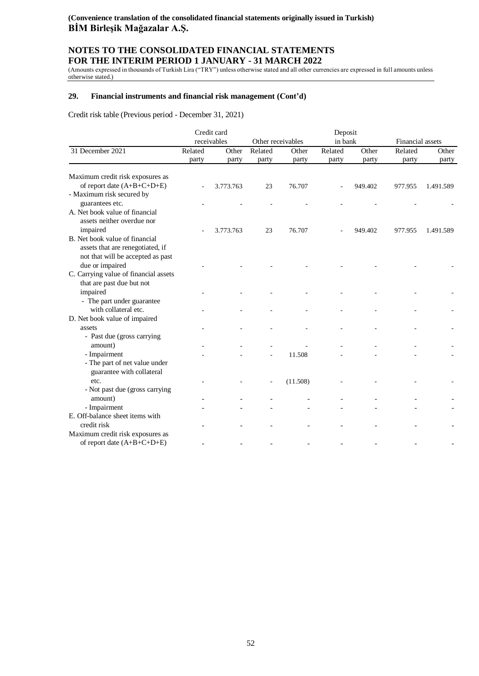## **NOTES TO THE CONSOLIDATED FINANCIAL STATEMENTS FOR THE INTERIM PERIOD 1 JANUARY - 31 MARCH 2022**

(Amounts expressed in thousands of Turkish Lira ("TRY") unless otherwise stated and all other currencies are expressed in full amounts unless otherwise stated.)

## **29. Financial instruments and financial risk management (Cont'd)**

Credit risk table (Previous period - December 31, 2021)

|                                       |         | Credit card |                   |          | Deposit |         |                  |           |
|---------------------------------------|---------|-------------|-------------------|----------|---------|---------|------------------|-----------|
|                                       |         | receivables | Other receivables |          | in bank |         | Financial assets |           |
| 31 December 2021                      | Related | Other       | Related           | Other    | Related | Other   | Related          | Other     |
|                                       | party   | party       | party             | party    | party   | party   | party            | party     |
| Maximum credit risk exposures as      |         |             |                   |          |         |         |                  |           |
| of report date (A+B+C+D+E)            |         | 3.773.763   | 23                | 76.707   |         | 949.402 | 977.955          | 1.491.589 |
| - Maximum risk secured by             |         |             |                   |          |         |         |                  |           |
| guarantees etc.                       |         |             |                   |          |         |         |                  |           |
| A. Net book value of financial        |         |             |                   |          |         |         |                  |           |
| assets neither overdue nor            |         |             |                   |          |         |         |                  |           |
| impaired                              |         | 3.773.763   | 23                | 76.707   |         | 949.402 | 977.955          | 1.491.589 |
| B. Net book value of financial        |         |             |                   |          |         |         |                  |           |
| assets that are renegotiated, if      |         |             |                   |          |         |         |                  |           |
| not that will be accepted as past     |         |             |                   |          |         |         |                  |           |
| due or impaired                       |         |             |                   |          |         |         |                  |           |
| C. Carrying value of financial assets |         |             |                   |          |         |         |                  |           |
| that are past due but not             |         |             |                   |          |         |         |                  |           |
| impaired                              |         |             |                   |          |         |         |                  |           |
| - The part under guarantee            |         |             |                   |          |         |         |                  |           |
| with collateral etc.                  |         |             |                   |          |         |         |                  |           |
| D. Net book value of impaired         |         |             |                   |          |         |         |                  |           |
| assets                                |         |             |                   |          |         |         |                  |           |
| - Past due (gross carrying)           |         |             |                   |          |         |         |                  |           |
| amount)                               |         |             |                   |          |         |         |                  |           |
| - Impairment                          |         |             |                   | 11.508   |         |         |                  |           |
| - The part of net value under         |         |             |                   |          |         |         |                  |           |
| guarantee with collateral             |         |             |                   |          |         |         |                  |           |
| etc.                                  |         |             | $\overline{a}$    | (11.508) |         |         |                  |           |
| - Not past due (gross carrying        |         |             |                   |          |         |         |                  |           |
| amount)                               |         |             |                   |          |         |         |                  |           |
| - Impairment                          |         |             |                   |          |         |         |                  |           |
| E. Off-balance sheet items with       |         |             |                   |          |         |         |                  |           |
| credit risk                           |         |             |                   |          |         |         |                  |           |
| Maximum credit risk exposures as      |         |             |                   |          |         |         |                  |           |
| of report date (A+B+C+D+E)            |         |             |                   |          |         |         |                  |           |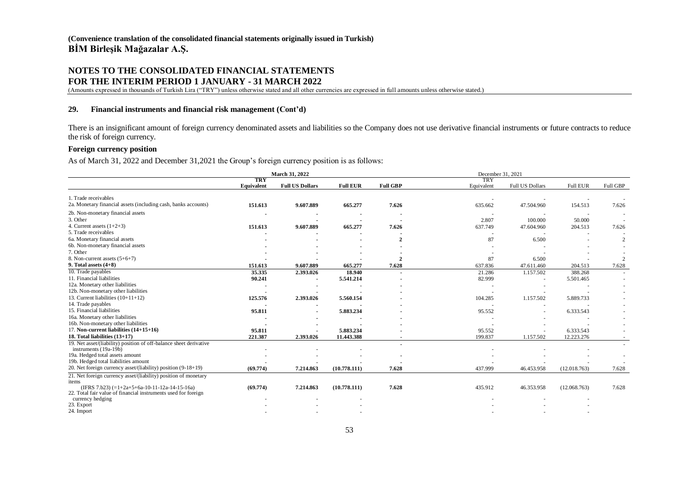(Amounts expressed in thousands of Turkish Lira ("TRY") unless otherwise stated and all other currencies are expressed in full amounts unless otherwise stated.)

#### **29. Financial instruments and financial risk management (Cont'd)**

There is an insignificant amount of foreign currency denominated assets and liabilities so the Company does not use derivative financial instruments or future contracts to reduce the risk of foreign currency.

#### **Foreign currency position**

As of March 31, 2022 and December 31,2021 the Group's foreign currency position is as follows:

|                                                                    | March 31, 2022<br>December 31, 2021 |                        |                 |                 |            |                        |                 |          |
|--------------------------------------------------------------------|-------------------------------------|------------------------|-----------------|-----------------|------------|------------------------|-----------------|----------|
|                                                                    | <b>TRY</b>                          |                        |                 |                 | <b>TRY</b> |                        |                 |          |
|                                                                    | Equivalent                          | <b>Full US Dollars</b> | <b>Full EUR</b> | <b>Full GBP</b> | Equivalent | <b>Full US Dollars</b> | <b>Full EUR</b> | Full GBP |
| 1. Trade receivables                                               |                                     |                        |                 |                 |            |                        |                 |          |
| 2a. Monetary financial assets (including cash, banks accounts)     | 151.613                             | 9.607.889              | 665.277         | 7.626           | 635.662    | 47.504.960             | 154.513         | 7.626    |
| 2b. Non-monetary financial assets                                  |                                     |                        |                 |                 |            |                        |                 |          |
| 3. Other                                                           |                                     |                        |                 |                 | 2.807      | 100.000                | 50.000          |          |
| 4. Current assets $(1+2+3)$                                        | 151.613                             | 9.607.889              | 665,277         | 7.626           | 637.749    | 47.604.960             | 204.513         | 7.626    |
| 5. Trade receivables                                               |                                     |                        |                 |                 |            |                        |                 |          |
| 6a. Monetary financial assets                                      |                                     |                        |                 | $\mathcal{D}$   | 87         | 6.500                  |                 | 2        |
| 6b. Non-monetary financial assets                                  |                                     |                        |                 |                 |            |                        |                 |          |
| 7. Other                                                           |                                     |                        |                 |                 |            |                        |                 |          |
| 8. Non-current assets $(5+6+7)$                                    |                                     |                        |                 |                 | 87         | 6.500                  |                 |          |
| 9. Total assets $(4+8)$                                            | 151.613                             | 9.607.889              | 665.277         | 7.628           | 637.836    | 47.611.460             | 204.513         | 7.628    |
| 10. Trade payables                                                 | 35.335                              | 2.393.026              | 18.940          |                 | 21.286     | 1.157.502              | 388.268         |          |
| 11. Financial liabilities                                          | 90.241                              |                        | 5.541.214       |                 | 82.999     |                        | 5.501.465       |          |
| 12a. Monetary other liabilities                                    | ٠                                   |                        |                 |                 |            |                        |                 |          |
| 12b. Non-monetary other liabilities                                |                                     |                        |                 |                 |            |                        |                 |          |
| 13. Current liabilities $(10+11+12)$                               | 125.576                             | 2.393.026              | 5.560.154       |                 | 104.285    | 1.157.502              | 5.889.733       |          |
| 14. Trade payables                                                 |                                     |                        |                 |                 |            |                        |                 |          |
| 15. Financial liabilities                                          | 95.811                              |                        | 5.883.234       |                 | 95.552     |                        | 6.333.543       |          |
| 16a. Monetary other liabilities                                    |                                     |                        |                 |                 |            |                        |                 |          |
| 16b. Non-monetary other liabilities                                |                                     |                        |                 |                 |            |                        |                 |          |
| 17. Non-current liabilities $(14+15+16)$                           | 95.811                              |                        | 5.883.234       |                 | 95.552     |                        | 6.333.543       |          |
| 18. Total liabilities (13+17)                                      | 221.387                             | 2.393.026              | 11.443.388      |                 | 199.837    | 1.157.502              | 12.223.276      |          |
| 19. Net asset/(liability) position of off-balance sheet derivative |                                     |                        |                 |                 |            |                        |                 |          |
| instruments (19a-19b)                                              |                                     |                        |                 |                 |            |                        |                 |          |
| 19a. Hedged total assets amount                                    |                                     |                        |                 |                 |            |                        |                 |          |
| 19b. Hedged total liabilities amount                               |                                     |                        |                 |                 |            |                        |                 |          |
| 20. Net foreign currency asset/(liability) position (9-18+19)      | (69.774)                            | 7.214.863              | (10.778.111)    | 7.628           | 437.999    | 46.453.958             | (12.018.763)    | 7.628    |
| 21. Net foreign currency asset/(liability) position of monetary    |                                     |                        |                 |                 |            |                        |                 |          |
| items<br>$(IFRS 7. b23) (=1+2a+5+6a-10-11-12a-14-15-16a)$          | (69.774)                            | 7.214.863              | (10.778.111)    | 7.628           | 435.912    | 46.353.958             | (12.068.763)    | 7.628    |
| 22. Total fair value of financial instruments used for foreign     |                                     |                        |                 |                 |            |                        |                 |          |
| currency hedging                                                   |                                     |                        |                 |                 |            |                        |                 |          |
| 23. Export                                                         |                                     |                        |                 |                 |            |                        |                 |          |
| 24. Import                                                         |                                     |                        |                 |                 |            |                        |                 |          |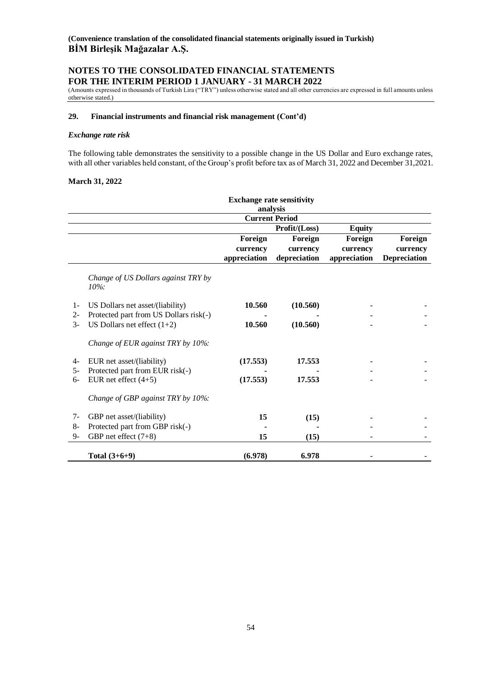(Amounts expressed in thousands of Turkish Lira ("TRY") unless otherwise stated and all other currencies are expressed in full amounts unless otherwise stated.)

## **29. Financial instruments and financial risk management (Cont'd)**

#### *Exchange rate risk*

The following table demonstrates the sensitivity to a possible change in the US Dollar and Euro exchange rates, with all other variables held constant, of the Group's profit before tax as of March 31, 2022 and December 31,2021.

## **March 31, 2022**

| <b>Exchange rate sensitivity</b><br>analysis |                                               |                       |               |               |                     |  |  |
|----------------------------------------------|-----------------------------------------------|-----------------------|---------------|---------------|---------------------|--|--|
|                                              |                                               | <b>Current Period</b> |               |               |                     |  |  |
|                                              |                                               |                       | Profit/(Loss) | <b>Equity</b> |                     |  |  |
|                                              |                                               | Foreign               | Foreign       | Foreign       | Foreign             |  |  |
|                                              |                                               | currency              | currency      | currency      | currency            |  |  |
|                                              |                                               | appreciation          | depreciation  | appreciation  | <b>Depreciation</b> |  |  |
|                                              | Change of US Dollars against TRY by<br>$10\%$ |                       |               |               |                     |  |  |
| $1-$                                         | US Dollars net asset/(liability)              | 10.560                | (10.560)      |               |                     |  |  |
| $2 -$                                        | Protected part from US Dollars risk(-)        |                       |               |               |                     |  |  |
| $3-$                                         | US Dollars net effect $(1+2)$                 | 10.560                | (10.560)      |               |                     |  |  |
|                                              | Change of EUR against TRY by 10%:             |                       |               |               |                     |  |  |
| 4-                                           | EUR net asset/(liability)                     | (17.553)              | 17.553        |               |                     |  |  |
| $5-$                                         | Protected part from EUR risk(-)               |                       |               |               |                     |  |  |
| $6-$                                         | EUR net effect $(4+5)$                        | (17.553)              | 17.553        |               |                     |  |  |
|                                              | Change of GBP against TRY by 10%:             |                       |               |               |                     |  |  |
| $7-$                                         | GBP net asset/(liability)                     | 15                    | (15)          |               |                     |  |  |
| $8-$                                         | Protected part from GBP risk(-)               |                       |               |               |                     |  |  |
| $9-$                                         | GBP net effect $(7+8)$                        | 15                    | (15)          |               |                     |  |  |
|                                              | Total $(3+6+9)$                               | (6.978)               | 6.978         |               |                     |  |  |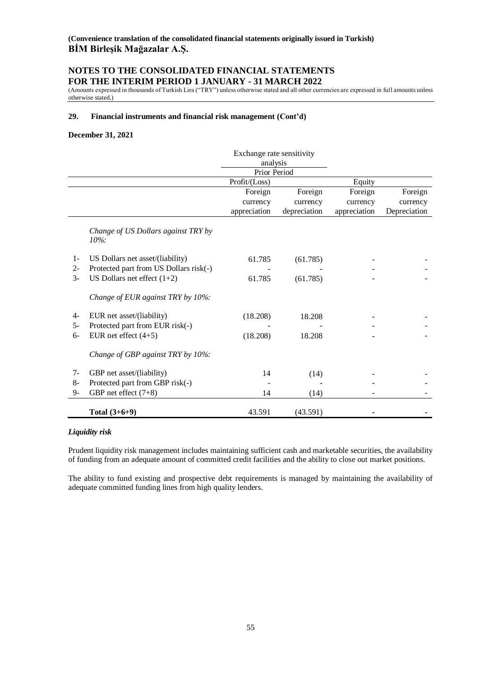(Amounts expressed in thousands of Turkish Lira ("TRY") unless otherwise stated and all other currencies are expressed in full amounts unless otherwise stated.)

## **29. Financial instruments and financial risk management (Cont'd)**

## **December 31, 2021**

|       |                                               | Exchange rate sensitivity |              |              |              |
|-------|-----------------------------------------------|---------------------------|--------------|--------------|--------------|
|       |                                               | analysis                  |              |              |              |
|       |                                               | Prior Period              |              |              |              |
|       |                                               | Profit/(Loss)             |              | Equity       |              |
|       |                                               | Foreign                   | Foreign      | Foreign      | Foreign      |
|       |                                               | currency                  | currency     | currency     | currency     |
|       |                                               | appreciation              | depreciation | appreciation | Depreciation |
|       | Change of US Dollars against TRY by<br>$10\%$ |                           |              |              |              |
| $1-$  | US Dollars net asset/(liability)              | 61.785                    | (61.785)     |              |              |
| $2 -$ | Protected part from US Dollars risk(-)        |                           |              |              |              |
| $3-$  | US Dollars net effect $(1+2)$                 | 61.785                    | (61.785)     |              |              |
|       | Change of EUR against TRY by 10%:             |                           |              |              |              |
| 4-    | EUR net asset/(liability)                     | (18.208)                  | 18.208       |              |              |
| $5-$  | Protected part from EUR risk(-)               |                           |              |              |              |
| $6-$  | EUR net effect $(4+5)$                        | (18.208)                  | 18.208       |              |              |
|       | Change of GBP against TRY by 10%:             |                           |              |              |              |
| $7-$  | GBP net asset/(liability)                     | 14                        | (14)         |              |              |
| $8-$  | Protected part from GBP risk(-)               |                           |              |              |              |
| $9-$  | GBP net effect $(7+8)$                        | 14                        | (14)         |              |              |
|       | Total $(3+6+9)$                               | 43.591                    | (43.591)     |              |              |

## *Liquidity risk*

Prudent liquidity risk management includes maintaining sufficient cash and marketable securities, the availability of funding from an adequate amount of committed credit facilities and the ability to close out market positions.

The ability to fund existing and prospective debt requirements is managed by maintaining the availability of adequate committed funding lines from high quality lenders.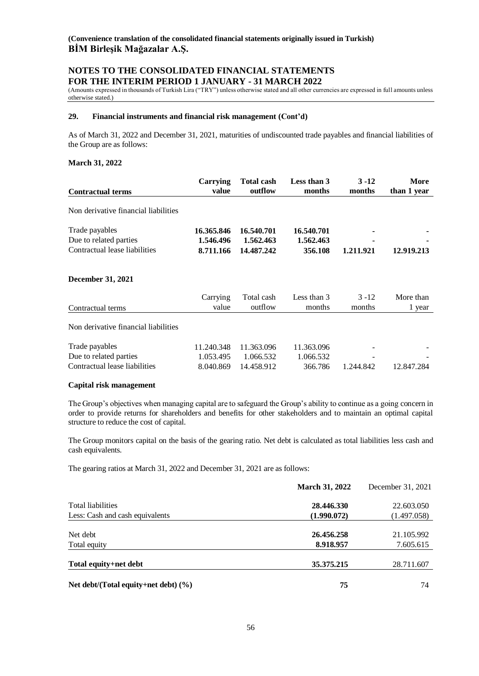(Amounts expressed in thousands of Turkish Lira ("TRY") unless otherwise stated and all other currencies are expressed in full amounts unless otherwise stated.)

#### **29. Financial instruments and financial risk management (Cont'd)**

As of March 31, 2022 and December 31, 2021, maturities of undiscounted trade payables and financial liabilities of the Group are as follows:

#### **March 31, 2022**

| <b>Contractual terms</b>                                                  | Carrying<br>value                    | <b>Total cash</b><br>outflow          | Less than 3<br>months              | $3 - 12$<br>months | More<br>than 1 year |
|---------------------------------------------------------------------------|--------------------------------------|---------------------------------------|------------------------------------|--------------------|---------------------|
| Non derivative financial liabilities                                      |                                      |                                       |                                    |                    |                     |
| Trade payables<br>Due to related parties<br>Contractual lease liabilities | 16.365.846<br>1.546.496<br>8.711.166 | 16.540.701<br>1.562.463<br>14.487.242 | 16.540.701<br>1.562.463<br>356.108 | 1.211.921          | 12.919.213          |
| <b>December 31, 2021</b>                                                  |                                      |                                       |                                    |                    |                     |
| Contractual terms                                                         | Carrying<br>value                    | Total cash<br>outflow                 | Less than 3<br>months              | $3 - 12$<br>months | More than<br>1 year |
| Non derivative financial liabilities                                      |                                      |                                       |                                    |                    |                     |
| Trade payables<br>Due to related parties<br>Contractual lease liabilities | 11.240.348<br>1.053.495<br>8.040.869 | 11.363.096<br>1.066.532<br>14.458.912 | 11.363.096<br>1.066.532<br>366.786 | 1.244.842          | 12.847.284          |

#### **Capital risk management**

The Group's objectives when managing capital are to safeguard the Group's ability to continue as a going concern in order to provide returns for shareholders and benefits for other stakeholders and to maintain an optimal capital structure to reduce the cost of capital.

The Group monitors capital on the basis of the gearing ratio. Net debt is calculated as total liabilities less cash and cash equivalents.

The gearing ratios at March 31, 2022 and December 31, 2021 are as follows:

|                                          | <b>March 31, 2022</b> | December 31, 2021 |
|------------------------------------------|-----------------------|-------------------|
| <b>Total liabilities</b>                 | 28.446.330            | 22.603.050        |
| Less: Cash and cash equivalents          | (1.990.072)           | (1.497.058)       |
| Net debt                                 | 26.456.258            | 21.105.992        |
| Total equity                             | 8.918.957             | 7.605.615         |
| Total equity+net debt                    | 35.375.215            | 28.711.607        |
| Net debt/(Total equity+net debt) $(\% )$ | 75                    | 74                |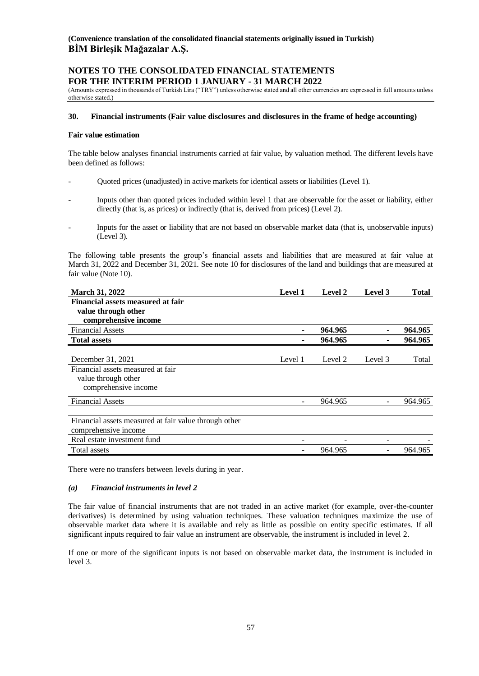(Amounts expressed in thousands of Turkish Lira ("TRY") unless otherwise stated and all other currencies are expressed in full amounts unless otherwise stated.)

## **30. Financial instruments (Fair value disclosures and disclosures in the frame of hedge accounting)**

#### **Fair value estimation**

The table below analyses financial instruments carried at fair value, by valuation method. The different levels have been defined as follows:

- Quoted prices (unadjusted) in active markets for identical assets or liabilities (Level 1).
- Inputs other than quoted prices included within level 1 that are observable for the asset or liability, either directly (that is, as prices) or indirectly (that is, derived from prices) (Level 2).
- Inputs for the asset or liability that are not based on observable market data (that is, unobservable inputs) (Level 3).

The following table presents the group's financial assets and liabilities that are measured at fair value at March 31, 2022 and December 31, 2021. See note 10 for disclosures of the land and buildings that are measured at fair value (Note 10).

| <b>March 31, 2022</b>                                 | <b>Level 1</b> | Level 2 | <b>Level</b> 3 | <b>Total</b> |
|-------------------------------------------------------|----------------|---------|----------------|--------------|
| <b>Financial assets measured at fair</b>              |                |         |                |              |
| value through other                                   |                |         |                |              |
| comprehensive income                                  |                |         |                |              |
| <b>Financial Assets</b>                               |                | 964.965 | ۰              | 964.965      |
| <b>Total assets</b>                                   |                | 964.965 |                | 964.965      |
|                                                       |                |         |                |              |
| December 31, 2021                                     | Level 1        | Level 2 | Level 3        | Total        |
| Financial assets measured at fair                     |                |         |                |              |
| value through other                                   |                |         |                |              |
| comprehensive income                                  |                |         |                |              |
| <b>Financial Assets</b>                               |                | 964.965 |                | 964.965      |
| Financial assets measured at fair value through other |                |         |                |              |
| comprehensive income                                  |                |         |                |              |
| Real estate investment fund                           |                |         |                |              |
| Total assets                                          |                | 964.965 |                | 964.965      |

There were no transfers between levels during in year.

#### *(a) Financial instruments in level 2*

The fair value of financial instruments that are not traded in an active market (for example, over-the-counter derivatives) is determined by using valuation techniques. These valuation techniques maximize the use of observable market data where it is available and rely as little as possible on entity specific estimates. If all significant inputs required to fair value an instrument are observable, the instrument is included in level 2.

If one or more of the significant inputs is not based on observable market data, the instrument is included in level 3.